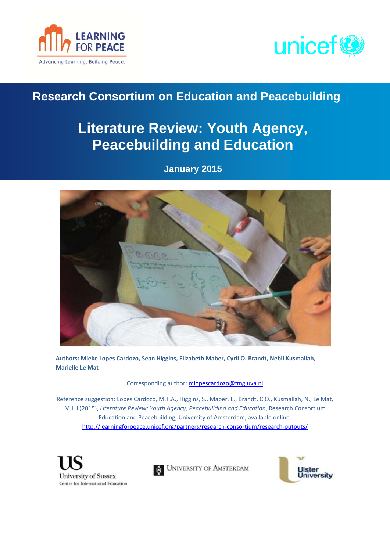



# **Research Consortium on Education and Peacebuilding**

# **Literature Review: Youth Agency, Peacebuilding and Education**

**January 2015** 



**Authors: Mieke Lopes Cardozo, Sean Higgins, Elizabeth Maber, Cyril O. Brandt, Nebil Kusmallah, Marielle Le Mat** 

Corresponding author: [mlopescardozo@fmg.uva.nl](mailto:mlopescardozo@fmg.uva.nl)

Reference suggestion: Lopes Cardozo, M.T.A., Higgins, S., Maber, E., Brandt, C.O., Kusmallah, N., Le Mat, M.L.J (2015), *Literature Review: Youth Agency, Peacebuilding and Education*, Research Consortium Education and Peacebuilding, University of Amsterdam, available online: [http://learningforpeace.unicef.org/partners/research](http://learningforpeace.unicef.org/partners/research-consortium/research-outputs/)-consortium/research-outputs/





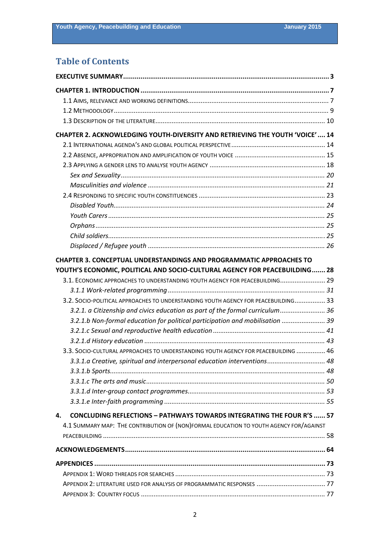# **Table of Contents**

| CHAPTER 2. ACKNOWLEDGING YOUTH-DIVERSITY AND RETRIEVING THE YOUTH 'VOICE'  14          |  |
|----------------------------------------------------------------------------------------|--|
|                                                                                        |  |
|                                                                                        |  |
|                                                                                        |  |
|                                                                                        |  |
|                                                                                        |  |
|                                                                                        |  |
|                                                                                        |  |
|                                                                                        |  |
|                                                                                        |  |
|                                                                                        |  |
|                                                                                        |  |
| <b>CHAPTER 3. CONCEPTUAL UNDERSTANDINGS AND PROGRAMMATIC APPROACHES TO</b>             |  |
| YOUTH'S ECONOMIC, POLITICAL AND SOCIO-CULTURAL AGENCY FOR PEACEBUILDING 28             |  |
| 3.1. ECONOMIC APPROACHES TO UNDERSTANDING YOUTH AGENCY FOR PEACEBUILDING 29            |  |
|                                                                                        |  |
| 3.2. SOCIO-POLITICAL APPROACHES TO UNDERSTANDING YOUTH AGENCY FOR PEACEBUILDING 33     |  |
| 3.2.1. a Citizenship and civics education as part of the formal curriculum 36          |  |
| 3.2.1.b Non-formal education for political participation and mobilisation  39          |  |
|                                                                                        |  |
|                                                                                        |  |
| 3.3. SOCIO-CULTURAL APPROACHES TO UNDERSTANDING YOUTH AGENCY FOR PEACEBUILDING  46     |  |
| 3.3.1.a Creative, spiritual and interpersonal education interventions 48               |  |
|                                                                                        |  |
|                                                                                        |  |
|                                                                                        |  |
|                                                                                        |  |
| <b>CONCLUDING REFLECTIONS - PATHWAYS TOWARDS INTEGRATING THE FOUR R'S  57</b><br>4.    |  |
| 4.1 SUMMARY MAP: THE CONTRIBUTION OF (NON)FORMAL EDUCATION TO YOUTH AGENCY FOR/AGAINST |  |
|                                                                                        |  |
|                                                                                        |  |
|                                                                                        |  |
|                                                                                        |  |
|                                                                                        |  |
|                                                                                        |  |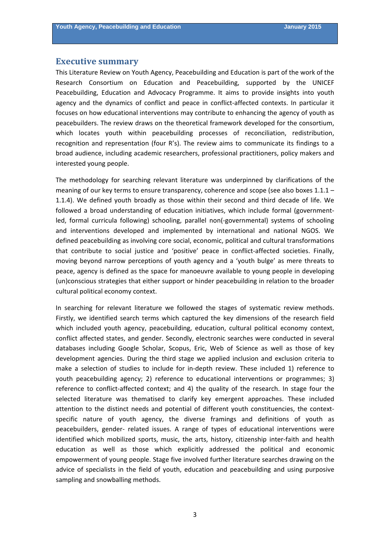### <span id="page-2-0"></span>**Executive summary**

This Literature Review on Youth Agency, Peacebuilding and Education is part of the work of the Research Consortium on Education and Peacebuilding, supported by the UNICEF Peacebuilding, Education and Advocacy Programme. It aims to provide insights into youth agency and the dynamics of conflict and peace in conflict-affected contexts. In particular it focuses on how educational interventions may contribute to enhancing the agency of youth as peacebuilders. The review draws on the theoretical framework developed for the consortium, which locates youth within peacebuilding processes of reconciliation, redistribution, recognition and representation (four R's). The review aims to communicate its findings to a broad audience, including academic researchers, professional practitioners, policy makers and interested young people.

The methodology for searching relevant literature was underpinned by clarifications of the meaning of our key terms to ensure transparency, coherence and scope (see also boxes 1.1.1 – 1.1.4). We defined youth broadly as those within their second and third decade of life. We followed a broad understanding of education initiatives, which include formal (government‐ led, formal curricula following) schooling, parallel non(‐governmental) systems of schooling and interventions developed and implemented by international and national NGOS. We defined peacebuilding as involving core social, economic, political and cultural transformations that contribute to social justice and 'positive' peace in conflict-affected societies. Finally, moving beyond narrow perceptions of youth agency and a 'youth bulge' as mere threats to peace, agency is defined as the space for manoeuvre available to young people in developing (un)conscious strategies that either support or hinder peacebuilding in relation to the broader cultural political economy context.

In searching for relevant literature we followed the stages of systematic review methods. Firstly, we identified search terms which captured the key dimensions of the research field which included youth agency, peacebuilding, education, cultural political economy context, conflict affected states, and gender. Secondly, electronic searches were conducted in several databases including Google Scholar, Scopus, Eric, Web of Science as well as those of key development agencies. During the third stage we applied inclusion and exclusion criteria to make a selection of studies to include for in‐depth review. These included 1) reference to youth peacebuilding agency; 2) reference to educational interventions or programmes; 3) reference to conflict-affected context; and 4) the quality of the research. In stage four the selected literature was thematised to clarify key emergent approaches. These included attention to the distinct needs and potential of different youth constituencies, the contextspecific nature of youth agency, the diverse framings and definitions of youth as peacebuilders, gender‐ related issues. A range of types of educational interventions were identified which mobilized sports, music, the arts, history, citizenship inter-faith and health education as well as those which explicitly addressed the political and economic empowerment of young people. Stage five involved further literature searches drawing on the advice of specialists in the field of youth, education and peacebuilding and using purposive sampling and snowballing methods.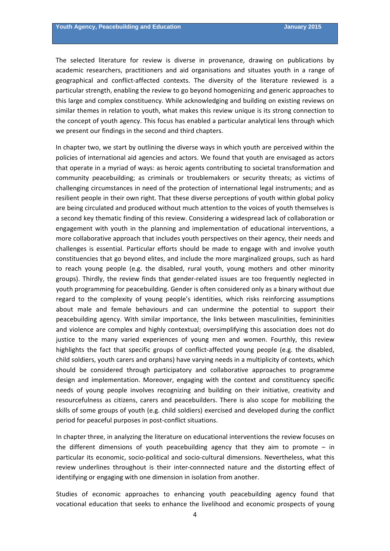The selected literature for review is diverse in provenance, drawing on publications by academic researchers, practitioners and aid organisations and situates youth in a range of geographical and conflict‐affected contexts. The diversity of the literature reviewed is a particular strength, enabling the review to go beyond homogenizing and generic approaches to this large and complex constituency. While acknowledging and building on existing reviews on similar themes in relation to youth, what makes this review unique is its strong connection to the concept of youth agency. This focus has enabled a particular analytical lens through which we present our findings in the second and third chapters.

In chapter two, we start by outlining the diverse ways in which youth are perceived within the policies of international aid agencies and actors. We found that youth are envisaged as actors that operate in a myriad of ways: as heroic agents contributing to societal transformation and community peacebuilding; as criminals or troublemakers or security threats; as victims of challenging circumstances in need of the protection of international legal instruments; and as resilient people in their own right. That these diverse perceptions of youth within global policy are being circulated and produced without much attention to the voices of youth themselves is a second key thematic finding of this review. Considering a widespread lack of collaboration or engagement with youth in the planning and implementation of educational interventions, a more collaborative approach that includes youth perspectives on their agency, their needs and challenges is essential. Particular efforts should be made to engage with and involve youth constituencies that go beyond elites, and include the more marginalized groups, such as hard to reach young people (e.g. the disabled, rural youth, young mothers and other minority groups). Thirdly, the review finds that gender‐related issues are too frequently neglected in youth programming for peacebuilding. Gender is often considered only as a binary without due regard to the complexity of young people's identities, which risks reinforcing assumptions about male and female behaviours and can undermine the potential to support their peacebuilding agency. With similar importance, the links between masculinities, femininities and violence are complex and highly contextual; oversimplifying this association does not do justice to the many varied experiences of young men and women. Fourthly, this review highlights the fact that specific groups of conflict-affected young people (e.g. the disabled, child soldiers, youth carers and orphans) have varying needs in a multiplicity of contexts, which should be considered through participatory and collaborative approaches to programme design and implementation. Moreover, engaging with the context and constituency specific needs of young people involves recognizing and building on their initiative, creativity and resourcefulness as citizens, carers and peacebuilders. There is also scope for mobilizing the skills of some groups of youth (e.g. child soldiers) exercised and developed during the conflict period for peaceful purposes in post‐conflict situations.

In chapter three, in analyzing the literature on educational interventions the review focuses on the different dimensions of youth peacebuilding agency that they aim to promote – in particular its economic, socio-political and socio-cultural dimensions. Nevertheless, what this review underlines throughout is their inter‐connnected nature and the distorting effect of identifying or engaging with one dimension in isolation from another.

Studies of economic approaches to enhancing youth peacebuilding agency found that vocational education that seeks to enhance the livelihood and economic prospects of young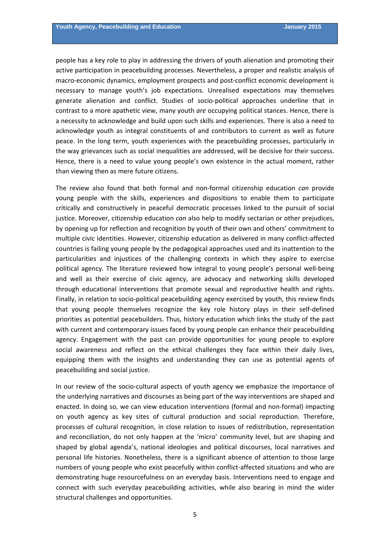people has a key role to play in addressing the drivers of youth alienation and promoting their active participation in peacebuilding processes. Nevertheless, a proper and realistic analysis of macro-economic dynamics, employment prospects and post-conflict economic development is necessary to manage youth's job expectations. Unrealised expectations may themselves generate alienation and conflict. Studies of socio‐political approaches underline that in contrast to a more apathetic view, many youth *are* occupying political stances. Hence, there is a necessity to acknowledge and build upon such skills and experiences. There is also a need to acknowledge youth as integral constituents of and contributors to current as well as future peace. In the long term, youth experiences with the peacebuilding processes, particularly in the way grievances such as social inequalities are addressed, will be decisive for their success. Hence, there is a need to value young people's own existence in the actual moment, rather than viewing then as mere future citizens.

The review also found that both formal and non‐formal citizenship education *can* provide young people with the skills, experiences and dispositions to enable them to participate critically and constructively in peaceful democratic processes linked to the pursuit of social justice. Moreover, citizenship education *can* also help to modify sectarian or other prejudices, by opening up for reflection and recognition by youth of their own and others' commitment to multiple civic identities. However, citizenship education as delivered in many conflict-affected countries is failing young people by the pedagogical approaches used and its inattention to the particularities and injustices of the challenging contexts in which they aspire to exercise political agency. The literature reviewed how integral to young people's personal well‐being and well as their exercise of civic agency, are advocacy and networking skills developed through educational interventions that promote sexual and reproductive health and rights. Finally, in relation to socio‐political peacebuilding agency exercised by youth, this review finds that young people themselves recognize the key role history plays in their self‐defined priorities as potential peacebuilders. Thus, history education which links the study of the past with current and contemporary issues faced by young people can enhance their peacebuilding agency. Engagement with the past can provide opportunities for young people to explore social awareness and reflect on the ethical challenges they face within their daily lives, equipping them with the insights and understanding they can use as potential agents of peacebuilding and social justice.

In our review of the socio‐cultural aspects of youth agency we emphasize the importance of the underlying narratives and discourses as being part of the way interventions are shaped and enacted. In doing so, we can view education interventions (formal and non-formal) impacting on youth agency as key sites of cultural production and social reproduction. Therefore, processes of cultural recognition, in close relation to issues of redistribution, representation and reconciliation, do not only happen at the 'micro' community level, but are shaping and shaped by global agenda's, national ideologies and political discourses, local narratives and personal life histories. Nonetheless, there is a significant absence of attention to those large numbers of young people who exist peacefully within conflict-affected situations and who are demonstrating huge resourcefulness on an everyday basis. Interventions need to engage and connect with such everyday peacebuilding activities, while also bearing in mind the wider structural challenges and opportunities.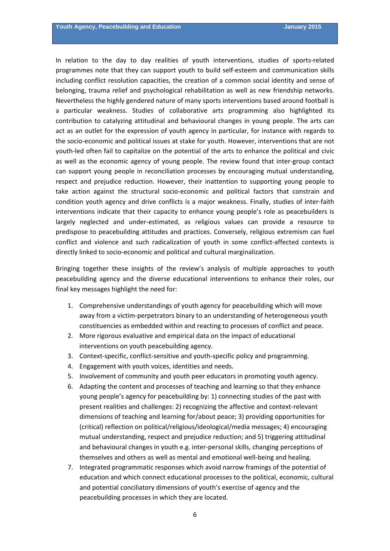In relation to the day to day realities of youth interventions, studies of sports‐related programmes note that they can support youth to build self‐esteem and communication skills including conflict resolution capacities, the creation of a common social identity and sense of belonging, trauma relief and psychological rehabilitation as well as new friendship networks. Nevertheless the highly gendered nature of many sports interventions based around football is a particular weakness. Studies of collaborative arts programming also highlighted its contribution to catalyzing attitudinal and behavioural changes in young people. The arts can act as an outlet for the expression of youth agency in particular, for instance with regards to the socio‐economic and political issues at stake for youth. However, interventions that are not youth‐led often fail to capitalize on the potential of the arts to enhance the political and civic as well as the economic agency of young people. The review found that inter‐group contact can support young people in reconciliation processes by encouraging mutual understanding, respect and prejudice reduction. However, their inattention to supporting young people to take action against the structural socio-economic and political factors that constrain and condition youth agency and drive conflicts is a major weakness. Finally, studies of inter‐faith interventions indicate that their capacity to enhance young people's role as peacebuilders is largely neglected and under‐estimated, as religious values can provide a resource to predispose to peacebuilding attitudes and practices. Conversely, religious extremism can fuel conflict and violence and such radicalization of youth in some conflict-affected contexts is directly linked to socio‐economic and political and cultural marginalization.

Bringing together these insights of the review's analysis of multiple approaches to youth peacebuilding agency and the diverse educational interventions to enhance their roles, our final key messages highlight the need for:

- 1. Comprehensive understandings of youth agency for peacebuilding which will move away from a victim‐perpetrators binary to an understanding of heterogeneous youth constituencies as embedded within and reacting to processes of conflict and peace.
- 2. More rigorous evaluative and empirical data on the impact of educational interventions on youth peacebuilding agency.
- 3. Context‐specific, conflict‐sensitive and youth‐specific policy and programming.
- 4. Engagement with youth voices, identities and needs.
- 5. Involvement of community and youth peer educators in promoting youth agency.
- 6. Adapting the content and processes of teaching and learning so that they enhance young people's agency for peacebuilding by: 1) connecting studies of the past with present realities and challenges: 2) recognizing the affective and context-relevant dimensions of teaching and learning for/about peace; 3) providing opportunities for (critical) reflection on political/religious/ideological/media messages; 4) encouraging mutual understanding, respect and prejudice reduction; and 5) triggering attitudinal and behavioural changes in youth e.g. inter‐personal skills, changing perceptions of themselves and others as well as mental and emotional well‐being and healing.
- 7. Integrated programmatic responses which avoid narrow framings of the potential of education and which connect educational processes to the political, economic, cultural and potential conciliatory dimensions of youth's exercise of agency and the peacebuilding processes in which they are located.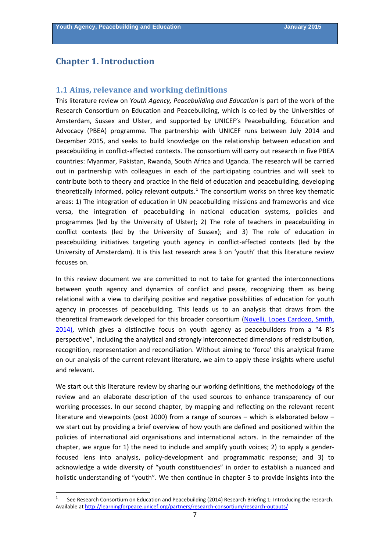# <span id="page-6-0"></span>**Chapter 1. Introduction**

### **1.1 Aims, relevance and working definitions**

This literature review on *Youth Agency, Peacebuilding and Education* is part of the work of the Research Consortium on Education and Peacebuilding, which is co-led by the Universities of Amsterdam, Sussex and Ulster, and supported by UNICEF's Peacebuilding, Education and Advocacy (PBEA) programme. The partnership with UNICEF runs between July 2014 and December 2015, and seeks to build knowledge on the relationship between education and peacebuilding in conflict‐affected contexts. The consortium will carry out research in five PBEA countries: Myanmar, Pakistan, Rwanda, South Africa and Uganda. The research will be carried out in partnership with colleagues in each of the participating countries and will seek to contribute both to theory and practice in the field of education and peacebuilding, developing theoretically informed, policy relevant outputs.<sup>[1](#page-6-0)</sup> The consortium works on three key thematic areas: 1) The integration of education in UN peacebuilding missions and frameworks and vice versa, the integration of peacebuilding in national education systems, policies and programmes (led by the University of Ulster); 2) The role of teachers in peacebuilding in conflict contexts (led by the University of Sussex); and 3) The role of education in peacebuilding initiatives targeting youth agency in conflict-affected contexts (led by the University of Amsterdam). It is this last research area 3 on 'youth' that this literature review focuses on.

In this review document we are committed to not to take for granted the interconnections between youth agency and dynamics of conflict and peace, recognizing them as being relational with a view to clarifying positive and negative possibilities of education for youth agency in processes of peacebuilding. This leads us to an analysis that draws from the theoretical framework developed for this broader consortium (Novelli, Lopes [Cardozo,](http://learningforpeace.unicef.org/research/briefing-2-theoretical-and-analytic-framework/) Smith, [2014\),](http://learningforpeace.unicef.org/research/briefing-2-theoretical-and-analytic-framework/) which gives a distinctive focus on youth agency as peacebuilders from a "4 R's perspective", including the analytical and strongly interconnected dimensions of redistribution, recognition, representation and reconciliation. Without aiming to 'force' this analytical frame on our analysis of the current relevant literature, we aim to apply these insights where useful and relevant.

We start out this literature review by sharing our working definitions, the methodology of the review and an elaborate description of the used sources to enhance transparency of our working processes. In our second chapter, by mapping and reflecting on the relevant recent literature and viewpoints (post 2000) from a range of sources – which is elaborated below – we start out by providing a brief overview of how youth are defined and positioned within the policies of international aid organisations and international actors. In the remainder of the chapter, we argue for 1) the need to include and amplify youth voices; 2) to apply a gender‐ focused lens into analysis, policy‐development and programmatic response; and 3) to acknowledge a wide diversity of "youth constituencies" in order to establish a nuanced and holistic understanding of "youth". We then continue in chapter 3 to provide insights into the

<sup>1</sup> See Research Consortium on Education and Peacebuilding (2014) Research Briefing 1: Introducing the research. Available at [http://learningforpeace.unicef.org/partners/research](http://learningforpeace.unicef.org/partners/research-consortium/research-outputs/)‐consortium/research‐outputs/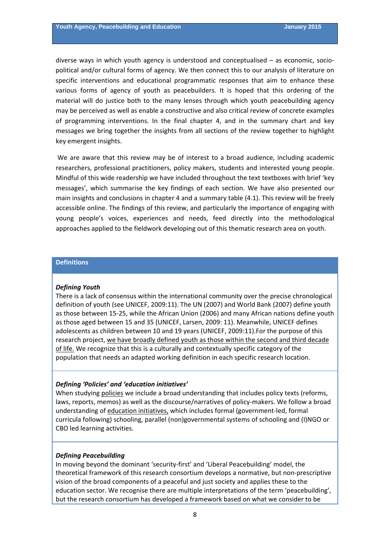diverse ways in which youth agency is understood and conceptualised – as economic, socio‐ political and/or cultural forms of agency. We then connect this to our analysis of literature on specific interventions and educational programmatic responses that aim to enhance these various forms of agency of youth as peacebuilders. It is hoped that this ordering of the material will do justice both to the many lenses through which youth peacebuilding agency may be perceived as well as enable a constructive and also critical review of concrete examples of programming interventions. In the final chapter 4, and in the summary chart and key messages we bring together the insights from all sections of the review together to highlight key emergent insights.

We are aware that this review may be of interest to a broad audience, including academic researchers, professional practitioners, policy makers, students and interested young people. Mindful of this wide readership we have included throughout the text textboxes with brief 'key messages', which summarise the key findings of each section. We have also presented our main insights and conclusions in chapter 4 and a summary table (4.1). This review will be freely accessible online. The findings of this review, and particularly the importance of engaging with young people's voices, experiences and needs, feed directly into the methodological approaches applied to the fieldwork developing out of this thematic research area on youth.

## **Definitions**

#### *Defining Youth*

There is a lack of consensus within the international community over the precise chronological definition of youth (see UNICEF, 2009:11). The UN (2007) and World Bank (2007) define youth as those between 15‐25, while the African Union (2006) and many African nations define youth as those aged between 15 and 35 (UNICEF, Larsen, 2009: 11). Meanwhile, UNICEF defines adolescents as children between 10 and 19 years (UNICEF, 2009:11).For the purpose of this research project, we have broadly defined youth as those within the second and third decade of life. We recognize that this is a culturally and contextually specific category of the population that needs an adapted working definition in each specific research location.

#### *Defining 'Policies' and 'education initiatives'*

When studying policies we include a broad understanding that includes policy texts (reforms, laws, reports, memos) as well as the discourse/narratives of policy-makers. We follow a broad understanding of education initiatives, which includes formal (government‐led, formal curricula following) schooling, parallel (non)governmental systems of schooling and (I)NGO or CBO led learning activities.

#### *Defining Peacebuilding*

In moving beyond the dominant 'security‐first' and 'Liberal Peacebuilding' model, the theoretical framework of this research consortium develops a normative, but non‐prescriptive vision of the broad components of a peaceful and just society and applies these to the education sector. We recognise there are multiple interpretations of the term 'peacebuilding', but the research consortium has developed a framework based on what we consider to be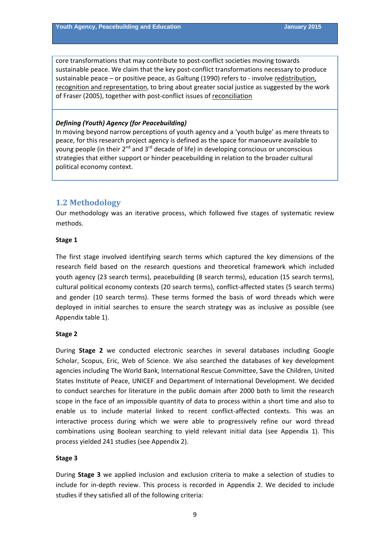<span id="page-8-0"></span>core transformations that may contribute to post-conflict societies moving towards sustainable peace. We claim that the key post-conflict transformations necessary to produce sustainable peace – or positive peace, as Galtung (1990) refers to ‐ involve redistribution, recognition and representation, to bring about greater social justice as suggested by the work of Fraser (2005), together with post-conflict issues of reconciliation

## *Defining (Youth) Agency (for Peacebuilding)*

In moving beyond narrow perceptions of youth agency and a 'youth bulge' as mere threats to peace, for this research project agency is defined as the space for manoeuvre available to young people (in their  $2^{nd}$  and  $3^{rd}$  decade of life) in developing conscious or unconscious strategies that either support or hinder peacebuilding in relation to the broader cultural political economy context.

# **1.2 Methodology**

Our methodology was an iterative process, which followed five stages of systematic review methods.

### **Stage 1**

The first stage involved identifying search terms which captured the key dimensions of the research field based on the research questions and theoretical framework which included youth agency (23 search terms), peacebuilding (8 search terms), education (15 search terms), cultural political economy contexts (20 search terms), conflict‐affected states (5 search terms) and gender (10 search terms). These terms formed the basis of word threads which were deployed in initial searches to ensure the search strategy was as inclusive as possible (see Appendix table 1).

# **Stage 2**

During **Stage 2** we conducted electronic searches in several databases including Google Scholar, Scopus, Eric, Web of Science. We also searched the databases of key development agencies including The World Bank, International Rescue Committee, Save the Children, United States Institute of Peace, UNICEF and Department of International Development. We decided to conduct searches for literature in the public domain after 2000 both to limit the research scope in the face of an impossible quantity of data to process within a short time and also to enable us to include material linked to recent conflict-affected contexts. This was an interactive process during which we were able to progressively refine our word thread combinations using Boolean searching to yield relevant initial data (see Appendix 1). This process yielded 241 studies (see Appendix 2).

# **Stage 3**

During **Stage 3** we applied inclusion and exclusion criteria to make a selection of studies to include for in-depth review. This process is recorded in Appendix 2. We decided to include studies if they satisfied all of the following criteria: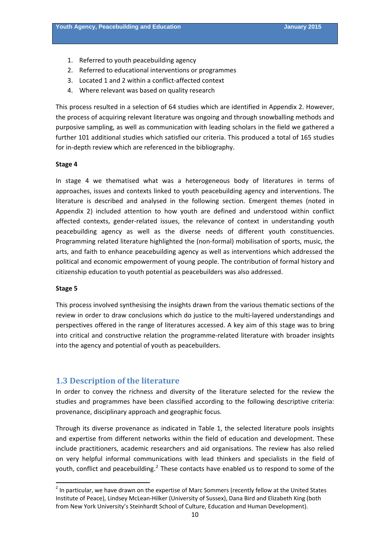- <span id="page-9-0"></span>1. Referred to youth peacebuilding agency
- 2. Referred to educational interventions or programmes
- 3. Located 1 and 2 within a conflict‐affected context
- 4. Where relevant was based on quality research

This process resulted in a selection of 64 studies which are identified in Appendix 2. However, the process of acquiring relevant literature was ongoing and through snowballing methods and purposive sampling, as well as communication with leading scholars in the field we gathered a further 101 additional studies which satisfied our criteria. This produced a total of 165 studies for in‐depth review which are referenced in the bibliography.

#### **Stage 4**

In stage 4 we thematised what was a heterogeneous body of literatures in terms of approaches, issues and contexts linked to youth peacebuilding agency and interventions. The literature is described and analysed in the following section. Emergent themes (noted in Appendix 2) included attention to how youth are defined and understood within conflict affected contexts, gender‐related issues, the relevance of context in understanding youth peacebuilding agency as well as the diverse needs of different youth constituencies. Programming related literature highlighted the (non‐formal) mobilisation of sports, music, the arts, and faith to enhance peacebuilding agency as well as interventions which addressed the political and economic empowerment of young people. The contribution of formal history and citizenship education to youth potential as peacebuilders was also addressed.

#### **Stage 5**

This process involved synthesising the insights drawn from the various thematic sections of the review in order to draw conclusions which do justice to the multi-layered understandings and perspectives offered in the range of literatures accessed. A key aim of this stage was to bring into critical and constructive relation the programme‐related literature with broader insights into the agency and potential of youth as peacebuilders.

#### **1.3 Description of the literature**

In order to convey the richness and diversity of the literature selected for the review the studies and programmes have been classified according to the following descriptive criteria: provenance, disciplinary approach and geographic focus.

Through its diverse provenance as indicated in Table 1, the selected literature pools insights and expertise from different networks within the field of education and development. These include practitioners, academic researchers and aid organisations. The review has also relied on very helpful informal communications with lead thinkers and specialists in the field of youth, conflict and peacebuilding.<sup>[2](#page-9-0)</sup> These contacts have enabled us to respond to some of the

 $2$  In particular, we have drawn on the expertise of Marc Sommers (recently fellow at the United States Institute of Peace), Lindsey McLean‐Hilker (University of Sussex), Dana Bird and Elizabeth King (both from New York University's Steinhardt School of Culture, Education and Human Development).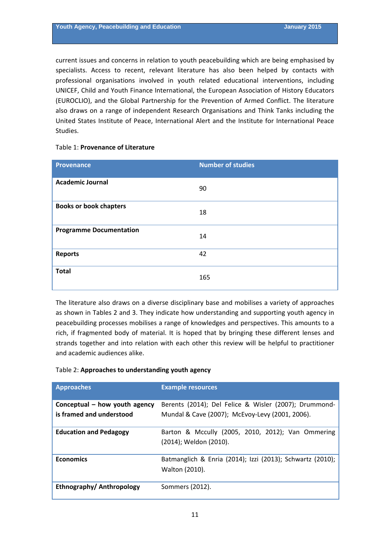current issues and concerns in relation to youth peacebuilding which are being emphasised by specialists. Access to recent, relevant literature has also been helped by contacts with professional organisations involved in youth related educational interventions, including UNICEF, Child and Youth Finance International, the European Association of History Educators (EUROCLIO), and the Global Partnership for the Prevention of Armed Conflict. The literature also draws on a range of independent Research Organisations and Think Tanks including the United States Institute of Peace, International Alert and the Institute for International Peace Studies.

### Table 1: **Provenance of Literature**

| <b>Provenance</b>              | <b>Number of studies</b> |
|--------------------------------|--------------------------|
| <b>Academic Journal</b>        | 90                       |
| <b>Books or book chapters</b>  | 18                       |
| <b>Programme Documentation</b> | 14                       |
| <b>Reports</b>                 | 42                       |
| <b>Total</b>                   | 165                      |

The literature also draws on a diverse disciplinary base and mobilises a variety of approaches as shown in Tables 2 and 3. They indicate how understanding and supporting youth agency in peacebuilding processes mobilises a range of knowledges and perspectives. This amounts to a rich, if fragmented body of material. It is hoped that by bringing these different lenses and strands together and into relation with each other this review will be helpful to practitioner and academic audiences alike.

# Table 2: **Approaches to understanding youth agency**

| <b>Approaches</b>                                           | <b>Example resources</b>                                                    |
|-------------------------------------------------------------|-----------------------------------------------------------------------------|
| Conceptual $-$ how youth agency<br>is framed and understood | Berents (2014); Del Felice & Wisler (2007); Drummond-                       |
|                                                             | Mundal & Cave (2007); McEvoy-Levy (2001, 2006).                             |
| <b>Education and Pedagogy</b>                               | Barton & Mccully (2005, 2010, 2012); Van Ommering<br>(2014); Weldon (2010). |
| <b>Economics</b>                                            | Batmanglich & Enria (2014); Izzi (2013); Schwartz (2010);<br>Walton (2010). |
| Ethnography/ Anthropology                                   | Sommers (2012).                                                             |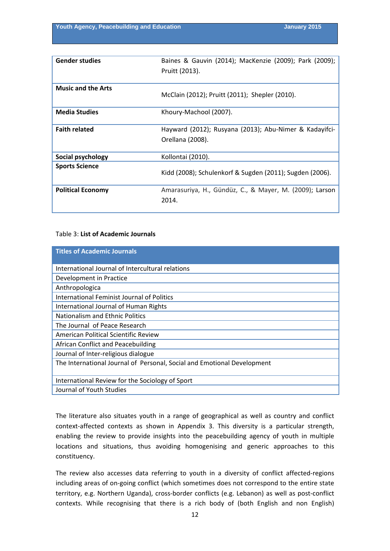| <b>Gender studies</b>     | Baines & Gauvin (2014); MacKenzie (2009); Park (2009);<br>Pruitt (2013).   |
|---------------------------|----------------------------------------------------------------------------|
| <b>Music and the Arts</b> | McClain (2012); Pruitt (2011); Shepler (2010).                             |
| <b>Media Studies</b>      | Khoury-Machool (2007).                                                     |
| <b>Faith related</b>      | Hayward (2012); Rusyana (2013); Abu-Nimer & Kadayifci-<br>Orellana (2008). |
| Social psychology         | Kollontai (2010).                                                          |
| <b>Sports Science</b>     | Kidd (2008); Schulenkorf & Sugden (2011); Sugden (2006).                   |
| <b>Political Economy</b>  | Amarasuriya, H., Gündüz, C., & Mayer, M. (2009); Larson<br>2014.           |

## Table 3: **List of Academic Journals**

| <b>Titles of Academic Journals</b>                                      |
|-------------------------------------------------------------------------|
| International Journal of Intercultural relations                        |
| Development in Practice                                                 |
| Anthropologica                                                          |
| <b>International Feminist Journal of Politics</b>                       |
| International Journal of Human Rights                                   |
| Nationalism and Ethnic Politics                                         |
| The Journal of Peace Research                                           |
| American Political Scientific Review                                    |
| African Conflict and Peacebuilding                                      |
| Journal of Inter-religious dialogue                                     |
| The International Journal of Personal, Social and Emotional Development |
| International Review for the Sociology of Sport                         |
| Journal of Youth Studies                                                |

The literature also situates youth in a range of geographical as well as country and conflict context-affected contexts as shown in Appendix 3. This diversity is a particular strength, enabling the review to provide insights into the peacebuilding agency of youth in multiple locations and situations, thus avoiding homogenising and generic approaches to this constituency.

The review also accesses data referring to youth in a diversity of conflict affected‐regions including areas of on‐going conflict (which sometimes does not correspond to the entire state territory, e.g. Northern Uganda), cross‐border conflicts (e.g. Lebanon) as well as post‐conflict contexts. While recognising that there is a rich body of (both English and non English)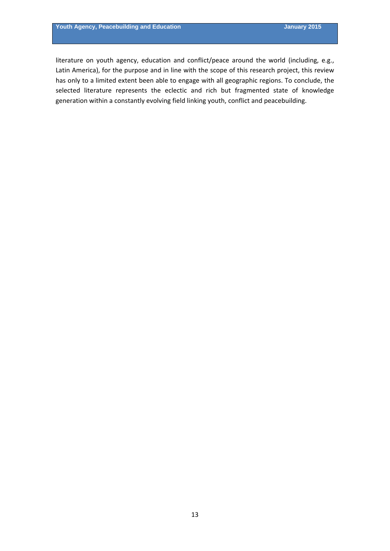literature on youth agency, education and conflict/peace around the world (including, e.g., Latin America), for the purpose and in line with the scope of this research project, this review has only to a limited extent been able to engage with all geographic regions. To conclude, the selected literature represents the eclectic and rich but fragmented state of knowledge generation within a constantly evolving field linking youth, conflict and peacebuilding.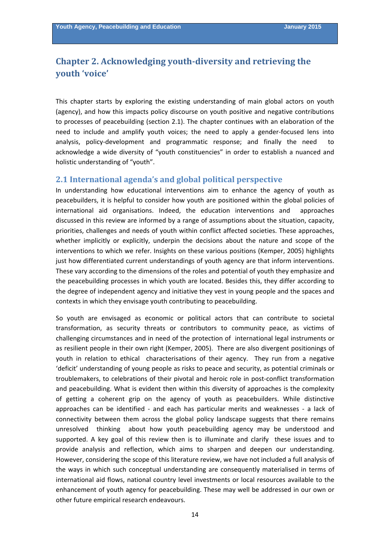# <span id="page-13-0"></span>**Chapter 2. Acknowledging youth‐diversity and retrieving the youth 'voice'**

This chapter starts by exploring the existing understanding of main global actors on youth (agency), and how this impacts policy discourse on youth positive and negative contributions to processes of peacebuilding (section 2.1). The chapter continues with an elaboration of the need to include and amplify youth voices; the need to apply a gender-focused lens into analysis, policy-development and programmatic response; and finally the need acknowledge a wide diversity of "youth constituencies" in order to establish a nuanced and holistic understanding of "youth".

# **2.1 International agenda's and global political perspective**

In understanding how educational interventions aim to enhance the agency of youth as peacebuilders, it is helpful to consider how youth are positioned within the global policies of international aid organisations. Indeed, the education interventions and approaches discussed in this review are informed by a range of assumptions about the situation, capacity, priorities, challenges and needs of youth within conflict affected societies. These approaches, whether implicitly or explicitly, underpin the decisions about the nature and scope of the interventions to which we refer. Insights on these various positions (Kemper, 2005) highlights just how differentiated current understandings of youth agency are that inform interventions. These vary according to the dimensions of the roles and potential of youth they emphasize and the peacebuilding processes in which youth are located. Besides this, they differ according to the degree of independent agency and initiative they vest in young people and the spaces and contexts in which they envisage youth contributing to peacebuilding.

So youth are envisaged as economic or political actors that can contribute to societal transformation, as security threats or contributors to community peace, as victims of challenging circumstances and in need of the protection of international legal instruments or as resilient people in their own right (Kemper, 2005). There are also divergent positionings of youth in relation to ethical characterisations of their agency. They run from a negative 'deficit' understanding of young people as risks to peace and security, as potential criminals or troublemakers, to celebrations of their pivotal and heroic role in post‐conflict transformation and peacebuilding. What is evident then within this diversity of approaches is the complexity of getting a coherent grip on the agency of youth as peacebuilders. While distinctive approaches can be identified - and each has particular merits and weaknesses - a lack of connectivity between them across the global policy landscape suggests that there remains unresolved thinking about how youth peacebuilding agency may be understood and supported. A key goal of this review then is to illuminate and clarify these issues and to provide analysis and reflection, which aims to sharpen and deepen our understanding. However, considering the scope of this literature review, we have not included a full analysis of the ways in which such conceptual understanding are consequently materialised in terms of international aid flows, national country level investments or local resources available to the enhancement of youth agency for peacebuilding. These may well be addressed in our own or other future empirical research endeavours.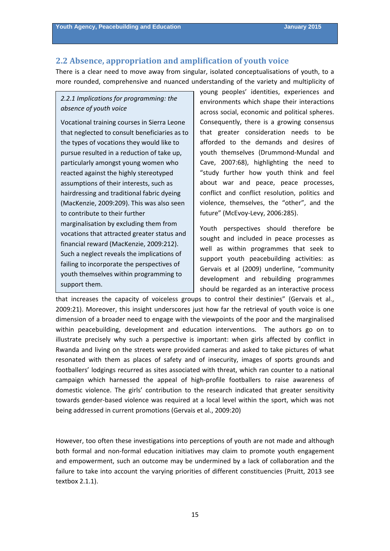# <span id="page-14-0"></span>**2.2 Absence, appropriation and amplification of youth voice**

There is a clear need to move away from singular, isolated conceptualisations of youth, to a more rounded, comprehensive and nuanced understanding of the variety and multiplicity of

# *2.2.1 Implications for programming: the absence of youth voice*

Vocational training courses in Sierra Leone that neglected to consult beneficiaries as to the types of vocations they would like to pursue resulted in a reduction of take up, particularly amongst young women who reacted against the highly stereotyped assumptions of their interests, such as hairdressing and traditional fabric dyeing (MacKenzie, 2009:209). This was also seen to contribute to their further marginalisation by excluding them from vocations that attracted greater status and financial reward (MacKenzie, 2009:212). Such a neglect reveals the implications of failing to incorporate the perspectives of youth themselves within programming to support them.

young peoples' identities, experiences and environments which shape their interactions across social, economic and political spheres. Consequently, there is a growing consensus that greater consideration needs to be afforded to the demands and desires of youth themselves (Drummond‐Mundal and Cave, 2007:68), highlighting the need to "study further how youth think and feel about war and peace, peace processes, conflict and conflict resolution, politics and violence, themselves, the "other", and the future" (McEvoy‐Levy, 2006:285).

Youth perspectives should therefore be sought and included in peace processes as well as within programmes that seek to support youth peacebuilding activities: as Gervais et al (2009) underline, "community development and rebuilding programmes should be regarded as an interactive process

that increases the capacity of voiceless groups to control their destinies" (Gervais et al., 2009:21). Moreover, this insight underscores just how far the retrieval of youth voice is one dimension of a broader need to engage with the viewpoints of the poor and the marginalised within peacebuilding, development and education interventions. The authors go on to illustrate precisely why such a perspective is important: when girls affected by conflict in Rwanda and living on the streets were provided cameras and asked to take pictures of what resonated with them as places of safety and of insecurity, images of sports grounds and footballers' lodgings recurred as sites associated with threat, which ran counter to a national campaign which harnessed the appeal of high‐profile footballers to raise awareness of domestic violence. The girls' contribution to the research indicated that greater sensitivity towards gender‐based violence was required at a local level within the sport, which was not being addressed in current promotions (Gervais et al., 2009:20)

However, too often these investigations into perceptions of youth are not made and although both formal and non-formal education initiatives may claim to promote youth engagement and empowerment, such an outcome may be undermined by a lack of collaboration and the failure to take into account the varying priorities of different constituencies (Pruitt, 2013 see textbox 2.1.1).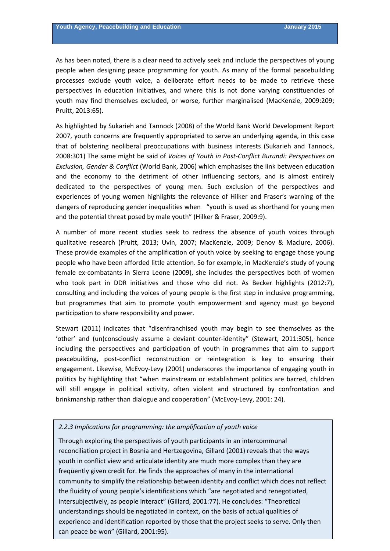As has been noted, there is a clear need to actively seek and include the perspectives of young people when designing peace programming for youth. As many of the formal peacebuilding processes exclude youth voice, a deliberate effort needs to be made to retrieve these perspectives in education initiatives, and where this is not done varying constituencies of youth may find themselves excluded, or worse, further marginalised (MacKenzie, 2009:209; Pruitt, 2013:65).

As highlighted by Sukarieh and Tannock (2008) of the World Bank World Development Report 2007, youth concerns are frequently appropriated to serve an underlying agenda, in this case that of bolstering neoliberal preoccupations with business interests (Sukarieh and Tannock, 2008:301) The same might be said of *Voices of Youth in Post‐Conflict Burundi: Perspectives on Exclusion, Gender & Conflict* (World Bank, 2006) which emphasises the link between education and the economy to the detriment of other influencing sectors, and is almost entirely dedicated to the perspectives of young men. Such exclusion of the perspectives and experiences of young women highlights the relevance of Hilker and Fraser's warning of the dangers of reproducing gender inequalities when "youth is used as shorthand for young men and the potential threat posed by male youth" (Hilker & Fraser, 2009:9).

A number of more recent studies seek to redress the absence of youth voices through qualitative research (Pruitt, 2013; Uvin, 2007; MacKenzie, 2009; Denov & Maclure, 2006). These provide examples of the amplification of youth voice by seeking to engage those young people who have been afforded little attention. So for example, in MacKenzie's study of young female ex-combatants in Sierra Leone (2009), she includes the perspectives both of women who took part in DDR initiatives and those who did not. As Becker highlights (2012:7), consulting and including the voices of young people is the first step in inclusive programming, but programmes that aim to promote youth empowerment and agency must go beyond participation to share responsibility and power.

Stewart (2011) indicates that "disenfranchised youth may begin to see themselves as the 'other' and (un)consciously assume a deviant counter‐identity" (Stewart, 2011:305), hence including the perspectives and participation of youth in programmes that aim to support peacebuilding, post-conflict reconstruction or reintegration is key to ensuring their engagement. Likewise, McEvoy‐Levy (2001) underscores the importance of engaging youth in politics by highlighting that "when mainstream or establishment politics are barred, children will still engage in political activity, often violent and structured by confrontation and brinkmanship rather than dialogue and cooperation" (McEvoy‐Levy, 2001: 24).

# *2.2.3 Implications for programming: the amplification of youth voice*

understandings should be negotiated in context, on the basis of actual qualities of Through exploring the perspectives of youth participants in an intercommunal reconciliation project in Bosnia and Hertzegovina, Gillard (2001) reveals that the ways youth in conflict view and articulate identity are much more complex than they are frequently given credit for. He finds the approaches of many in the international community to simplify the relationship between identity and conflict which does not reflect the fluidity of young people's identifications which "are negotiated and renegotiated, intersubjectively, as people interact" (Gillard, 2001:77). He concludes: "Theoretical experience and identification reported by those that the project seeks to serve. Only then can peace be won" (Gillard, 2001:95).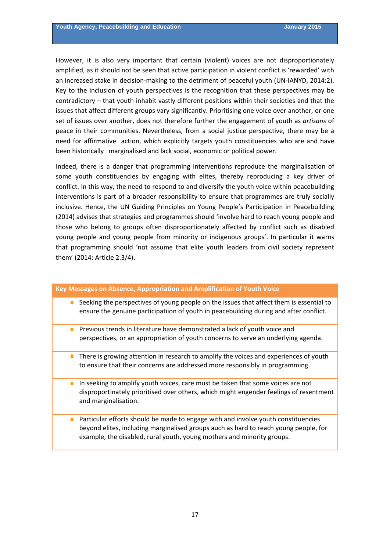However, it is also very important that certain (violent) voices are not disproportionately amplified, as it should not be seen that active participation in violent conflict is 'rewarded' with an increased stake in decision-making to the detriment of peaceful youth (UN-IANYD, 2014:2). Key to the inclusion of youth perspectives is the recognition that these perspectives may be contradictory – that youth inhabit vastly different positions within their societies and that the issues that affect different groups vary significantly. Prioritising one voice over another, or one set of issues over another, does not therefore further the engagement of youth as *artisans* of peace in their communities. Nevertheless, from a social justice perspective, there may be a need for affirmative action, which explicitly targets youth constituencies who are and have been historically marginalised and lack social, economic or political power.

Indeed, there is a danger that programming interventions reproduce the marginalisation of some youth constituencies by engaging with elites, thereby reproducing a key driver of conflict. In this way, the need to respond to and diversify the youth voice within peacebuilding interventions is part of a broader responsibility to ensure that programmes are truly socially inclusive. Hence, the UN Guiding Principles on Young People's Participation in Peacebuilding (2014) advises that strategies and programmes should 'involve hard to reach young people and those who belong to groups often disproportionately affected by conflict such as disabled young people and young people from minority or indigenous groups'. In particular it warns that programming should 'not assume that elite youth leaders from civil society represent them' (2014: Article 2.3/4).

| Key Messages on Absence, Appropriation and Amplification of Youth Voice                                                                                                                                                                                  |
|----------------------------------------------------------------------------------------------------------------------------------------------------------------------------------------------------------------------------------------------------------|
| Seeking the perspectives of young people on the issues that affect them is essential to<br>п<br>ensure the genuine participatiion of youth in peacebuilding during and after conflict.                                                                   |
| Previous trends in literature have demonstrated a lack of youth voice and<br>п<br>perspectives, or an appropriation of youth concerns to serve an underlying agenda.                                                                                     |
| There is growing attention in research to amplify the voices and experiences of youth<br>$\Box$<br>to ensure that their concerns are addressed more responsibly in programming.                                                                          |
| In seeking to amplify youth voices, care must be taken that some voices are not<br>п<br>disproportinately prioritised over others, which might engender feelings of resentment<br>and marginalisation.                                                   |
| Particular efforts should be made to engage with and involve youth constituencies<br>П<br>beyond elites, including marginalised groups auch as hard to reach young people, for<br>example, the disabled, rural youth, young mothers and minority groups. |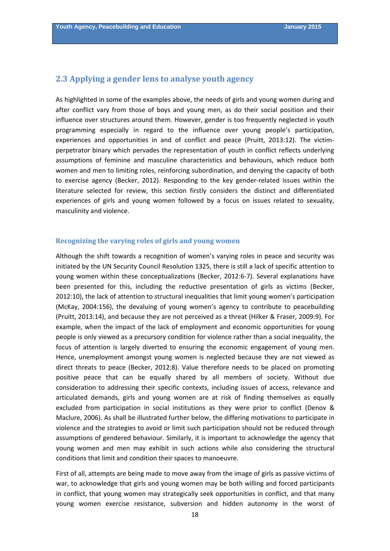## <span id="page-17-0"></span>**2.3 Applying a gender lens to analyse youth agency**

As highlighted in some of the examples above, the needs of girls and young women during and after conflict vary from those of boys and young men, as do their social position and their influence over structures around them. However, gender is too frequently neglected in youth programming especially in regard to the influence over young people's participation, experiences and opportunities in and of conflict and peace (Pruitt, 2013:12). The victimperpetrator binary which pervades the representation of youth in conflict reflects underlying assumptions of feminine and masculine characteristics and behaviours, which reduce both women and men to limiting roles, reinforcing subordination, and denying the capacity of both to exercise agency (Becker, 2012). Responding to the key gender‐related issues within the literature selected for review, this section firstly considers the distinct and differentiated experiences of girls and young women followed by a focus on issues related to sexuality, masculinity and violence.

# **Recognizing the varying roles of girls and young women**

Although the shift towards a recognition of women's varying roles in peace and security was initiated by the UN Security Council Resolution 1325, there is still a lack of specific attention to young women within these conceptualizations (Becker, 2012:6‐7). Several explanations have been presented for this, including the reductive presentation of girls as victims (Becker, 2012:10), the lack of attention to structural inequalities that limit young women's participation (McKay, 2004:156), the devaluing of young women's agency to contribute to peacebuilding (Pruitt, 2013:14), and because they are not perceived as a threat (Hilker & Fraser, 2009:9). For example, when the impact of the lack of employment and economic opportunities for young people is only viewed as a precursory condition for violence rather than a social inequality, the focus of attention is largely diverted to ensuring the economic engagement of young men. Hence, unemployment amongst young women is neglected because they are not viewed as direct threats to peace (Becker, 2012:8). Value therefore needs to be placed on promoting positive peace that can be equally shared by all members of society. Without due consideration to addressing their specific contexts, including issues of access, relevance and articulated demands, girls and young women are at risk of finding themselves as equally excluded from participation in social institutions as they were prior to conflict (Denov & Maclure, 2006). As shall be illustrated further below, the differing motivations to participate in violence and the strategies to avoid or limit such participation should not be reduced through assumptions of gendered behaviour. Similarly, it is important to acknowledge the agency that young women and men may exhibit in such actions while also considering the structural conditions that limit and condition their spaces to manoeuvre.

First of all, attempts are being made to move away from the image of girls as passive victims of war, to acknowledge that girls and young women may be both willing and forced participants in conflict, that young women may strategically seek opportunities in conflict, and that many young women exercise resistance, subversion and hidden autonomy in the worst of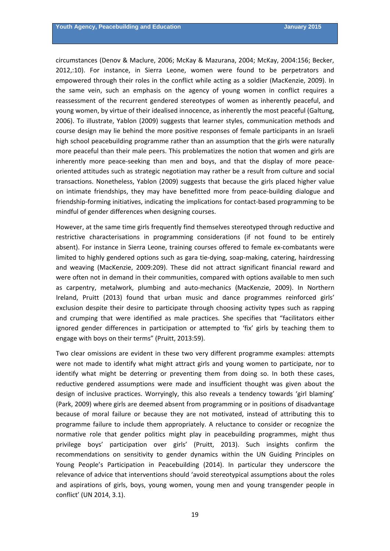circumstances (Denov & Maclure, 2006; McKay & Mazurana, 2004; McKay, 2004:156; Becker, 2012,:10). For instance, in Sierra Leone, women were found to be perpetrators and empowered through their roles in the conflict while acting as a soldier (MacKenzie, 2009). In the same vein, such an emphasis on the agency of young women in conflict requires a reassessment of the recurrent gendered stereotypes of women as inherently peaceful, and young women, by virtue of their idealised innocence, as inherently the most peaceful (Galtung, 2006). To illustrate, Yablon (2009) suggests that learner styles, communication methods and course design may lie behind the more positive responses of female participants in an Israeli high school peacebuilding programme rather than an assumption that the girls were naturally more peaceful than their male peers. This problematizes the notion that women and girls are inherently more peace-seeking than men and boys, and that the display of more peaceoriented attitudes such as strategic negotiation may rather be a result from culture and social transactions. Nonetheless, Yablon (2009) suggests that because the girls placed higher value on intimate friendships, they may have benefitted more from peace‐building dialogue and friendship‐forming initiatives, indicating the implications for contact‐based programming to be mindful of gender differences when designing courses.

However, at the same time girls frequently find themselves stereotyped through reductive and restrictive characterisations in programming considerations (if not found to be entirely absent). For instance in Sierra Leone, training courses offered to female ex-combatants were limited to highly gendered options such as gara tie‐dying, soap‐making, catering, hairdressing and weaving (MacKenzie, 2009:209). These did not attract significant financial reward and were often not in demand in their communities, compared with options available to men such as carpentry, metalwork, plumbing and auto-mechanics (MacKenzie, 2009). In Northern Ireland, Pruitt (2013) found that urban music and dance programmes reinforced girls' exclusion despite their desire to participate through choosing activity types such as rapping and crumping that were identified as male practices. She specifies that "facilitators either ignored gender differences in participation or attempted to 'fix' girls by teaching them to engage with boys on their terms" (Pruitt, 2013:59).

Two clear omissions are evident in these two very different programme examples: attempts were not made to identify what might attract girls and young women to participate, nor to identify what might be deterring or preventing them from doing so. In both these cases, reductive gendered assumptions were made and insufficient thought was given about the design of inclusive practices. Worryingly, this also reveals a tendency towards 'girl blaming' (Park, 2009) where girls are deemed absent from programming or in positions of disadvantage because of moral failure or because they are not motivated, instead of attributing this to programme failure to include them appropriately. A reluctance to consider or recognize the normative role that gender politics might play in peacebuilding programmes, might thus privilege boys' participation over girls' (Pruitt, 2013). Such insights confirm the recommendations on sensitivity to gender dynamics within the UN Guiding Principles on Young People's Participation in Peacebuilding (2014). In particular they underscore the relevance of advice that interventions should 'avoid stereotypical assumptions about the roles and aspirations of girls, boys, young women, young men and young transgender people in conflict' (UN 2014, 3.1).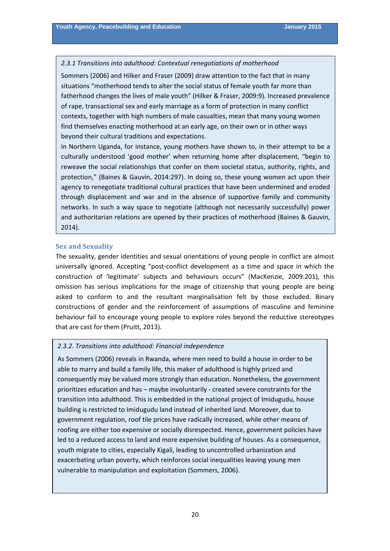#### <span id="page-19-0"></span>*2.3.1 Transitions into adulthood: Contextual renegotiations of motherhood*

Sommers (2006) and Hilker and Fraser (2009) draw attention to the fact that in many situations "motherhood tends to alter the social status of female youth far more than fatherhood changes the lives of male youth" (Hilker & Fraser, 2009:9). Increased prevalence of rape, transactional sex and early marriage as a form of protection in many conflict contexts, together with high numbers of male casualties, mean that many young women find themselves enacting motherhood at an early age, on their own or in other ways beyond their cultural traditions and expectations.

In Northern Uganda, for instance, young mothers have shown to, in their attempt to be a culturally understood 'good mother' when returning home after displacement, "begin to reweave the social relationships that confer on them societal status, authority, rights, and protection," (Baines & Gauvin, 2014:297). In doing so, these young women act upon their agency to renegotiate traditional cultural practices that have been undermined and eroded through displacement and war and in the absence of supportive family and community networks. In such a way space to negotiate (although not necessarily successfully) power and authoritarian relations are opened by their practices of motherhood (Baines & Gauvin, 2014).

#### **Sex and Sexuality**

The sexuality, gender identities and sexual orientations of young people in conflict are almost universally ignored. Accepting "post-conflict development as a time and space in which the construction of 'legitimate' subjects and behaviours occurs" (MacKenzie, 2009:201), this omission has serious implications for the image of citizenship that young people are being asked to conform to and the resultant marginalisation felt by those excluded. Binary constructions of gender and the reinforcement of assumptions of masculine and feminine behaviour fail to encourage young people to explore roles beyond the reductive stereotypes that are cast for them (Pruitt, 2013).

### *2.3.2. Transitions into adulthood: Financial independence*

As Sommers (2006) reveals in Rwanda, where men need to build a house in order to be able to marry and build a family life, this maker of adulthood is highly prized and consequently may be valued more strongly than education. Nonetheless, the government prioritizes education and has – maybe involuntarily ‐ created severe constraints for the transition into adulthood. This is embedded in the national project of Imidugudu, house building is restricted to Imidugudu land instead of inherited land. Moreover, due to government regulation, roof tile prices have radically increased, while other means of roofing are either too expensive or socially disrespected. Hence, government policies have led to a reduced access to land and more expensive building of houses. As a consequence, youth migrate to cities, especially Kigali, leading to uncontrolled urbanization and exacerbating urban poverty, which reinforces social inequalities leaving young men vulnerable to manipulation and exploitation (Sommers, 2006).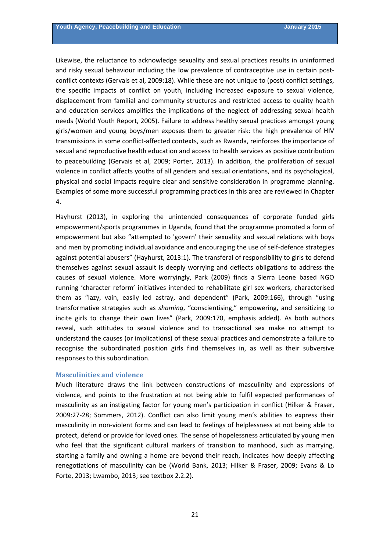<span id="page-20-0"></span>Likewise, the reluctance to acknowledge sexuality and sexual practices results in uninformed and risky sexual behaviour including the low prevalence of contraceptive use in certain postconflict contexts (Gervais et al, 2009:18). While these are not unique to (post) conflict settings, the specific impacts of conflict on youth, including increased exposure to sexual violence, displacement from familial and community structures and restricted access to quality health and education services amplifies the implications of the neglect of addressing sexual health needs (World Youth Report, 2005). Failure to address healthy sexual practices amongst young girls/women and young boys/men exposes them to greater risk: the high prevalence of HIV transmissions in some conflict-affected contexts, such as Rwanda, reinforces the importance of sexual and reproductive health education and access to health services as positive contribution to peacebuilding (Gervais et al, 2009; Porter, 2013). In addition, the proliferation of sexual violence in conflict affects youths of all genders and sexual orientations, and its psychological, physical and social impacts require clear and sensitive consideration in programme planning. Examples of some more successful programming practices in this area are reviewed in Chapter 4.

Hayhurst (2013), in exploring the unintended consequences of corporate funded girls empowerment/sports programmes in Uganda, found that the programme promoted a form of empowerment but also "attempted to 'govern' their sexuality and sexual relations with boys and men by promoting individual avoidance and encouraging the use of self-defence strategies against potential abusers" (Hayhurst, 2013:1). The transferal of responsibility to girls to defend themselves against sexual assault is deeply worrying and deflects obligations to address the causes of sexual violence. More worryingly, Park (2009) finds a Sierra Leone based NGO running 'character reform' initiatives intended to rehabilitate girl sex workers, characterised them as "lazy, vain, easily led astray, and dependent" (Park, 2009:166), through "using transformative strategies such as *shaming*, "conscientising," empowering, and sensitizing to incite girls to change their own lives" (Park, 2009:170, emphasis added). As both authors reveal, such attitudes to sexual violence and to transactional sex make no attempt to understand the causes (or implications) of these sexual practices and demonstrate a failure to recognise the subordinated position girls find themselves in, as well as their subversive responses to this subordination.

#### **Masculinities and violence**

Much literature draws the link between constructions of masculinity and expressions of violence, and points to the frustration at not being able to fulfil expected performances of masculinity as an instigating factor for young men's participation in conflict (Hilker & Fraser, 2009:27‐28; Sommers, 2012). Conflict can also limit young men's abilities to express their masculinity in non‐violent forms and can lead to feelings of helplessness at not being able to protect, defend or provide for loved ones. The sense of hopelessness articulated by young men who feel that the significant cultural markers of transition to manhood, such as marrying, starting a family and owning a home are beyond their reach, indicates how deeply affecting renegotiations of masculinity can be (World Bank, 2013; Hilker & Fraser, 2009; Evans & Lo Forte, 2013; Lwambo, 2013; see textbox 2.2.2).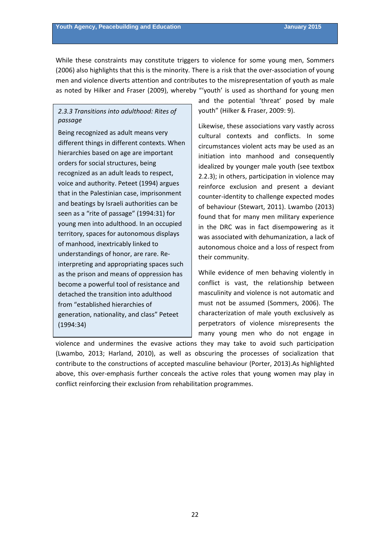While these constraints may constitute triggers to violence for some young men, Sommers (2006) also highlights that this is the minority. There is a risk that the over‐association of young men and violence diverts attention and contributes to the misrepresentation of youth as male as noted by Hilker and Fraser (2009), whereby "'youth' is used as shorthand for young men

# *2.3.3 Transitions into adulthood: Rites of passage*

Being recognized as adult means very different things in different contexts. When hierarchies based on age are important orders for social structures, being recognized as an adult leads to respect, voice and authority. Peteet (1994) argues that in the Palestinian case, imprisonment and beatings by Israeli authorities can be seen as a "rite of passage" (1994:31) for young men into adulthood. In an occupied territory, spaces for autonomous displays of manhood, inextricably linked to understandings of honor, are rare. Re‐ interpreting and appropriating spaces such as the prison and means of oppression has become a powerful tool of resistance and detached the transition into adulthood from "established hierarchies of generation, nationality, and class" Peteet (1994:34)

and the potential 'threat' posed by male youth" (Hilker & Fraser, 2009: 9).

Likewise, these associations vary vastly across cultural contexts and conflicts. In some circumstances violent acts may be used as an initiation into manhood and consequently idealized by younger male youth (see textbox 2.2.3); in others, participation in violence may reinforce exclusion and present a deviant counter‐identity to challenge expected modes of behaviour (Stewart, 2011). Lwambo (2013) found that for many men military experience in the DRC was in fact disempowering as it was associated with dehumanization, a lack of autonomous choice and a loss of respect from their community.

While evidence of men behaving violently in conflict is vast, the relationship between masculinity and violence is not automatic and must not be assumed (Sommers, 2006). The characterization of male youth exclusively as perpetrators of violence misrepresents the many young men who do not engage in

violence and undermines the evasive actions they may take to avoid such participation (Lwambo, 2013; Harland, 2010), as well as obscuring the processes of socialization that contribute to the constructions of accepted masculine behaviour (Porter, 2013).As highlighted above, this over-emphasis further conceals the active roles that young women may play in conflict reinforcing their exclusion from rehabilitation programmes.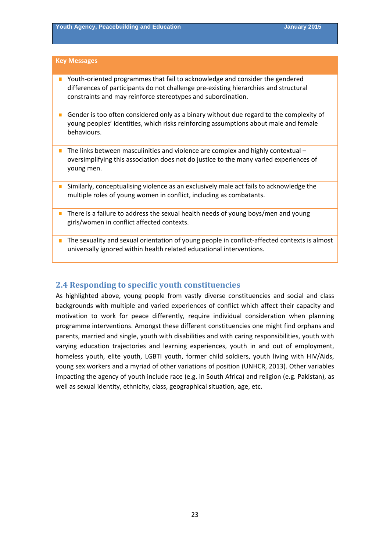#### <span id="page-22-0"></span>**Key Messages**

- Youth-oriented programmes that fail to acknowledge and consider the gendered differences of participants do not challenge pre‐existing hierarchies and structural constraints and may reinforce stereotypes and subordination.
- $\overline{\phantom{a}}$ Gender is too often considered only as a binary without due regard to the complexity of young peoples' identities, which risks reinforcing assumptions about male and female behaviours.
- $\blacksquare$  The links between masculinities and violence are complex and highly contextual oversimplifying this association does not do justice to the many varied experiences of young men.
- **Similarly, conceptualising violence as an exclusively male act fails to acknowledge the** multiple roles of young women in conflict, including as combatants.
- There is a failure to address the sexual health needs of young boys/men and young girls/women in conflict affected contexts.
- The sexuality and sexual orientation of young people in conflict-affected contexts is almost universally ignored within health related educational interventions.

# **2.4 Responding to specific youth constituencies**

As highlighted above, young people from vastly diverse constituencies and social and class backgrounds with multiple and varied experiences of conflict which affect their capacity and motivation to work for peace differently, require individual consideration when planning programme interventions. Amongst these different constituencies one might find orphans and parents, married and single, youth with disabilities and with caring responsibilities, youth with varying education trajectories and learning experiences, youth in and out of employment, homeless youth, elite youth, LGBTI youth, former child soldiers, youth living with HIV/Aids, young sex workers and a myriad of other variations of position (UNHCR, 2013). Other variables impacting the agency of youth include race (e.g. in South Africa) and religion (e.g. Pakistan), as well as sexual identity, ethnicity, class, geographical situation, age, etc.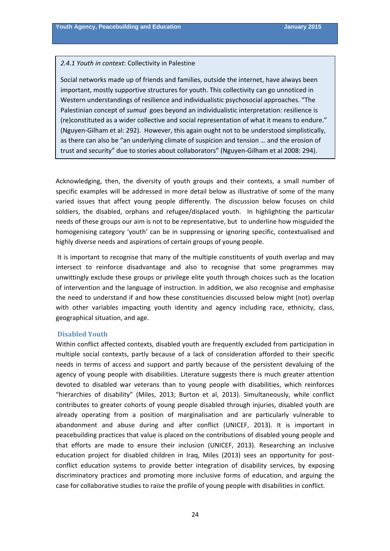#### <span id="page-23-0"></span>*2.4.1 Youth in context*: Collectivity in Palestine

Social networks made up of friends and families, outside the internet, have always been important, mostly supportive structures for youth. This collectivity can go unnoticed in Western understandings of resilience and individualistic psychosocial approaches. "The Palestinian concept of *sumud* goes beyond an individualistic interpretation: resilience is (re)constituted as a wider collective and social representation of what it means to endure." (Nguyen‐Gilham et al: 292). However, this again ought not to be understood simplistically, as there can also be "an underlying climate of suspicion and tension … and the erosion of trust and security" due to stories about collaborators" (Nguyen‐Gilham et al 2008: 294).

Acknowledging, then, the diversity of youth groups and their contexts, a small number of specific examples will be addressed in more detail below as illustrative of some of the many varied issues that affect young people differently. The discussion below focuses on child soldiers, the disabled, orphans and refugee/displaced youth. In highlighting the particular needs of these groups our aim is not to be representative, but to underline how misguided the homogenising category 'youth' can be in suppressing or ignoring specific, contextualised and highly diverse needs and aspirations of certain groups of young people.

It is important to recognise that many of the multiple constituents of youth overlap and may intersect to reinforce disadvantage and also to recognise that some programmes may unwittingly exclude these groups or privilege elite youth through choices such as the location of intervention and the language of instruction. In addition, we also recognise and emphasise the need to understand if and how these constituencies discussed below might (not) overlap with other variables impacting youth identity and agency including race, ethnicity, class, geographical situation, and age.

#### **Disabled Youth**

Within conflict affected contexts, disabled youth are frequently excluded from participation in multiple social contexts, partly because of a lack of consideration afforded to their specific needs in terms of access and support and partly because of the persistent devaluing of the agency of young people with disabilities. Literature suggests there is much greater attention devoted to disabled war veterans than to young people with disabilities, which reinforces "hierarchies of disability" (Miles, 2013; Burton et al, 2013). Simultaneously, while conflict contributes to greater cohorts of young people disabled through injuries, disabled youth are already operating from a position of marginalisation and are particularly vulnerable to abandonment and abuse during and after conflict (UNICEF, 2013). It is important in peacebuilding practices that value is placed on the contributions of disabled young people and that efforts are made to ensure their inclusion (UNICEF, 2013). Researching an inclusive education project for disabled children in Iraq, Miles (2013) sees an opportunity for postconflict education systems to provide better integration of disability services, by exposing discriminatory practices and promoting more inclusive forms of education, and arguing the case for collaborative studies to raise the profile of young people with disabilities in conflict.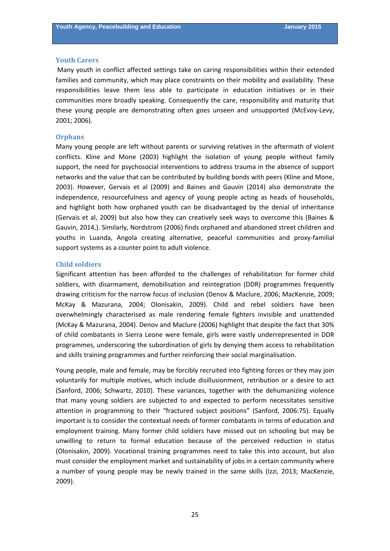#### <span id="page-24-0"></span>**Youth Carers**

Many youth in conflict affected settings take on caring responsibilities within their extended families and community, which may place constraints on their mobility and availability. These responsibilities leave them less able to participate in education initiatives or in their communities more broadly speaking. Consequently the care, responsibility and maturity that these young people are demonstrating often goes unseen and unsupported (McEvoy‐Levy, 2001; 2006).

#### **Orphans**

Many young people are left without parents or surviving relatives in the aftermath of violent conflicts. Kline and Mone (2003) highlight the isolation of young people without family support, the need for psychosocial interventions to address trauma in the absence of support networks and the value that can be contributed by building bonds with peers (Kline and Mone, 2003). However, Gervais et al (2009) and Baines and Gauvin (2014) also demonstrate the independence, resourcefulness and agency of young people acting as heads of households, and highlight both how orphaned youth can be disadvantaged by the denial of inheritance (Gervais et al, 2009) but also how they can creatively seek ways to overcome this (Baines & Gauvin, 2014,). Similarly, Nordstrom (2006) finds orphaned and abandoned street children and youths in Luanda, Angola creating alternative, peaceful communities and proxy‐familial support systems as a counter point to adult violence.

#### **Child soldiers**

Significant attention has been afforded to the challenges of rehabilitation for former child soldiers, with disarmament, demobilisation and reintegration (DDR) programmes frequently drawing criticism for the narrow focus of inclusion (Denov & Maclure, 2006; MacKenzie, 2009; McKay & Mazurana, 2004; Olonisakin, 2009). Child and rebel soldiers have been overwhelmingly characterised as male rendering female fighters invisible and unattended (McKay & Mazurana, 2004). Denov and Maclure (2006) highlight that despite the fact that 30% of child combatants in Sierra Leone were female, girls were vastly underrepresented in DDR programmes, underscoring the subordination of girls by denying them access to rehabilitation and skills training programmes and further reinforcing their social marginalisation.

Young people, male and female, may be forcibly recruited into fighting forces or they may join voluntarily for multiple motives, which include disillusionment, retribution or a desire to act (Sanford, 2006; Schwartz, 2010). These variances, together with the dehumanizing violence that many young soldiers are subjected to and expected to perform necessitates sensitive attention in programming to their "fractured subject positions" (Sanford, 2006:75). Equally important is to consider the contextual needs of former combatants in terms of education and employment training. Many former child soldiers have missed out on schooling but may be unwilling to return to formal education because of the perceived reduction in status (Olonisakin, 2009). Vocational training programmes need to take this into account, but also must consider the employment market and sustainability of jobs in a certain community where a number of young people may be newly trained in the same skills (Izzi, 2013; MacKenzie, 2009).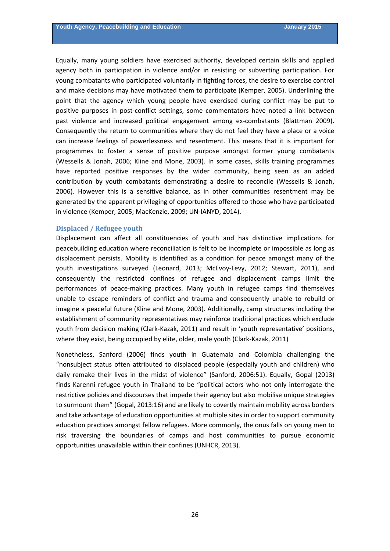<span id="page-25-0"></span>Equally, many young soldiers have exercised authority, developed certain skills and applied agency both in participation in violence and/or in resisting or subverting participation. For young combatants who participated voluntarily in fighting forces, the desire to exercise control and make decisions may have motivated them to participate (Kemper, 2005). Underlining the point that the agency which young people have exercised during conflict may be put to positive purposes in post-conflict settings, some commentators have noted a link between past violence and increased political engagement among ex‐combatants (Blattman 2009). Consequently the return to communities where they do not feel they have a place or a voice can increase feelings of powerlessness and resentment. This means that it is important for programmes to foster a sense of positive purpose amongst former young combatants (Wessells & Jonah, 2006; Kline and Mone, 2003). In some cases, skills training programmes have reported positive responses by the wider community, being seen as an added contribution by youth combatants demonstrating a desire to reconcile (Wessells & Jonah, 2006). However this is a sensitive balance, as in other communities resentment may be generated by the apparent privileging of opportunities offered to those who have participated in violence (Kemper, 2005; MacKenzie, 2009; UN‐IANYD, 2014).

#### **Displaced / Refugee youth**

Displacement can affect all constituencies of youth and has distinctive implications for peacebuilding education where reconciliation is felt to be incomplete or impossible as long as displacement persists. Mobility is identified as a condition for peace amongst many of the youth investigations surveyed (Leonard, 2013; McEvoy‐Levy, 2012; Stewart, 2011), and consequently the restricted confines of refugee and displacement camps limit the performances of peace-making practices. Many youth in refugee camps find themselves unable to escape reminders of conflict and trauma and consequently unable to rebuild or imagine a peaceful future (Kline and Mone, 2003). Additionally, camp structures including the establishment of community representatives may reinforce traditional practices which exclude youth from decision making (Clark‐Kazak, 2011) and result in 'youth representative' positions, where they exist, being occupied by elite, older, male youth (Clark-Kazak, 2011)

Nonetheless, Sanford (2006) finds youth in Guatemala and Colombia challenging the "nonsubject status often attributed to displaced people (especially youth and children) who daily remake their lives in the midst of violence" (Sanford, 2006:51). Equally, Gopal (2013) finds Karenni refugee youth in Thailand to be "political actors who not only interrogate the restrictive policies and discourses that impede their agency but also mobilise unique strategies to surmount them" (Gopal, 2013:16) and are likely to covertly maintain mobility across borders and take advantage of education opportunities at multiple sites in order to support community education practices amongst fellow refugees. More commonly, the onus falls on young men to risk traversing the boundaries of camps and host communities to pursue economic opportunities unavailable within their confines (UNHCR, 2013).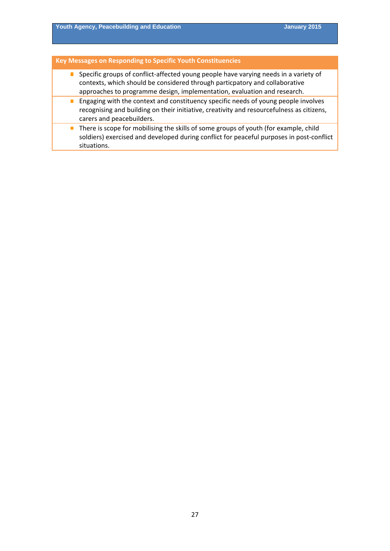# **Key Messages on Responding to Specific Youth Constituencies**

- Specific groups of conflict-affected young people have varying needs in a variety of contexts, which should be considered through particpatory and collaborative approaches to programme design, implementation, evaluation and research.
- **Engaging with the context and constituency specific needs of young people involves** recognising and building on their initiative, creativity and resourcefulness as citizens, carers and peacebuilders.
- $\blacksquare$  There is scope for mobilising the skills of some groups of youth (for example, child soldiers) exercised and developed during conflict for peaceful purposes in post-conflict situations.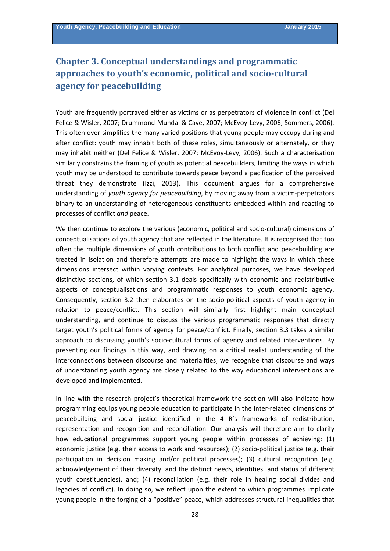# <span id="page-27-0"></span>**Chapter 3. Conceptual understandings and programmatic approaches to youth's economic, political and socio‐cultural agency for peacebuilding**

Youth are frequently portrayed either as victims or as perpetrators of violence in conflict (Del Felice & Wisler, 2007; Drummond‐Mundal & Cave, 2007; McEvoy‐Levy, 2006; Sommers, 2006). This often over‐simplifies the many varied positions that young people may occupy during and after conflict: youth may inhabit both of these roles, simultaneously or alternately, or they may inhabit neither (Del Felice & Wisler, 2007; McEvoy‐Levy, 2006). Such a characterisation similarly constrains the framing of youth as potential peacebuilders, limiting the ways in which youth may be understood to contribute towards peace beyond a pacification of the perceived threat they demonstrate (Izzi, 2013). This document argues for a comprehensive understanding of *youth agency for peacebuilding*, by moving away from a victim‐perpetrators binary to an understanding of heterogeneous constituents embedded within and reacting to processes of conflict *and* peace.

We then continue to explore the various (economic, political and socio-cultural) dimensions of conceptualisations of youth agency that are reflected in the literature. It is recognised that too often the multiple dimensions of youth contributions to both conflict and peacebuilding are treated in isolation and therefore attempts are made to highlight the ways in which these dimensions intersect within varying contexts. For analytical purposes, we have developed distinctive sections, of which section 3.1 deals specifically with economic and redistributive aspects of conceptualisations and programmatic responses to youth economic agency. Consequently, section 3.2 then elaborates on the socio‐political aspects of youth agency in relation to peace/conflict. This section will similarly first highlight main conceptual understanding, and continue to discuss the various programmatic responses that directly target youth's political forms of agency for peace/conflict. Finally, section 3.3 takes a similar approach to discussing youth's socio-cultural forms of agency and related interventions. By presenting our findings in this way, and drawing on a critical realist understanding of the interconnections between discourse and materialities, we recognise that discourse and ways of understanding youth agency are closely related to the way educational interventions are developed and implemented.

In line with the research project's theoretical framework the section will also indicate how programming equips young people education to participate in the inter-related dimensions of peacebuilding and social justice identified in the 4 R's frameworks of redistribution, representation and recognition and reconciliation. Our analysis will therefore aim to clarify how educational programmes support young people within processes of achieving: (1) economic justice (e.g. their access to work and resources); (2) socio-political justice (e.g. their participation in decision making and/or political processes); (3) cultural recognition (e.g. acknowledgement of their diversity, and the distinct needs, identities and status of different youth constituencies), and; (4) reconciliation (e.g. their role in healing social divides and legacies of conflict). In doing so, we reflect upon the extent to which programmes implicate young people in the forging of a "positive" peace, which addresses structural inequalities that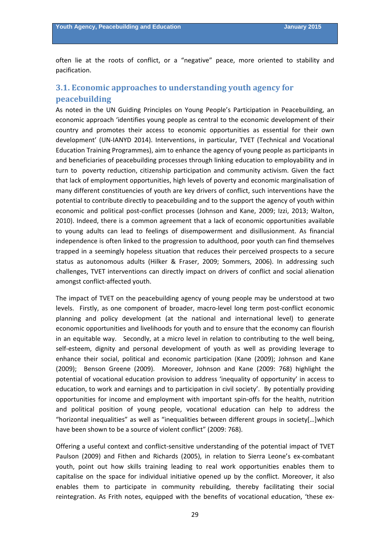<span id="page-28-0"></span>often lie at the roots of conflict, or a "negative" peace, more oriented to stability and pacification.

# **3.1. Economic approaches to understanding youth agency for peacebuilding**

As noted in the UN Guiding Principles on Young People's Participation in Peacebuilding, an economic approach 'identifies young people as central to the economic development of their country and promotes their access to economic opportunities as essential for their own development' (UN‐IANYD 2014). Interventions, in particular, TVET (Technical and Vocational Education Training Programmes), aim to enhance the agency of young people as participants in and beneficiaries of peacebuilding processes through linking education to employability and in turn to poverty reduction, citizenship participation and community activism. Given the fact that lack of employment opportunities, high levels of poverty and economic marginalisation of many different constituencies of youth are key drivers of conflict, such interventions have the potential to contribute directly to peacebuilding and to the support the agency of youth within economic and political post-conflict processes (Johnson and Kane, 2009; Izzi, 2013; Walton, 2010). Indeed, there is a common agreement that a lack of economic opportunities available to young adults can lead to feelings of disempowerment and disillusionment. As financial independence is often linked to the progression to adulthood, poor youth can find themselves trapped in a seemingly hopeless situation that reduces their perceived prospects to a secure status as autonomous adults (Hilker & Fraser, 2009; Sommers, 2006). In addressing such challenges, TVET interventions can directly impact on drivers of conflict and social alienation amongst conflict‐affected youth.

The impact of TVET on the peacebuilding agency of young people may be understood at two levels. Firstly, as one component of broader, macro-level long term post-conflict economic planning and policy development (at the national and international level) to generate economic opportunities and livelihoods for youth and to ensure that the economy can flourish in an equitable way. Secondly, at a micro level in relation to contributing to the well being, self-esteem, dignity and personal development of youth as well as providing leverage to enhance their social, political and economic participation (Kane (2009); Johnson and Kane (2009); Benson Greene (2009). Moreover, Johnson and Kane (2009: 768) highlight the potential of vocational education provision to address 'inequality of opportunity' in access to education, to work and earnings and to participation in civil society'. By potentially providing opportunities for income and employment with important spin‐offs for the health, nutrition and political position of young people, vocational education can help to address the "horizontal inequalities" as well as "inequalities between different groups in society[…]which have been shown to be a source of violent conflict" (2009: 768).

Offering a useful context and conflict-sensitive understanding of the potential impact of TVET Paulson (2009) and Fithen and Richards (2005), in relation to Sierra Leone's ex‐combatant youth, point out how skills training leading to real work opportunities enables them to capitalise on the space for individual initiative opened up by the conflict. Moreover, it also enables them to participate in community rebuilding, thereby facilitating their social reintegration. As Frith notes, equipped with the benefits of vocational education, 'these ex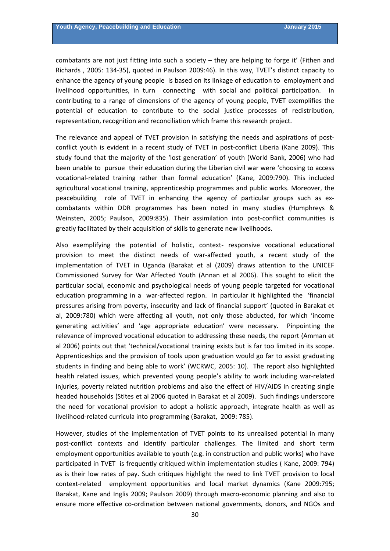combatants are not just fitting into such a society – they are helping to forge it' (Fithen and Richards , 2005: 134‐35), quoted in Paulson 2009:46). In this way, TVET's distinct capacity to enhance the agency of young people is based on its linkage of education to employment and livelihood opportunities, in turn connecting with social and political participation. In contributing to a range of dimensions of the agency of young people, TVET exemplifies the potential of education to contribute to the social justice processes of redistribution, representation, recognition and reconciliation which frame this research project.

The relevance and appeal of TVET provision in satisfying the needs and aspirations of postconflict youth is evident in a recent study of TVET in post-conflict Liberia (Kane 2009). This study found that the majority of the 'lost generation' of youth (World Bank, 2006) who had been unable to pursue their education during the Liberian civil war were 'choosing to access vocational‐related training rather than formal education' (Kane, 2009:790). This included agricultural vocational training, apprenticeship programmes and public works. Moreover, the peacebuilding role of TVET in enhancing the agency of particular groups such as excombatants within DDR programmes has been noted in many studies (Humphreys & Weinsten, 2005; Paulson, 2009:835). Their assimilation into post-conflict communities is greatly facilitated by their acquisition of skills to generate new livelihoods.

Also exemplifying the potential of holistic, context‐ responsive vocational educational provision to meet the distinct needs of war-affected youth, a recent study of the implementation of TVET in Uganda (Barakat et al (2009) draws attention to the UNICEF Commissioned Survey for War Affected Youth (Annan et al 2006). This sought to elicit the particular social, economic and psychological needs of young people targeted for vocational education programming in a war-affected region. In particular it highlighted the 'financial pressures arising from poverty, insecurity and lack of financial support' (quoted in Barakat et al, 2009:780) which were affecting all youth, not only those abducted, for which 'income generating activities' and 'age appropriate education' were necessary. Pinpointing the relevance of improved vocational education to addressing these needs, the report (Amman et al 2006) points out that 'technical/vocational training exists but is far too limited in its scope. Apprenticeships and the provision of tools upon graduation would go far to assist graduating students in finding and being able to work' (WCRWC, 2005: 10). The report also highlighted health related issues, which prevented young people's ability to work including war‐related injuries, poverty related nutrition problems and also the effect of HIV/AIDS in creating single headed households (Stites et al 2006 quoted in Barakat et al 2009). Such findings underscore the need for vocational provision to adopt a holistic approach, integrate health as well as livelihood‐related curricula into programming (Barakat, 2009: 785).

However, studies of the implementation of TVET points to its unrealised potential in many post-conflict contexts and identify particular challenges. The limited and short term employment opportunities available to youth (e.g. in construction and public works) who have participated in TVET is frequently critiqued within implementation studies ( Kane, 2009: 794) as is their low rates of pay. Such critiques highlight the need to link TVET provision to local context-related employment opportunities and local market dynamics (Kane 2009:795; Barakat, Kane and Inglis 2009; Paulson 2009) through macro‐economic planning and also to ensure more effective co-ordination between national governments, donors, and NGOs and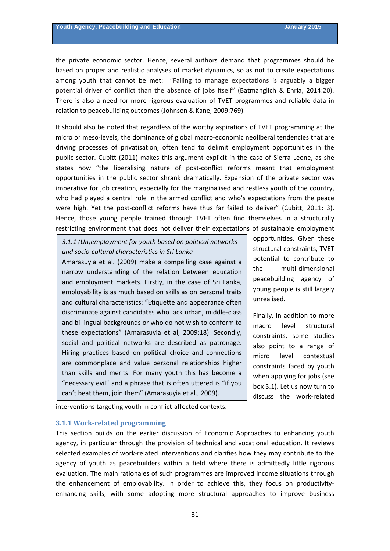<span id="page-30-0"></span>the private economic sector. Hence, several authors demand that programmes should be based on proper and realistic analyses of market dynamics, so as not to create expectations among youth that cannot be met: "Failing to manage expectations is arguably a bigger potential driver of conflict than the absence of jobs itself" (Batmanglich & Enria, 2014:20). There is also a need for more rigorous evaluation of TVET programmes and reliable data in relation to peacebuilding outcomes (Johnson & Kane, 2009:769).

It should also be noted that regardless of the worthy aspirations of TVET programming at the micro or meso‐levels, the dominance of global macro‐economic neoliberal tendencies that are driving processes of privatisation, often tend to delimit employment opportunities in the public sector. Cubitt (2011) makes this argument explicit in the case of Sierra Leone, as she states how "the liberalising nature of post-conflict reforms meant that employment opportunities in the public sector shrank dramatically. Expansion of the private sector was imperative for job creation, especially for the marginalised and restless youth of the country, who had played a central role in the armed conflict and who's expectations from the peace were high. Yet the post-conflict reforms have thus far failed to deliver" (Cubitt, 2011: 3). Hence, those young people trained through TVET often find themselves in a structurally restricting environment that does not deliver their expectations of sustainable employment

*3.1.1 (Un)employment for youth based on political networks and socio‐cultural characteristics in Sri Lanka*

Amarasuyia et al. (2009) make a compelling case against a narrow understanding of the relation between education and employment markets. Firstly, in the case of Sri Lanka, employability is as much based on skills as on personal traits and cultural characteristics: "Etiquette and appearance often discriminate against candidates who lack urban, middle‐class and bi‐lingual backgrounds or who do not wish to conform to these expectations" (Amarasuyia et al, 2009:18). Secondly, social and political networks are described as patronage. Hiring practices based on political choice and connections are commonplace and value personal relationships higher than skills and merits. For many youth this has become a "necessary evil" and a phrase that is often uttered is "if you can't beat them, join them" (Amarasuyia et al., 2009).

opportunities. Given these structural constraints, TVET potential to contribute to the multi‐dimensional peacebuilding agency of young people is still largely unrealised.

Finally, in addition to more macro level structural constraints, some studies also point to a range of micro level contextual constraints faced by youth when applying for jobs (see box 3.1). Let us now turn to discuss the work‐related

interventions targeting youth in conflict‐affected contexts.

#### **3.1.1 Work‐related programming**

This section builds on the earlier discussion of Economic Approaches to enhancing youth agency, in particular through the provision of technical and vocational education. It reviews selected examples of work‐related interventions and clarifies how they may contribute to the agency of youth as peacebuilders within a field where there is admittedly little rigorous evaluation. The main rationales of such programmes are improved income situations through the enhancement of employability. In order to achieve this, they focus on productivityenhancing skills, with some adopting more structural approaches to improve business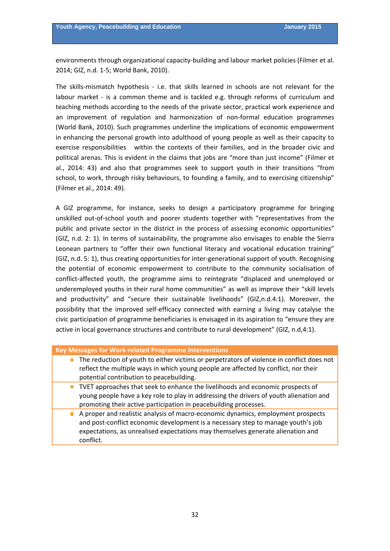environments through organizational capacity‐building and labour market policies (Filmer et al. 2014; GIZ, n.d. 1‐5; World Bank, 2010).

The skills-mismatch hypothesis - i.e. that skills learned in schools are not relevant for the labour market - is a common theme and is tackled e.g. through reforms of curriculum and teaching methods according to the needs of the private sector, practical work experience and an improvement of regulation and harmonization of non‐formal education programmes (World Bank, 2010). Such programmes underline the implications of economic empowerment in enhancing the personal growth into adulthood of young people as well as their capacity to exercise responsibilities within the contexts of their families, and in the broader civic and political arenas. This is evident in the claims that jobs are "more than just income" (Filmer et al., 2014: 43) and also that programmes seek to support youth in their transitions "from school, to work, through risky behaviours, to founding a family, and to exercising citizenship" (Filmer et al., 2014: 49).

A GIZ programme, for instance, seeks to design a participatory programme for bringing unskilled out‐of‐school youth and poorer students together with "representatives from the public and private sector in the district in the process of assessing economic opportunities" (GIZ, n.d. 2: 1). In terms of sustainability, the programme also envisages to enable the Sierra Leonean partners to "offer their own functional literacy and vocational education training" (GIZ, n.d. 5: 1), thus creating opportunities for inter‐generational support of youth. Recognising the potential of economic empowerment to contribute to the community socialisation of conflict-affected youth, the programme aims to reintegrate "displaced and unemployed or underemployed youths in their rural home communities" as well as improve their "skill levels and productivity" and "secure their sustainable livelihoods" (GIZ,n.d.4:1). Moreover, the possibility that the improved self‐efficacy connected with earning a living may catalyse the civic participation of programme beneficiaries is envisaged in its aspiration to "ensure they are active in local governance structures and contribute to rural development" (GIZ, n.d,4:1).

| Key Messages for Work-related Programme Interventions |  |
|-------------------------------------------------------|--|
|-------------------------------------------------------|--|

- The reduction of youth to either victims or perpetrators of violence in conflict does not reflect the multiple ways in which young people are affected by conflict, nor their potential contribution to peacebuilding.
- TVET approaches that seek to enhance the livelihoods and economic prospects of young people have a key role to play in addressing the drivers of youth alienation and promoting their active participation in peacebuilding processes.
	- A proper and realistic analysis of macro-economic dynamics, employment prospects and post-conflict economic development is a necessary step to manage youth's job expectations, as unrealised expectations may themselves generate alienation and conflict.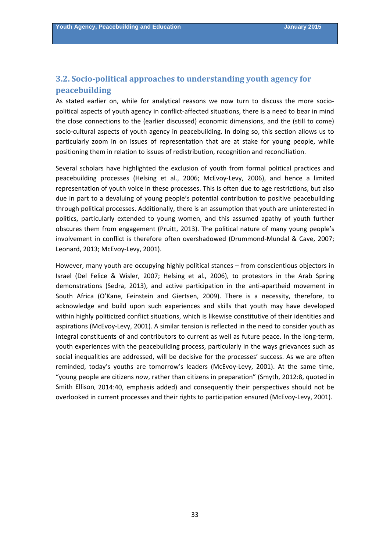# <span id="page-32-0"></span>**3.2. Socio‐political approaches to understanding youth agency for peacebuilding**

As stated earlier on, while for analytical reasons we now turn to discuss the more socio‐ political aspects of youth agency in conflict‐affected situations, there is a need to bear in mind the close connections to the (earlier discussed) economic dimensions, and the (still to come) socio-cultural aspects of youth agency in peacebuilding. In doing so, this section allows us to particularly zoom in on issues of representation that are at stake for young people, while positioning them in relation to issues of redistribution, recognition and reconciliation.

Several scholars have highlighted the exclusion of youth from formal political practices and peacebuilding processes (Helsing et al., 2006; McEvoy‐Levy, 2006), and hence a limited representation of youth voice in these processes. This is often due to age restrictions, but also due in part to a devaluing of young people's potential contribution to positive peacebuilding through political processes. Additionally, there is an assumption that youth are uninterested in politics, particularly extended to young women, and this assumed apathy of youth further obscures them from engagement (Pruitt, 2013). The political nature of many young people's involvement in conflict is therefore often overshadowed (Drummond‐Mundal & Cave, 2007; Leonard, 2013; McEvoy‐Levy, 2001).

However, many youth are occupying highly political stances – from conscientious objectors in Israel (Del Felice & Wisler, 2007; Helsing et al., 2006), to protestors in the Arab Spring demonstrations (Sedra, 2013), and active participation in the anti-apartheid movement in South Africa (O'Kane, Feinstein and Giertsen, 2009). There is a necessity, therefore, to acknowledge and build upon such experiences and skills that youth may have developed within highly politicized conflict situations, which is likewise constitutive of their identities and aspirations (McEvoy‐Levy, 2001). A similar tension is reflected in the need to consider youth as integral constituents of and contributors to current as well as future peace. In the long-term, youth experiences with the peacebuilding process, particularly in the ways grievances such as social inequalities are addressed, will be decisive for the processes' success. As we are often reminded, today's youths are tomorrow's leaders (McEvoy‐Levy, 2001). At the same time, "young people are citizens *now*, rather than citizens in preparation" (Smyth, 2012:8, quoted in Smith Ellison, 2014:40, emphasis added) and consequently their perspectives should not be overlooked in current processes and their rights to participation ensured (McEvoy‐Levy, 2001).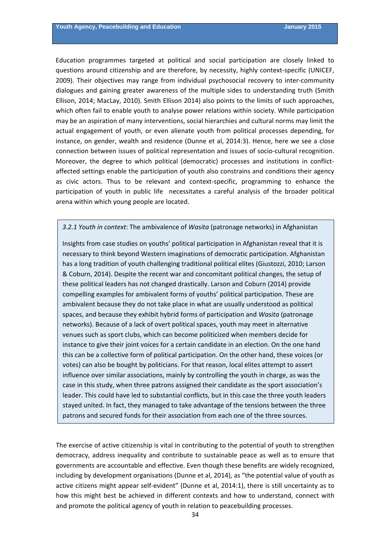Education programmes targeted at political and social participation are closely linked to questions around citizenship and are therefore, by necessity, highly context-specific (UNICEF, 2009). Their objectives may range from individual psychosocial recovery to inter‐community dialogues and gaining greater awareness of the multiple sides to understanding truth (Smith Ellison, 2014; MacLay, 2010). Smith Ellison 2014) also points to the limits of such approaches, which often fail to enable youth to analyse power relations within society. While participation may be an aspiration of many interventions, social hierarchies and cultural norms may limit the actual engagement of youth, or even alienate youth from political processes depending, for instance, on gender, wealth and residence (Dunne et al, 2014:3). Hence, here we see a close connection between issues of political representation and issues of socio-cultural recognition. Moreover, the degree to which political (democratic) processes and institutions in conflictaffected settings enable the participation of youth also constrains and conditions their agency as civic actors. Thus to be relevant and context‐specific, programming to enhance the participation of youth in public life necessitates a careful analysis of the broader political arena within which young people are located.

#### *3.2.1 Youth in context*: The ambivalence of *Wasita* (patronage networks) in Afghanistan

Insights from case studies on youths' political participation in Afghanistan reveal that it is necessary to think beyond Western imaginations of democratic participation. Afghanistan has a long tradition of youth challenging traditional political elites (Giustozzi, 2010; Larson & Coburn, 2014). Despite the recent war and concomitant political changes, the setup of these political leaders has not changed drastically. Larson and Coburn (2014) provide compelling examples for ambivalent forms of youths' political participation. These are ambivalent because they do not take place in what are usually understood as political spaces, and because they exhibit hybrid forms of participation and *Wasita* (patronage networks). Because of a lack of overt political spaces, youth may meet in alternative venues such as sport clubs, which can become politicized when members decide for instance to give their joint voices for a certain candidate in an election. On the one hand this can be a collective form of political participation. On the other hand, these voices (or votes) can also be bought by politicians. For that reason, local elites attempt to assert influence over similar associations, mainly by controlling the youth in charge, as was the case in this study, when three patrons assigned their candidate as the sport association's leader. This could have led to substantial conflicts, but in this case the three youth leaders stayed united. In fact, they managed to take advantage of the tensions between the three patrons and secured funds for their association from each one of the three sources.

The exercise of active citizenship is vital in contributing to the potential of youth to strengthen democracy, address inequality and contribute to sustainable peace as well as to ensure that governments are accountable and effective. Even though these benefits are widely recognized, including by development organisations (Dunne et al, 2014), as "the potential value of youth as active citizens might appear self-evident" (Dunne et al, 2014:1), there is still uncertainty as to how this might best be achieved in different contexts and how to understand, connect with and promote the political agency of youth in relation to peacebuilding processes.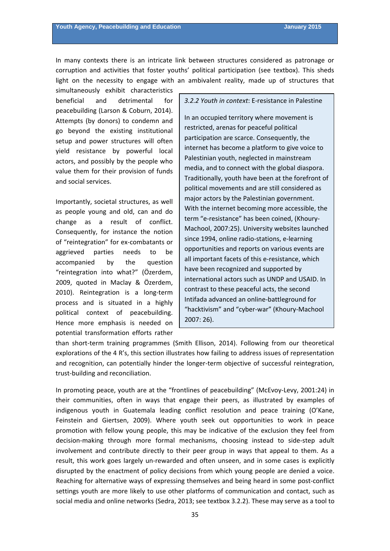In many contexts there is an intricate link between structures considered as patronage or corruption and activities that foster youths' political participation (see textbox). This sheds light on the necessity to engage with an ambivalent reality, made up of structures that

simultaneously exhibit characteristics beneficial and detrimental for peacebuilding (Larson & Coburn, 2014). Attempts (by donors) to condemn and go beyond the existing institutional setup and power structures will often yield resistance by powerful local actors, and possibly by the people who value them for their provision of funds and social services.

Importantly, societal structures, as well as people young and old, can and do change as a result of conflict. Consequently, for instance the notion of "reintegration" for ex‐combatants or aggrieved parties needs to be accompanied by the question "reintegration into what?" (Özerdem, 2009, quoted in Maclay & Özerdem, 2010). Reintegration is a long-term process and is situated in a highly political context of peacebuilding. Hence more emphasis is needed on potential transformation efforts rather *3.2.2 Youth in context*: E‐resistance in Palestine

In an occupied territory where movement is restricted, arenas for peaceful political participation are scarce. Consequently, the internet has become a platform to give voice to Palestinian youth, neglected in mainstream media, and to connect with the global diaspora. Traditionally, youth have been at the forefront of political movements and are still considered as major actors by the Palestinian government. With the internet becoming more accessible, the term "e‐resistance" has been coined, (Khoury‐ Machool, 2007:25). University websites launched since 1994, online radio‐stations, e‐learning opportunities and reports on various events are all important facets of this e‐resistance, which have been recognized and supported by international actors such as UNDP and USAID. In contrast to these peaceful acts, the second Intifada advanced an online‐battleground for "hacktivism" and "cyber‐war" (Khoury‐Machool 2007: 26).

than short‐term training programmes (Smith Ellison, 2014). Following from our theoretical explorations of the 4 R's, this section illustrates how failing to address issues of representation and recognition, can potentially hinder the longer-term objective of successful reintegration, trust‐building and reconciliation.

In promoting peace, youth are at the "frontlines of peacebuilding" (McEvoy‐Levy, 2001:24) in their communities, often in ways that engage their peers, as illustrated by examples of indigenous youth in Guatemala leading conflict resolution and peace training (O'Kane, Feinstein and Giertsen, 2009). Where youth seek out opportunities to work in peace promotion with fellow young people, this may be indicative of the exclusion they feel from decision‐making through more formal mechanisms, choosing instead to side‐step adult involvement and contribute directly to their peer group in ways that appeal to them. As a result, this work goes largely un-rewarded and often unseen, and in some cases is explicitly disrupted by the enactment of policy decisions from which young people are denied a voice. Reaching for alternative ways of expressing themselves and being heard in some post‐conflict settings youth are more likely to use other platforms of communication and contact, such as social media and online networks (Sedra, 2013; see textbox 3.2.2). These may serve as a tool to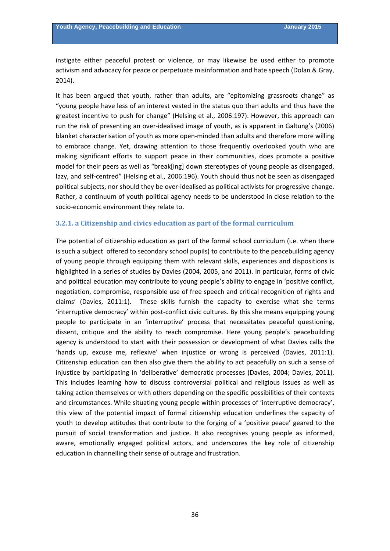<span id="page-35-0"></span>instigate either peaceful protest or violence, or may likewise be used either to promote activism and advocacy for peace or perpetuate misinformation and hate speech (Dolan & Gray, 2014).

It has been argued that youth, rather than adults, are "epitomizing grassroots change" as "young people have less of an interest vested in the status quo than adults and thus have the greatest incentive to push for change" (Helsing et al., 2006:197). However, this approach can run the risk of presenting an over‐idealised image of youth, as is apparent in Galtung's (2006) blanket characterisation of youth as more open‐minded than adults and therefore more willing to embrace change. Yet, drawing attention to those frequently overlooked youth who are making significant efforts to support peace in their communities, does promote a positive model for their peers as well as "break[ing] down stereotypes of young people as disengaged, lazy, and self-centred" (Helsing et al., 2006:196). Youth should thus not be seen as disengaged political subjects, nor should they be over‐idealised as political activists for progressive change. Rather, a continuum of youth political agency needs to be understood in close relation to the socio‐economic environment they relate to.

#### **3.2.1. a Citizenship and civics education as part of the formal curriculum**

The potential of citizenship education as part of the formal school curriculum (i.e. when there is such a subject offered to secondary school pupils) to contribute to the peacebuilding agency of young people through equipping them with relevant skills, experiences and dispositions is highlighted in a series of studies by Davies (2004, 2005, and 2011). In particular, forms of civic and political education may contribute to young people's ability to engage in 'positive conflict, negotiation, compromise, responsible use of free speech and critical recognition of rights and claims' (Davies, 2011:1). These skills furnish the capacity to exercise what she terms 'interruptive democracy' within post‐conflict civic cultures. By this she means equipping young people to participate in an 'interruptive' process that necessitates peaceful questioning, dissent, critique and the ability to reach compromise. Here young people's peacebuilding agency is understood to start with their possession or development of what Davies calls the 'hands up, excuse me, reflexive' when injustice or wrong is perceived (Davies, 2011:1). Citizenship education can then also give them the ability to act peacefully on such a sense of injustice by participating in 'deliberative' democratic processes (Davies, 2004; Davies, 2011). This includes learning how to discuss controversial political and religious issues as well as taking action themselves or with others depending on the specific possibilities of their contexts and circumstances. While situating young people within processes of 'interruptive democracy', this view of the potential impact of formal citizenship education underlines the capacity of youth to develop attitudes that contribute to the forging of a 'positive peace' geared to the pursuit of social transformation and justice. It also recognises young people as informed, aware, emotionally engaged political actors, and underscores the key role of citizenship education in channelling their sense of outrage and frustration.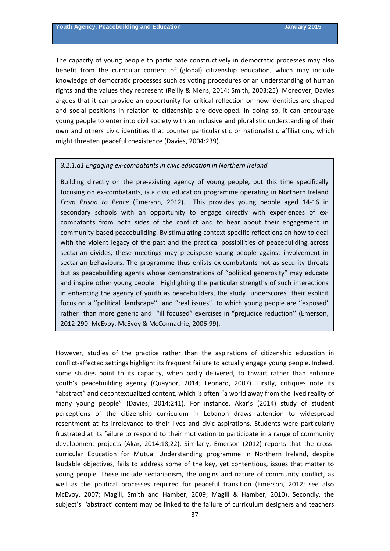The capacity of young people to participate constructively in democratic processes may also benefit from the curricular content of (global) citizenship education, which may include knowledge of democratic processes such as voting procedures or an understanding of human rights and the values they represent (Reilly & Niens, 2014; Smith, 2003:25). Moreover, Davies argues that it can provide an opportunity for critical reflection on how identities are shaped and social positions in relation to citizenship are developed. In doing so, it can encourage young people to enter into civil society with an inclusive and pluralistic understanding of their own and others civic identities that counter particularistic or nationalistic affiliations, which might threaten peaceful coexistence (Davies, 2004:239).

#### *3.2.1.a1 Engaging ex‐combatants in civic education in Northern Ireland*

Building directly on the pre‐existing agency of young people, but this time specifically focusing on ex‐combatants, is a civic education programme operating in Northern Ireland *From Prison to Peace* (Emerson, 2012). This provides young people aged 14‐16 in secondary schools with an opportunity to engage directly with experiences of excombatants from both sides of the conflict and to hear about their engagement in community-based peacebuilding. By stimulating context-specific reflections on how to deal with the violent legacy of the past and the practical possibilities of peacebuilding across sectarian divides, these meetings may predispose young people against involvement in sectarian behaviours. The programme thus enlists ex-combatants not as security threats but as peacebuilding agents whose demonstrations of "political generosity" may educate and inspire other young people. Highlighting the particular strengths of such interactions in enhancing the agency of youth as peacebuilders, the study underscores their explicit focus on a ''political landscape'' and "real issues" to which young people are ''exposed' rather than more generic and "ill focused" exercises in "prejudice reduction'' (Emerson, 2012:290: McEvoy, McEvoy & McConnachie, 2006:99).

However, studies of the practice rather than the aspirations of citizenship education in conflict-affected settings highlight its frequent failure to actually engage young people. Indeed, some studies point to its capacity, when badly delivered, to thwart rather than enhance youth's peacebuilding agency (Quaynor, 2014; Leonard, 2007). Firstly, critiques note its "abstract" and decontextualized content, which is often "a world away from the lived reality of many young people" (Davies, 2014:241). For instance, Akar's (2014) study of student perceptions of the citizenship curriculum in Lebanon draws attention to widespread resentment at its irrelevance to their lives and civic aspirations. Students were particularly frustrated at its failure to respond to their motivation to participate in a range of community development projects (Akar, 2014:18,22). Similarly, Emerson (2012) reports that the crosscurricular Education for Mutual Understanding programme in Northern Ireland, despite laudable objectives, fails to address some of the key, yet contentious, issues that matter to young people. These include sectarianism, the origins and nature of community conflict, as well as the political processes required for peaceful transition (Emerson, 2012; see also McEvoy, 2007; Magill, Smith and Hamber, 2009; Magill & Hamber, 2010). Secondly, the subject's 'abstract' content may be linked to the failure of curriculum designers and teachers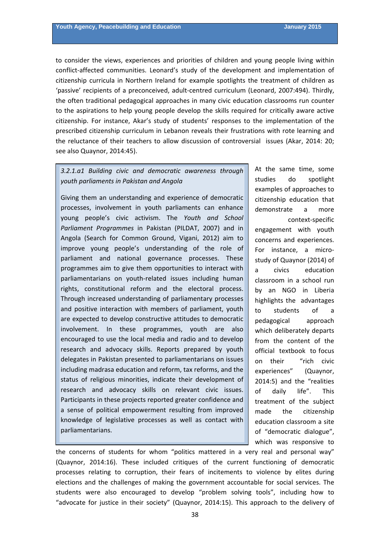to consider the views, experiences and priorities of children and young people living within conflict-affected communities. Leonard's study of the development and implementation of citizenship curricula in Northern Ireland for example spotlights the treatment of children as 'passive' recipients of a preconceived, adult‐centred curriculum (Leonard, 2007:494). Thirdly, the often traditional pedagogical approaches in many civic education classrooms run counter to the aspirations to help young people develop the skills required for critically aware active citizenship. For instance, Akar's study of students' responses to the implementation of the prescribed citizenship curriculum in Lebanon reveals their frustrations with rote learning and the reluctance of their teachers to allow discussion of controversial issues (Akar, 2014: 20; see also Quaynor, 2014:45).

# *3.2.1.a1 Building civic and democratic awareness through youth parliaments in Pakistan and Angola*

Giving them an understanding and experience of democratic processes, involvement in youth parliaments can enhance young people's civic activism. The *Youth and School Parliament Programmes* in Pakistan (PILDAT, 2007) and in Angola (Search for Common Ground, Vigani, 2012) aim to improve young people's understanding of the role of parliament and national governance processes. These programmes aim to give them opportunities to interact with parliamentarians on youth-related issues including human rights, constitutional reform and the electoral process. Through increased understanding of parliamentary processes and positive interaction with members of parliament, youth are expected to develop constructive attitudes to democratic involvement. In these programmes, youth are also encouraged to use the local media and radio and to develop research and advocacy skills. Reports prepared by youth delegates in Pakistan presented to parliamentarians on issues including madrasa education and reform, tax reforms, and the status of religious minorities, indicate their development of research and advocacy skills on relevant civic issues. Participants in these projects reported greater confidence and a sense of political empowerment resulting from improved knowledge of legislative processes as well as contact with parliamentarians.

study of Quaynor (2014) of official textbook to focus on their "rich civic treatment of the subject At the same time, some studies do spotlight examples of approaches to citizenship education that demonstrate a more context‐specific engagement with youth concerns and experiences. For instance, a micro‐ a civics education classroom in a school run by an NGO in Liberia highlights the advantages to students of a pedagogical approach which deliberately departs from the content of the experiences" (Quaynor, 2014:5) and the "realities of daily life". This made the citizenship education classroom a site of "democratic dialogue", which was responsive to

the concerns of students for whom "politics mattered in a very real and personal way" (Quaynor, 2014:16). These included critiques of the current functioning of democratic processes relating to corruption, their fears of incitements to violence by elites during elections and the challenges of making the government accountable for social services. The students were also encouraged to develop "problem solving tools", including how to "advocate for justice in their society" (Quaynor, 2014:15). This approach to the delivery of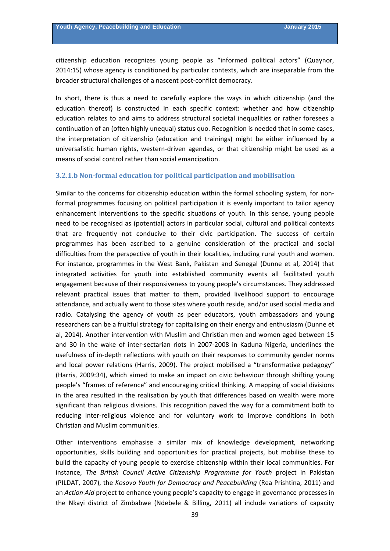broader structural challenges of a nascent post-conflict democracy. citizenship education recognizes young people as "informed political actors" (Quaynor, 2014:15) whose agency is conditioned by particular contexts, which are inseparable from the

In short, there is thus a need to carefully explore the ways in which citizenship (and the education thereof) is constructed in each specific context: whether and how citizenship education relates to and aims to address structural societal inequalities or rather foresees a continuation of an (often highly unequal) status quo. Recognition is needed that in some cases, the interpretation of citizenship (education and trainings) might be either influenced by a universalistic human rights, western-driven agendas, or that citizenship might be used as a means of social control rather than social emancipation.

#### **3.2.1.b Non‐formal education for political participation and mobilisation**

Similar to the concerns for citizenship education within the formal schooling system, for non‐ formal programmes focusing on political participation it is evenly important to tailor agency enhancement interventions to the specific situations of youth. In this sense, young people need to be recognised as (potential) actors in particular social, cultural and political contexts that are frequently not conducive to their civic participation. The success of certain programmes has been ascribed to a genuine consideration of the practical and social difficulties from the perspective of youth in their localities, including rural youth and women. For instance, programmes in the West Bank, Pakistan and Senegal (Dunne et al, 2014) that integrated activities for youth into established community events all facilitated youth engagement because of their responsiveness to young people's circumstances. They addressed relevant practical issues that matter to them, provided livelihood support to encourage attendance, and actually went to those sites where youth reside, and/or used social media and radio. Catalysing the agency of youth as peer educators, youth ambassadors and young researchers can be a fruitful strategy for capitalising on their energy and enthusiasm (Dunne et al, 2014). Another intervention with Muslim and Christian men and women aged between 15 and 30 in the wake of inter‐sectarian riots in 2007‐2008 in Kaduna Nigeria, underlines the usefulness of in‐depth reflections with youth on their responses to community gender norms and local power relations (Harris, 2009). The project mobilised a "transformative pedagogy" (Harris, 2009:34), which aimed to make an impact on civic behaviour through shifting young people's "frames of reference" and encouraging critical thinking. A mapping of social divisions in the area resulted in the realisation by youth that differences based on wealth were more significant than religious divisions. This recognition paved the way for a commitment both to reducing inter‐religious violence and for voluntary work to improve conditions in both Christian and Muslim communities.

Other interventions emphasise a similar mix of knowledge development, networking opportunities, skills building and opportunities for practical projects, but mobilise these to build the capacity of young people to exercise citizenship within their local communities. For instance, *The British Council Active Citizenship Programme for Youth* project in Pakistan (PILDAT, 2007), the *Kosovo Youth for Democracy and Peacebuilding* (Rea Prishtina, 2011) and an *Action Aid* project to enhance young people's capacity to engage in governance processes in the Nkayi district of Zimbabwe (Ndebele & Billing, 2011) all include variations of capacity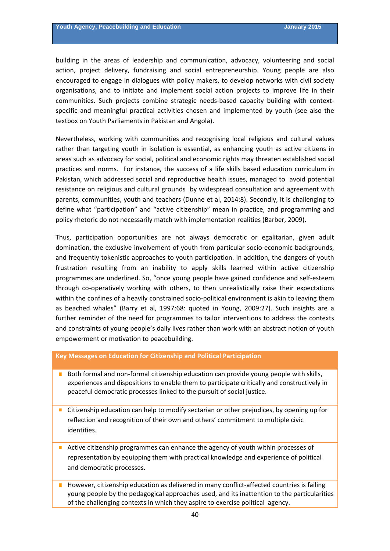building in the areas of leadership and communication, advocacy, volunteering and social action, project delivery, fundraising and social entrepreneurship. Young people are also encouraged to engage in dialogues with policy makers, to develop networks with civil society organisations, and to initiate and implement social action projects to improve life in their communities. Such projects combine strategic needs‐based capacity building with context‐ specific and meaningful practical activities chosen and implemented by youth (see also the textbox on Youth Parliaments in Pakistan and Angola).

Nevertheless, working with communities and recognising local religious and cultural values rather than targeting youth in isolation is essential, as enhancing youth as active citizens in areas such as advocacy for social, political and economic rights may threaten established social practices and norms. For instance, the success of a life skills based education curriculum in Pakistan, which addressed social and reproductive health issues, managed to avoid potential resistance on religious and cultural grounds by widespread consultation and agreement with parents, communities, youth and teachers (Dunne et al, 2014:8). Secondly, it is challenging to define what "participation" and "active citizenship" mean in practice, and programming and policy rhetoric do not necessarily match with implementation realities (Barber, 2009).

Thus, participation opportunities are not always democratic or egalitarian, given adult domination, the exclusive involvement of youth from particular socio‐economic backgrounds, and frequently tokenistic approaches to youth participation. In addition, the dangers of youth frustration resulting from an inability to apply skills learned within active citizenship programmes are underlined. So, "once young people have gained confidence and self‐esteem through co-operatively working with others, to then unrealistically raise their expectations within the confines of a heavily constrained socio-political environment is akin to leaving them as beached whales" (Barry et al, 1997:68: quoted in Young, 2009:27). Such insights are a further reminder of the need for programmes to tailor interventions to address the contexts and constraints of young people's daily lives rather than work with an abstract notion of youth empowerment or motivation to peacebuilding.

#### **Key Messages on Education for Citizenship and Political Participation**

- Both formal and non-formal citizenship education can provide young people with skills, experiences and dispositions to enable them to participate critically and constructively in peaceful democratic processes linked to the pursuit of social justice.
- **Citizenship education can help to modify sectarian or other prejudices, by opening up for** reflection and recognition of their own and others' commitment to multiple civic identities.
- Active citizenship programmes can enhance the agency of youth within processes of representation by equipping them with practical knowledge and experience of political and democratic processes.
- However, citizenship education as delivered in many conflict-affected countries is failing young people by the pedagogical approaches used, and its inattention to the particularities of the challenging contexts in which they aspire to exercise political agency.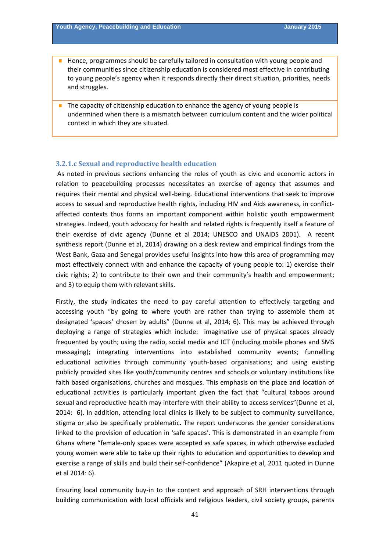- **Hence, programmes should be carefully tailored in consultation with young people and** their communities since citizenship education is considered most effective in contributing to young people's agency when it responds directly their direct situation, priorities, needs and struggles.
- $\blacksquare$  The capacity of citizenship education to enhance the agency of young people is undermined when there is a mismatch between curriculum content and the wider political context in which they are situated.

#### **3.2.1.c Sexual and reproductive health education**

As noted in previous sections enhancing the roles of youth as civic and economic actors in relation to peacebuilding processes necessitates an exercise of agency that assumes and requires their mental and physical well‐being. Educational interventions that seek to improve access to sexual and reproductive health rights, including HIV and Aids awareness, in conflictaffected contexts thus forms an important component within holistic youth empowerment strategies. Indeed, youth advocacy for health and related rights is frequently itself a feature of their exercise of civic agency (Dunne et al 2014; UNESCO and UNAIDS 2001). A recent synthesis report (Dunne et al, 2014) drawing on a desk review and empirical findings from the West Bank, Gaza and Senegal provides useful insights into how this area of programming may most effectively connect with and enhance the capacity of young people to: 1) exercise their civic rights; 2) to contribute to their own and their community's health and empowerment; and 3) to equip them with relevant skills.

Firstly, the study indicates the need to pay careful attention to effectively targeting and accessing youth "by going to where youth are rather than trying to assemble them at designated 'spaces' chosen by adults" (Dunne et al, 2014; 6). This may be achieved through deploying a range of strategies which include: imaginative use of physical spaces already frequented by youth; using the radio, social media and ICT (including mobile phones and SMS messaging); integrating interventions into established community events; funnelling educational activities through community youth‐based organisations; and using existing publicly provided sites like youth/community centres and schools or voluntary institutions like faith based organisations, churches and mosques. This emphasis on the place and location of educational activities is particularly important given the fact that "cultural taboos around sexual and reproductive health may interfere with their ability to access services"(Dunne et al, 2014: 6). In addition, attending local clinics is likely to be subject to community surveillance, stigma or also be specifically problematic. The report underscores the gender considerations linked to the provision of education in 'safe spaces'. This is demonstrated in an example from Ghana where "female‐only spaces were accepted as safe spaces, in which otherwise excluded young women were able to take up their rights to education and opportunities to develop and exercise a range of skills and build their self‐confidence" (Akapire et al, 2011 quoted in Dunne et al 2014: 6).

Ensuring local community buy‐in to the content and approach of SRH interventions through building communication with local officials and religious leaders, civil society groups, parents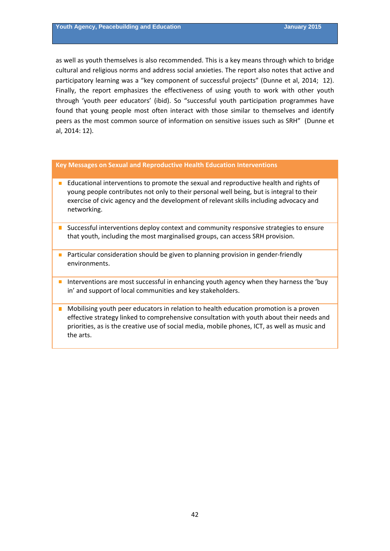as well as youth themselves is also recommended. This is a key means through which to bridge cultural and religious norms and address social anxieties. The report also notes that active and participatory learning was a "key component of successful projects" (Dunne et al, 2014; 12). Finally, the report emphasizes the effectiveness of using youth to work with other youth through 'youth peer educators' (ibid). So "successful youth participation programmes have found that young people most often interact with those similar to themselves and identify peers as the most common source of information on sensitive issues such as SRH" (Dunne et al, 2014: 12).

#### **Key Messages on Sexual and Reproductive Health Education Interventions**

- Educational interventions to promote the sexual and reproductive health and rights of young people contributes not only to their personal well being, but is integral to their exercise of civic agency and the development of relevant skills including advocacy and networking.
- **I** Successful interventions deploy context and community responsive strategies to ensure that youth, including the most marginalised groups, can access SRH provision.
- Particular consideration should be given to planning provision in gender-friendly environments.
- Interventions are most successful in enhancing youth agency when they harness the 'buy in' and support of local communities and key stakeholders.
- **Mobilising youth peer educators in relation to health education promotion is a proven** effective strategy linked to comprehensive consultation with youth about their needs and priorities, as is the creative use of social media, mobile phones, ICT, as well as music and the arts.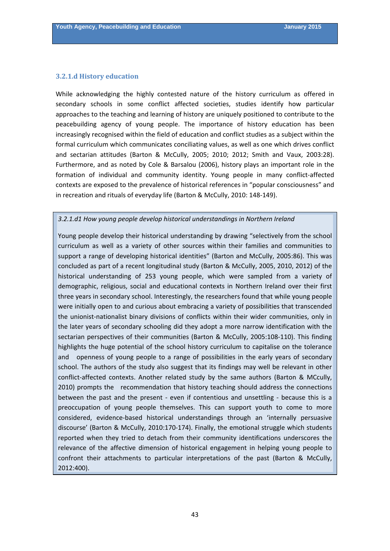#### **3.2.1.d History education**

While acknowledging the highly contested nature of the history curriculum as offered in secondary schools in some conflict affected societies, studies identify how particular approaches to the teaching and learning of history are uniquely positioned to contribute to the peacebuilding agency of young people. The importance of history education has been increasingly recognised within the field of education and conflict studies as a subject within the formal curriculum which communicates conciliating values, as well as one which drives conflict and sectarian attitudes (Barton & McCully, 2005; 2010; 2012; Smith and Vaux, 2003:28). Furthermore, and as noted by Cole & Barsalou (2006), history plays an important role in the formation of individual and community identity. Young people in many conflict-affected contexts are exposed to the prevalence of historical references in "popular consciousness" and in recreation and rituals of everyday life (Barton & McCully, 2010: 148‐149).

#### *3.2.1.d1 How young people develop historical understandings in Northern Ireland*

Young people develop their historical understanding by drawing "selectively from the school curriculum as well as a variety of other sources within their families and communities to support a range of developing historical identities" (Barton and McCully, 2005:86). This was concluded as part of a recent longitudinal study (Barton & McCully, 2005, 2010, 2012) of the historical understanding of 253 young people, which were sampled from a variety of demographic, religious, social and educational contexts in Northern Ireland over their first three years in secondary school. Interestingly, the researchers found that while young people were initially open to and curious about embracing a variety of possibilities that transcended the unionist-nationalist binary divisions of conflicts within their wider communities, only in the later years of secondary schooling did they adopt a more narrow identification with the sectarian perspectives of their communities (Barton & McCully, 2005:108‐110). This finding highlights the huge potential of the school history curriculum to capitalise on the tolerance and openness of young people to a range of possibilities in the early years of secondary school. The authors of the study also suggest that its findings may well be relevant in other conflict‐affected contexts. Another related study by the same authors (Barton & MCcully, 2010) prompts the recommendation that history teaching should address the connections between the past and the present - even if contentious and unsettling - because this is a preoccupation of young people themselves. This can support youth to come to more considered, evidence‐based historical understandings through an 'internally persuasive discourse' (Barton & McCully, 2010:170‐174). Finally, the emotional struggle which students reported when they tried to detach from their community identifications underscores the relevance of the affective dimension of historical engagement in helping young people to confront their attachments to particular interpretations of the past (Barton & McCully, 2012:400).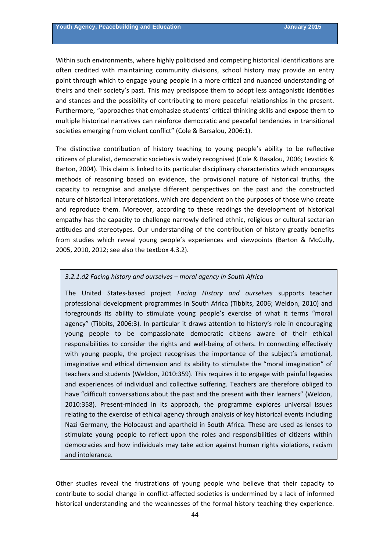Within such environments, where highly politicised and competing historical identifications are often credited with maintaining community divisions, school history may provide an entry point through which to engage young people in a more critical and nuanced understanding of theirs and their society's past. This may predispose them to adopt less antagonistic identities and stances and the possibility of contributing to more peaceful relationships in the present. Furthermore, "approaches that emphasize students' critical thinking skills and expose them to multiple historical narratives can reinforce democratic and peaceful tendencies in transitional societies emerging from violent conflict" (Cole & Barsalou, 2006:1).

The distinctive contribution of history teaching to young people's ability to be reflective citizens of pluralist, democratic societies is widely recognised (Cole & Basalou, 2006; Levstick & Barton, 2004). This claim is linked to its particular disciplinary characteristics which encourages methods of reasoning based on evidence, the provisional nature of historical truths, the capacity to recognise and analyse different perspectives on the past and the constructed nature of historical interpretations, which are dependent on the purposes of those who create and reproduce them. Moreover, according to these readings the development of historical empathy has the capacity to challenge narrowly defined ethnic, religious or cultural sectarian attitudes and stereotypes. Our understanding of the contribution of history greatly benefits from studies which reveal young people's experiences and viewpoints (Barton & McCully, 2005, 2010, 2012; see also the textbox 4.3.2).

#### *3.2.1.d2 Facing history and ourselves – moral agency in South Africa*

The United States‐based project *Facing History and ourselves* supports teacher professional development programmes in South Africa (Tibbits, 2006; Weldon, 2010) and foregrounds its ability to stimulate young people's exercise of what it terms "moral agency" (Tibbits, 2006:3). In particular it draws attention to history's role in encouraging young people to be compassionate democratic citizens aware of their ethical responsibilities to consider the rights and well-being of others. In connecting effectively with young people, the project recognises the importance of the subject's emotional, imaginative and ethical dimension and its ability to stimulate the "moral imagination" of teachers and students (Weldon, 2010:359). This requires it to engage with painful legacies and experiences of individual and collective suffering. Teachers are therefore obliged to have "difficult conversations about the past and the present with their learners" (Weldon, 2010:358). Present‐minded in its approach, the programme explores universal issues relating to the exercise of ethical agency through analysis of key historical events including Nazi Germany, the Holocaust and apartheid in South Africa. These are used as lenses to stimulate young people to reflect upon the roles and responsibilities of citizens within democracies and how individuals may take action against human rights violations, racism and intolerance.

Other studies reveal the frustrations of young people who believe that their capacity to contribute to social change in conflict-affected societies is undermined by a lack of informed historical understanding and the weaknesses of the formal history teaching they experience.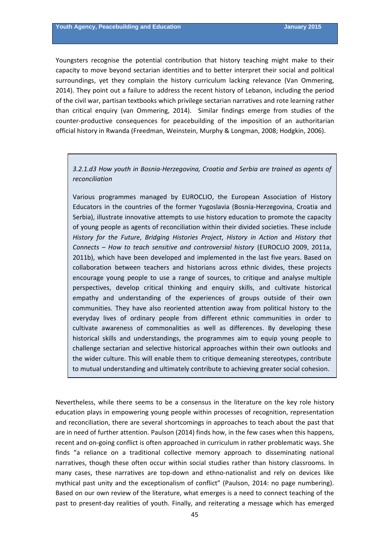Youngsters recognise the potential contribution that history teaching might make to their capacity to move beyond sectarian identities and to better interpret their social and political surroundings, yet they complain the history curriculum lacking relevance (Van Ommering, 2014). They point out a failure to address the recent history of Lebanon, including the period of the civil war, partisan textbooks which privilege sectarian narratives and rote learning rather than critical enquiry (van Ommering, 2014). Similar findings emerge from studies of the counter‐productive consequences for peacebuilding of the imposition of an authoritarian official history in Rwanda (Freedman, Weinstein, Murphy & Longman, 2008; Hodgkin, 2006).

# *3.2.1.d3 How youth in Bosnia‐Herzegovina, Croatia and Serbia are trained as agents of reconciliation*

Various programmes managed by EUROCLIO, the European Association of History Educators in the countries of the former Yugoslavia (Bosnia‐Herzegovina, Croatia and Serbia), illustrate innovative attempts to use history education to promote the capacity of young people as agents of reconciliation within their divided societies. These include *History for the Future*, *Bridging Histories Project*, *History in Action* and *History that Connects* – *How to teach sensitive and controversial history* (EUROCLIO 2009, 2011a, 2011b), which have been developed and implemented in the last five years. Based on collaboration between teachers and historians across ethnic divides, these projects encourage young people to use a range of sources, to critique and analyse multiple perspectives, develop critical thinking and enquiry skills, and cultivate historical empathy and understanding of the experiences of groups outside of their own communities. They have also reoriented attention away from political history to the everyday lives of ordinary people from different ethnic communities in order to cultivate awareness of commonalities as well as differences. By developing these historical skills and understandings, the programmes aim to equip young people to challenge sectarian and selective historical approaches within their own outlooks and the wider culture. This will enable them to critique demeaning stereotypes, contribute to mutual understanding and ultimately contribute to achieving greater social cohesion.

Nevertheless, while there seems to be a consensus in the literature on the key role history education plays in empowering young people within processes of recognition, representation and reconciliation, there are several shortcomings in approaches to teach about the past that are in need of further attention. Paulson (2014) finds how, in the few cases when this happens, recent and on‐going conflict is often approached in curriculum in rather problematic ways. She finds "a reliance on a traditional collective memory approach to disseminating national narratives, though these often occur within social studies rather than history classrooms. In many cases, these narratives are top-down and ethno-nationalist and rely on devices like mythical past unity and the exceptionalism of conflict" (Paulson, 2014: no page numbering). Based on our own review of the literature, what emerges is a need to connect teaching of the past to present‐day realities of youth. Finally, and reiterating a message which has emerged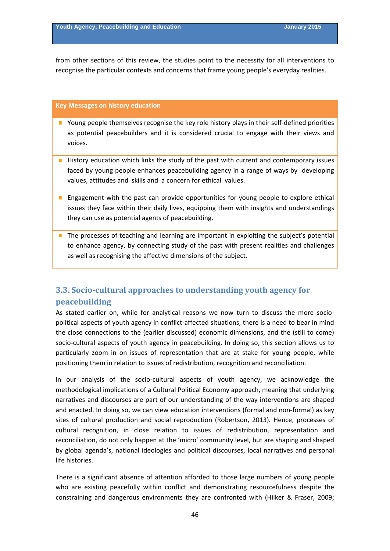from other sections of this review, the studies point to the necessity for all interventions to recognise the particular contexts and concerns that frame young people's everyday realities.

#### **Key Messages on history education**

- Young people themselves recognise the key role history plays in their self-defined priorities as potential peacebuilders and it is considered crucial to engage with their views and voices.
- $\blacksquare$  History education which links the study of the past with current and contemporary issues faced by young people enhances peacebuilding agency in a range of ways by developing values, attitudes and skills and a concern for ethical values.
- **E** Engagement with the past can provide opportunities for young people to explore ethical issues they face within their daily lives, equipping them with insights and understandings they can use as potential agents of peacebuilding.
- The processes of teaching and learning are important in exploiting the subject's potential to enhance agency, by connecting study of the past with present realities and challenges as well as recognising the affective dimensions of the subject.

# **3.3. Socio‐cultural approaches to understanding youth agency for peacebuilding**

As stated earlier on, while for analytical reasons we now turn to discuss the more sociopolitical aspects of youth agency in conflict‐affected situations, there is a need to bear in mind the close connections to the (earlier discussed) economic dimensions, and the (still to come) socio-cultural aspects of youth agency in peacebuilding. In doing so, this section allows us to particularly zoom in on issues of representation that are at stake for young people, while positioning them in relation to issues of redistribution, recognition and reconciliation.

In our analysis of the socio-cultural aspects of youth agency, we acknowledge the methodological implications of a Cultural Political Economy approach, meaning that underlying narratives and discourses are part of our understanding of the way interventions are shaped and enacted. In doing so, we can view education interventions (formal and non‐formal) as key sites of cultural production and social reproduction (Robertson, 2013). Hence, processes of cultural recognition, in close relation to issues of redistribution, representation and reconciliation, do not only happen at the 'micro' community level, but are shaping and shaped by global agenda's, national ideologies and political discourses, local narratives and personal life histories.

There is a significant absence of attention afforded to those large numbers of young people who are existing peacefully within conflict and demonstrating resourcefulness despite the constraining and dangerous environments they are confronted with (Hilker & Fraser, 2009;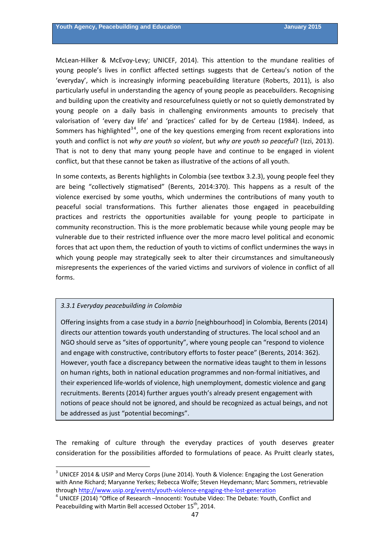<span id="page-46-0"></span>McLean‐Hilker & McEvoy‐Levy; UNICEF, 2014). This attention to the mundane realities of young people's lives in conflict affected settings suggests that de Certeau's notion of the 'everyday', which is increasingly informing peacebuilding literature (Roberts, 2011), is also particularly useful in understanding the agency of young people as peacebuilders. Recognising and building upon the creativity and resourcefulness quietly or not so quietly demonstrated by young people on a daily basis in challenging environments amounts to precisely that valorisation of 'every day life' and 'practices' called for by de Certeau (1984). Indeed, as Sommers has highlighted<sup>34</sup>, one of the key questions emerging from recent explorations into youth and conflict is not *why are youth so violent*, but *why are youth so peaceful*? (Izzi, 2013). That is not to deny that many young people have and continue to be engaged in violent conflict, but that these cannot be taken as illustrative of the actions of all youth.

In some contexts, as Berents highlights in Colombia (see textbox 3.2.3), young people feel they are being "collectively stigmatised" (Berents, 2014:370). This happens as a result of the violence exercised by some youths, which undermines the contributions of many youth to peaceful social transformations. This further alienates those engaged in peacebuilding practices and restricts the opportunities available for young people to participate in community reconstruction. This is the more problematic because while young people may be vulnerable due to their restricted influence over the more macro level political and economic forces that act upon them, the reduction of youth to victims of conflict undermines the ways in which young people may strategically seek to alter their circumstances and simultaneously misrepresents the experiences of the varied victims and survivors of violence in conflict of all forms.

### *3.3.1 Everyday peacebuilding in Colombia*

Offering insights from a case study in a *barrio* [neighbourhood] in Colombia, Berents (2014) directs our attention towards youth understanding of structures. The local school and an NGO should serve as "sites of opportunity", where young people can "respond to violence and engage with constructive, contributory efforts to foster peace" (Berents, 2014: 362). However, youth face a discrepancy between the normative ideas taught to them in lessons on human rights, both in national education programmes and non‐formal initiatives, and their experienced life-worlds of violence, high unemployment, domestic violence and gang recruitments. Berents (2014) further argues youth's already present engagement with notions of peace should not be ignored, and should be recognized as actual beings, and not be addressed as just "potential becomings".

The remaking of culture through the everyday practices of youth deserves greater consideration for the possibilities afforded to formulations of peace. As Pruitt clearly states,

<sup>&</sup>lt;sup>3</sup> UNICEF 2014 & USIP and Mercy Corps (June 2014). Youth & Violence: Engaging the Lost Generation with Anne Richard; Maryanne Yerkes; Rebecca Wolfe; Steven Heydemann; Marc Sommers, retrievable through [http://www.usip.org/events/youth](http://www.usip.org/events/youth-violence-engaging-the-lost-generation)-violence-engaging-the-lost-generation<br><sup>4</sup> UNICEF (2014) "Office of Research –Innocenti: Youtube Video: The Debate: Youth, Conflict and

Peacebuilding with Martin Bell accessed October 15<sup>th</sup>, 2014.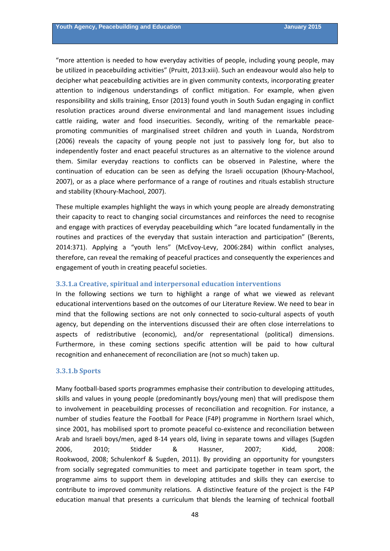"more attention is needed to how everyday activities of people, including young people, may be utilized in peacebuilding activities" (Pruitt, 2013:xiii). Such an endeavour would also help to decipher what peacebuilding activities are in given community contexts, incorporating greater attention to indigenous understandings of conflict mitigation. For example, when given responsibility and skills training, Ensor (2013) found youth in South Sudan engaging in conflict resolution practices around diverse environmental and land management issues including cattle raiding, water and food insecurities. Secondly, writing of the remarkable peacepromoting communities of marginalised street children and youth in Luanda, Nordstrom (2006) reveals the capacity of young people not just to passively long for, but also to independently foster and enact peaceful structures as an alternative to the violence around them. Similar everyday reactions to conflicts can be observed in Palestine, where the continuation of education can be seen as defying the Israeli occupation (Khoury‐Machool, 2007), or as a place where performance of a range of routines and rituals establish structure and stability (Khoury‐Machool, 2007).

These multiple examples highlight the ways in which young people are already demonstrating their capacity to react to changing social circumstances and reinforces the need to recognise and engage with practices of everyday peacebuilding which "are located fundamentally in the routines and practices of the everyday that sustain interaction and participation" (Berents, 2014:371). Applying a "youth lens" (McEvoy‐Levy, 2006:284) within conflict analyses, therefore, can reveal the remaking of peaceful practices and consequently the experiences and engagement of youth in creating peaceful societies.

#### **3.3.1.a Creative, spiritual and interpersonal education interventions**

In the following sections we turn to highlight a range of what we viewed as relevant educational interventions based on the outcomes of our Literature Review. We need to bear in mind that the following sections are not only connected to socio‐cultural aspects of youth agency, but depending on the interventions discussed their are often close interrelations to aspects of redistributive (economic), and/or representational (political) dimensions. Furthermore, in these coming sections specific attention will be paid to how cultural recognition and enhanecement of reconciliation are (not so much) taken up.

#### **3.3.1.b Sports**

Many football-based sports programmes emphasise their contribution to developing attitudes, skills and values in young people (predominantly boys/young men) that will predispose them to involvement in peacebuilding processes of reconciliation and recognition. For instance, a number of studies feature the Football for Peace (F4P) programme in Northern Israel which, since 2001, has mobilised sport to promote peaceful co-existence and reconciliation between Arab and Israeli boys/men, aged 8‐14 years old, living in separate towns and villages (Sugden 2006, 2010; Stidder & Hassner, 2007; Kidd, 2008: Rookwood, 2008; Schulenkorf & Sugden, 2011). By providing an opportunity for youngsters from socially segregated communities to meet and participate together in team sport, the programme aims to support them in developing attitudes and skills they can exercise to contribute to improved community relations. A distinctive feature of the project is the F4P education manual that presents a curriculum that blends the learning of technical football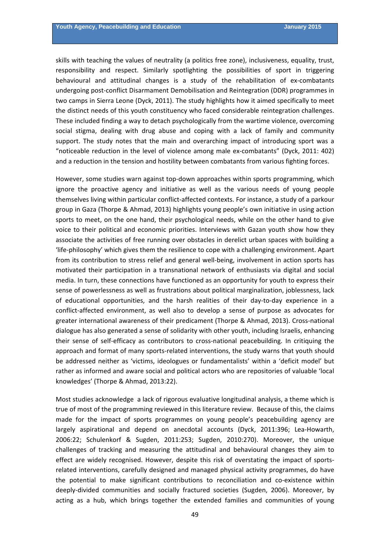skills with teaching the values of neutrality (a politics free zone), inclusiveness, equality, trust, responsibility and respect. Similarly spotlighting the possibilities of sport in triggering behavioural and attitudinal changes is a study of the rehabilitation of ex‐combatants undergoing post‐conflict Disarmament Demobilisation and Reintegration (DDR) programmes in two camps in Sierra Leone (Dyck, 2011). The study highlights how it aimed specifically to meet the distinct needs of this youth constituency who faced considerable reintegration challenges. These included finding a way to detach psychologically from the wartime violence, overcoming social stigma, dealing with drug abuse and coping with a lack of family and community support. The study notes that the main and overarching impact of introducing sport was a "noticeable reduction in the level of violence among male ex‐combatants" (Dyck, 2011: 402) and a reduction in the tension and hostility between combatants from various fighting forces.

However, some studies warn against top-down approaches within sports programming, which ignore the proactive agency and initiative as well as the various needs of young people themselves living within particular conflict-affected contexts. For instance, a study of a parkour group in Gaza (Thorpe & Ahmad, 2013) highlights young people's own initiative in using action sports to meet, on the one hand, their psychological needs, while on the other hand to give voice to their political and economic priorities. Interviews with Gazan youth show how they associate the activities of free running over obstacles in derelict urban spaces with building a 'life‐philosophy' which gives them the resilience to cope with a challenging environment. Apart from its contribution to stress relief and general well-being, involvement in action sports has motivated their participation in a transnational network of enthusiasts via digital and social media. In turn, these connections have functioned as an opportunity for youth to express their sense of powerlessness as well as frustrations about political marginalization, joblessness, lack of educational opportunities, and the harsh realities of their day‐to‐day experience in a conflict‐affected environment, as well also to develop a sense of purpose as advocates for greater international awareness of their predicament (Thorpe & Ahmad, 2013). Cross-national dialogue has also generated a sense of solidarity with other youth, including Israelis, enhancing their sense of self‐efficacy as contributors to cross‐national peacebuilding. In critiquing the approach and format of many sports‐related interventions, the study warns that youth should be addressed neither as 'victims, ideologues or fundamentalists' within a 'deficit model' but rather as informed and aware social and political actors who are repositories of valuable 'local knowledges' (Thorpe & Ahmad, 2013:22).

Most studies acknowledge a lack of rigorous evaluative longitudinal analysis, a theme which is true of most of the programming reviewed in this literature review. Because of this, the claims made for the impact of sports programmes on young people's peacebuilding agency are largely aspirational and depend on anecdotal accounts (Dyck, 2011:396; Lea‐Howarth, 2006:22; Schulenkorf & Sugden, 2011:253; Sugden, 2010:270). Moreover, the unique challenges of tracking and measuring the attitudinal and behavioural changes they aim to effect are widely recognised. However, despite this risk of overstating the impact of sports‐ related interventions, carefully designed and managed physical activity programmes, do have the potential to make significant contributions to reconciliation and co-existence within deeply‐divided communities and socially fractured societies (Sugden, 2006). Moreover, by acting as a hub, which brings together the extended families and communities of young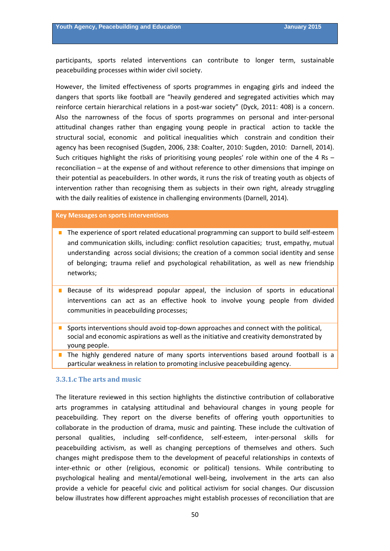participants, sports related interventions can contribute to longer term, sustainable peacebuilding processes within wider civil society.

However, the limited effectiveness of sports programmes in engaging girls and indeed the dangers that sports like football are "heavily gendered and segregated activities which may reinforce certain hierarchical relations in a post-war society" (Dyck, 2011: 408) is a concern. Also the narrowness of the focus of sports programmes on personal and inter‐personal attitudinal changes rather than engaging young people in practical action to tackle the structural social, economic and political inequalities which constrain and condition their agency has been recognised (Sugden, 2006, 238: Coalter, 2010: Sugden, 2010: Darnell, 2014). Such critiques highlight the risks of prioritising young peoples' role within one of the 4 Rs – reconciliation – at the expense of and without reference to other dimensions that impinge on their potential as peacebuilders. In other words, it runs the risk of treating youth as objects of intervention rather than recognising them as subjects in their own right, already struggling with the daily realities of existence in challenging environments (Darnell, 2014).

#### **Key Messages on sports interventions**

- The experience of sport related educational programming can support to build self-esteem and communication skills, including: conflict resolution capacities; trust, empathy, mutual understanding across social divisions; the creation of a common social identity and sense of belonging; trauma relief and psychological rehabilitation, as well as new friendship networks;
- Because of its widespread popular appeal, the inclusion of sports in educational interventions can act as an effective hook to involve young people from divided communities in peacebuilding processes;
- Sports interventions should avoid top-down approaches and connect with the political, social and economic aspirations as well as the initiative and creativity demonstrated by young people.
- $\blacksquare$  The highly gendered nature of many sports interventions based around football is a particular weakness in relation to promoting inclusive peacebuilding agency.

#### **3.3.1.c The arts and music**

The literature reviewed in this section highlights the distinctive contribution of collaborative arts programmes in catalysing attitudinal and behavioural changes in young people for peacebuilding. They report on the diverse benefits of offering youth opportunities to collaborate in the production of drama, music and painting. These include the cultivation of personal qualities, including self‐confidence, self‐esteem, inter‐personal skills for peacebuilding activism, as well as changing perceptions of themselves and others. Such changes might predispose them to the development of peaceful relationships in contexts of inter-ethnic or other (religious, economic or political) tensions. While contributing to psychological healing and mental/emotional well‐being, involvement in the arts can also provide a vehicle for peaceful civic and political activism for social changes. Our discussion below illustrates how different approaches might establish processes of reconciliation that are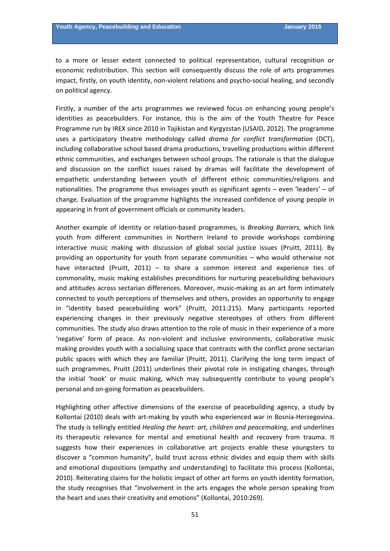to a more or lesser extent connected to political representation, cultural recognition or economic redistribution. This section will consequently discuss the role of arts programmes impact, firstly, on youth identity, non-violent relations and psycho-social healing, and secondly on political agency.

Firstly, a number of the arts programmes we reviewed focus on enhancing young people's identities as peacebuilders. For instance, this is the aim of the Youth Theatre for Peace Programme run by IREX since 2010 in Tajikistan and Kyrgyzstan (USAID, 2012). The programme uses a participatory theatre methodology called *drama for conflict transformation* (DCT), including collaborative school based drama productions, travelling productions within different ethnic communities, and exchanges between school groups. The rationale is that the dialogue and discussion on the conflict issues raised by dramas will facilitate the development of empathetic understanding between youth of different ethnic communities/religions and nationalities. The programme thus envisages youth as significant agents – even 'leaders' – of change. Evaluation of the programme highlights the increased confidence of young people in appearing in front of government officials or community leaders.

Another example of identity or relation‐based programmes, is *Breaking Barriers,* which link youth from different communities in Northern Ireland to provide workshops combining interactive music making with discussion of global social justice issues (Pruitt, 2011). By providing an opportunity for youth from separate communities – who would otherwise not have interacted (Pruitt, 2011) – to share a common interest and experience ties of commonality, music making establishes preconditions for nurturing peacebuilding behaviours and attitudes across sectarian differences. Moreover, music-making as an art form intimately connected to youth perceptions of themselves and others, provides an opportunity to engage in "identity based peacebuilding work" (Pruitt, 2011:215). Many participants reported experiencing changes in their previously negative stereotypes of others from different communities. The study also draws attention to the role of music in their experience of a more 'negative' form of peace. As non‐violent and inclusive environments, collaborative music making provides youth with a socialising space that contrasts with the conflict prone sectarian public spaces with which they are familiar (Pruitt, 2011). Clarifying the long term impact of such programmes, Pruitt (2011) underlines their pivotal role in instigating changes, through the initial 'hook' or music making, which may subsequently contribute to young people's personal and on‐going formation as peacebuilders.

Highlighting other affective dimensions of the exercise of peacebuilding agency, a study by Kollontai (2010) deals with art‐making by youth who experienced war in Bosnia‐Herzegovina. The study is tellingly entitled *Healing the heart: art, children and peacemaking*, and underlines its therapeutic relevance for mental and emotional health and recovery from trauma. It suggests how their experiences in collaborative art projects enable these youngsters to discover a "common humanity", build trust across ethnic divides and equip them with skills and emotional dispositions (empathy and understanding) to facilitate this process (Kollontai, 2010). Reiterating claims for the holistic impact of other art forms on youth identity formation, the study recognises that "involvement in the arts engages the whole person speaking from the heart and uses their creativity and emotions" (Kollontai, 2010:269).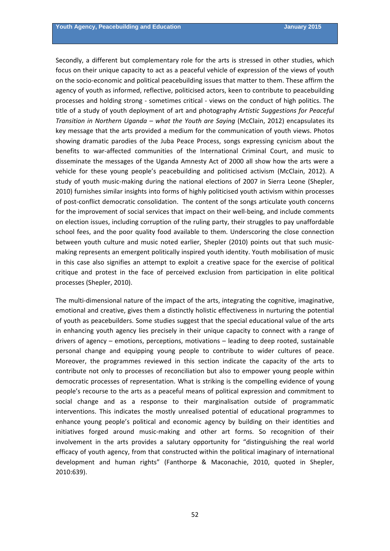Secondly, a different but complementary role for the arts is stressed in other studies, which focus on their unique capacity to act as a peaceful vehicle of expression of the views of youth on the socio‐economic and political peacebuilding issues that matter to them. These affirm the agency of youth as informed, reflective, politicised actors, keen to contribute to peacebuilding processes and holding strong ‐ sometimes critical ‐ views on the conduct of high politics. The title of a study of youth deployment of art and photography *Artistic Suggestions for Peaceful Transition in Northern Uganda – what the Youth are Saying* (McClain, 2012) encapsulates its key message that the arts provided a medium for the communication of youth views. Photos showing dramatic parodies of the Juba Peace Process, songs expressing cynicism about the benefits to war‐affected communities of the International Criminal Court, and music to disseminate the messages of the Uganda Amnesty Act of 2000 all show how the arts were a vehicle for these young people's peacebuilding and politicised activism (McClain, 2012). A study of youth music‐making during the national elections of 2007 in Sierra Leone (Shepler, 2010) furnishes similar insights into forms of highly politicised youth activism within processes of post-conflict democratic consolidation. The content of the songs articulate youth concerns for the improvement of social services that impact on their well-being, and include comments on election issues, including corruption of the ruling party, their struggles to pay unaffordable school fees, and the poor quality food available to them. Underscoring the close connection between youth culture and music noted earlier, Shepler (2010) points out that such musicmaking represents an emergent politically inspired youth identity. Youth mobilisation of music in this case also signifies an attempt to exploit a creative space for the exercise of political critique and protest in the face of perceived exclusion from participation in elite political processes (Shepler, 2010).

The multi-dimensional nature of the impact of the arts, integrating the cognitive, imaginative, emotional and creative, gives them a distinctly holistic effectiveness in nurturing the potential of youth as peacebuilders. Some studies suggest that the special educational value of the arts in enhancing youth agency lies precisely in their unique capacity to connect with a range of drivers of agency – emotions, perceptions, motivations – leading to deep rooted, sustainable personal change and equipping young people to contribute to wider cultures of peace. Moreover, the programmes reviewed in this section indicate the capacity of the arts to contribute not only to processes of reconciliation but also to empower young people within democratic processes of representation. What is striking is the compelling evidence of young people's recourse to the arts as a peaceful means of political expression and commitment to social change and as a response to their marginalisation outside of programmatic interventions. This indicates the mostly unrealised potential of educational programmes to enhance young people's political and economic agency by building on their identities and initiatives forged around music-making and other art forms. So recognition of their involvement in the arts provides a salutary opportunity for "distinguishing the real world efficacy of youth agency, from that constructed within the political imaginary of international development and human rights" (Fanthorpe & Maconachie, 2010, quoted in Shepler, 2010:639).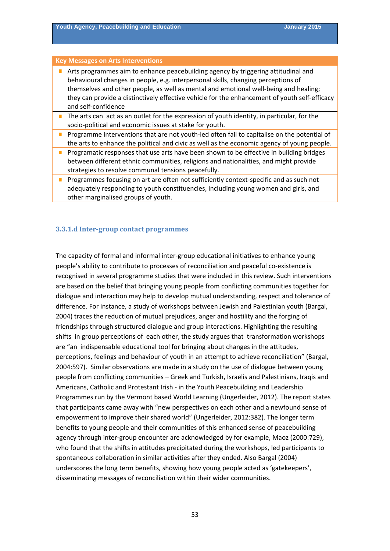#### **Key Messages on Arts Interventions**

| Arts programmes aim to enhance peacebuilding agency by triggering attitudinal and             |
|-----------------------------------------------------------------------------------------------|
| behavioural changes in people, e.g. interpersonal skills, changing perceptions of             |
| themselves and other people, as well as mental and emotional well-being and healing;          |
| they can provide a distinctively effective vehicle for the enhancement of youth self-efficacy |
| and self-confidence                                                                           |

- The arts can act as an outlet for the expression of youth identity, in particular, for the socio‐political and economic issues at stake for youth.
- Programme interventions that are not youth-led often fail to capitalise on the potential of the arts to enhance the political and civic as well as the economic agency of young people.
- **Programatic responses that use arts have been shown to be effective in building bridges** between different ethnic communities, religions and nationalities, and might provide strategies to resolve communal tensions peacefully.
- **Programmes focusing on art are often not sufficiently context-specific and as such not** adequately responding to youth constituencies, including young women and girls, and other marginalised groups of youth.

#### **3.3.1.d Inter‐group contact programmes**

The capacity of formal and informal inter-group educational initiatives to enhance young people's ability to contribute to processes of reconciliation and peaceful co‐existence is recognised in several programme studies that were included in this review. Such interventions are based on the belief that bringing young people from conflicting communities together for dialogue and interaction may help to develop mutual understanding, respect and tolerance of difference. For instance, a study of workshops between Jewish and Palestinian youth (Bargal, 2004) traces the reduction of mutual prejudices, anger and hostility and the forging of friendships through structured dialogue and group interactions. Highlighting the resulting shifts in group perceptions of each other, the study argues that transformation workshops are "an indispensable educational tool for bringing about changes in the attitudes, perceptions, feelings and behaviour of youth in an attempt to achieve reconciliation" (Bargal, 2004:597). Similar observations are made in a study on the use of dialogue between young people from conflicting communities – Greek and Turkish, Israelis and Palestinians, Iraqis and Americans, Catholic and Protestant Irish ‐ in the Youth Peacebuilding and Leadership Programmes run by the Vermont based World Learning (Ungerleider, 2012). The report states that participants came away with "new perspectives on each other and a newfound sense of empowerment to improve their shared world" (Ungerleider, 2012:382). The longer term benefits to young people and their communities of this enhanced sense of peacebuilding agency through inter‐group encounter are acknowledged by for example, Maoz (2000:729), who found that the shifts in attitudes precipitated during the workshops, led participants to spontaneous collaboration in similar activities after they ended. Also Bargal (2004) underscores the long term benefits, showing how young people acted as 'gatekeepers', disseminating messages of reconciliation within their wider communities.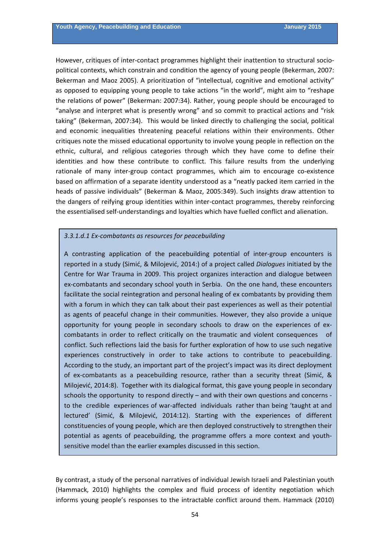However, critiques of inter-contact programmes highlight their inattention to structural sociopolitical contexts, which constrain and condition the agency of young people (Bekerman, 2007: Bekerman and Maoz 2005). A prioritization of "intellectual, cognitive and emotional activity" as opposed to equipping young people to take actions "in the world", might aim to "reshape the relations of power" (Bekerman: 2007:34). Rather, young people should be encouraged to "analyse and interpret what is presently wrong" and so commit to practical actions and "risk taking" (Bekerman, 2007:34). This would be linked directly to challenging the social, political and economic inequalities threatening peaceful relations within their environments. Other critiques note the missed educational opportunity to involve young people in reflection on the ethnic, cultural, and religious categories through which they have come to define their identities and how these contribute to conflict. This failure results from the underlying rationale of many inter-group contact programmes, which aim to encourage co-existence based on affirmation of a separate identity understood as a "neatly packed item carried in the heads of passive individuals" (Bekerman & Maoz, 2005:349). Such insights draw attention to the dangers of reifying group identities within inter‐contact programmes, thereby reinforcing the essentialised self‐understandings and loyalties which have fuelled conflict and alienation.

#### *3.3.1.d.1 Ex‐combatants as resources for peacebuilding*

A contrasting application of the peacebuilding potential of inter‐group encounters is reported in a study (Simić, & Milojević, 2014:) of a project called *Dialogues* initiated by the Centre for War Trauma in 2009. This project organizes interaction and dialogue between ex-combatants and secondary school youth in Serbia. On the one hand, these encounters facilitate the social reintegration and personal healing of ex combatants by providing them with a forum in which they can talk about their past experiences as well as their potential as agents of peaceful change in their communities. However, they also provide a unique opportunity for young people in secondary schools to draw on the experiences of ex‐ combatants in order to reflect critically on the traumatic and violent consequences of conflict. Such reflections laid the basis for further exploration of how to use such negative experiences constructively in order to take actions to contribute to peacebuilding. According to the study, an important part of the project's impact was its direct deployment of ex-combatants as a peacebuilding resource, rather than a security threat (Simić, & Milojević, 2014:8). Together with its dialogical format, this gave young people in secondary schools the opportunity to respond directly – and with their own questions and concerns · to the credible experiences of war-affected individuals rather than being 'taught at and lectured' (Simić, & Milojević, 2014:12). Starting with the experiences of different constituencies of young people, which are then deployed constructively to strengthen their potential as agents of peacebuilding, the programme offers a more context and youth‐ sensitive model than the earlier examples discussed in this section.

By contrast, a study of the personal narratives of individual Jewish Israeli and Palestinian youth (Hammack, 2010) highlights the complex and fluid process of identity negotiation which informs young people's responses to the intractable conflict around them. Hammack (2010)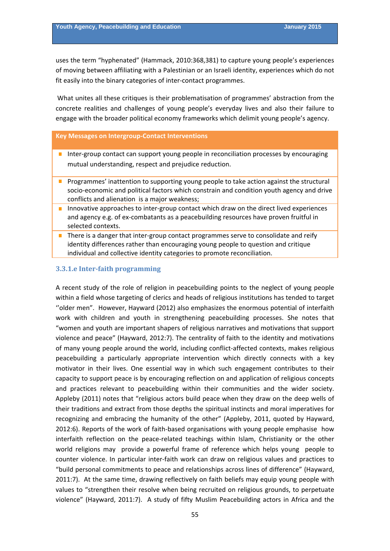uses the term "hyphenated" (Hammack, 2010:368,381) to capture young people's experiences of moving between affiliating with a Palestinian or an Israeli identity, experiences which do not fit easily into the binary categories of inter‐contact programmes.

What unites all these critiques is their problematisation of programmes' abstraction from the concrete realities and challenges of young people's everyday lives and also their failure to engage with the broader political economy frameworks which delimit young people's agency.

#### **Key Messages on Intergroup‐Contact Interventions**

- Inter-group contact can support young people in reconciliation processes by encouraging mutual understanding, respect and prejudice reduction.
- **Programmes' inattention to supporting young people to take action against the structural** socio‐economic and political factors which constrain and condition youth agency and drive conflicts and alienation is a major weakness;
- Innovative approaches to inter-group contact which draw on the direct lived experiences and agency e.g. of ex-combatants as a peacebuilding resources have proven fruitful in selected contexts.
- There is a danger that inter-group contact programmes serve to consolidate and reify identity differences rather than encouraging young people to question and critique individual and collective identity categories to promote reconciliation.

#### **3.3.1.e Inter‐faith programming**

A recent study of the role of religion in peacebuilding points to the neglect of young people within a field whose targeting of clerics and heads of religious institutions has tended to target "older men". However, Hayward (2012) also emphasizes the enormous potential of interfaith work with children and youth in strengthening peacebuilding processes. She notes that "women and youth are important shapers of religious narratives and motivations that support violence and peace" (Hayward, 2012:7). The centrality of faith to the identity and motivations of many young people around the world, including conflict‐affected contexts, makes religious peacebuilding a particularly appropriate intervention which directly connects with a key motivator in their lives. One essential way in which such engagement contributes to their capacity to support peace is by encouraging reflection on and application of religious concepts and practices relevant to peacebuilding within their communities and the wider society. Appleby (2011) notes that "religious actors build peace when they draw on the deep wells of their traditions and extract from those depths the spiritual instincts and moral imperatives for recognizing and embracing the humanity of the other" (Appleby, 2011, quoted by Hayward, 2012:6). Reports of the work of faith‐based organisations with young people emphasise how interfaith reflection on the peace-related teachings within Islam, Christianity or the other world religions may provide a powerful frame of reference which helps young people to counter violence. In particular inter‐faith work can draw on religious values and practices to "build personal commitments to peace and relationships across lines of difference" (Hayward, 2011:7). At the same time, drawing reflectively on faith beliefs may equip young people with values to "strengthen their resolve when being recruited on religious grounds, to perpetuate violence" (Hayward, 2011:7). A study of fifty Muslim Peacebuilding actors in Africa and the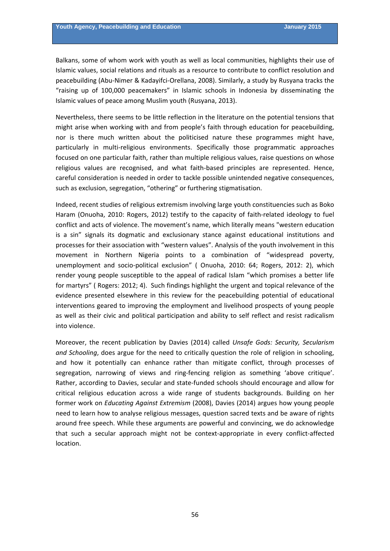Balkans, some of whom work with youth as well as local communities, highlights their use of Islamic values, social relations and rituals as a resource to contribute to conflict resolution and peacebuilding (Abu‐Nimer & Kadayifci‐Orellana, 2008). Similarly, a study by Rusyana tracks the "raising up of 100,000 peacemakers" in Islamic schools in Indonesia by disseminating the Islamic values of peace among Muslim youth (Rusyana, 2013).

Nevertheless, there seems to be little reflection in the literature on the potential tensions that might arise when working with and from people's faith through education for peacebuilding, nor is there much written about the politicised nature these programmes might have, particularly in multi-religious environments. Specifically those programmatic approaches focused on one particular faith, rather than multiple religious values, raise questions on whose religious values are recognised, and what faith‐based principles are represented. Hence, careful consideration is needed in order to tackle possible unintended negative consequences, such as exclusion, segregation, "othering" or furthering stigmatisation.

Indeed, recent studies of religious extremism involving large youth constituencies such as Boko Haram (Onuoha, 2010: Rogers, 2012) testify to the capacity of faith-related ideology to fuel conflict and acts of violence. The movement's name, which literally means "western education is a sin" signals its dogmatic and exclusionary stance against educational institutions and processes for their association with "western values". Analysis of the youth involvement in this movement in Northern Nigeria points to a combination of "widespread poverty, unemployment and socio-political exclusion" ( Onuoha, 2010: 64; Rogers, 2012: 2), which render young people susceptible to the appeal of radical Islam "which promises a better life for martyrs" ( Rogers: 2012; 4). Such findings highlight the urgent and topical relevance of the evidence presented elsewhere in this review for the peacebuilding potential of educational interventions geared to improving the employment and livelihood prospects of young people as well as their civic and political participation and ability to self reflect and resist radicalism into violence.

Moreover, the recent publication by Davies (2014) called *Unsafe Gods: Security, Secularism and Schooling*, does argue for the need to critically question the role of religion in schooling, and how it potentially can enhance rather than mitigate conflict, through processes of segregation, narrowing of views and ring-fencing religion as something 'above critique'. Rather, according to Davies, secular and state‐funded schools should encourage and allow for critical religious education across a wide range of students backgrounds. Building on her former work on *Educating Against Extremism* (2008), Davies (2014) argues how young people need to learn how to analyse religious messages, question sacred texts and be aware of rights around free speech. While these arguments are powerful and convincing, we do acknowledge that such a secular approach might not be context-appropriate in every conflict-affected location.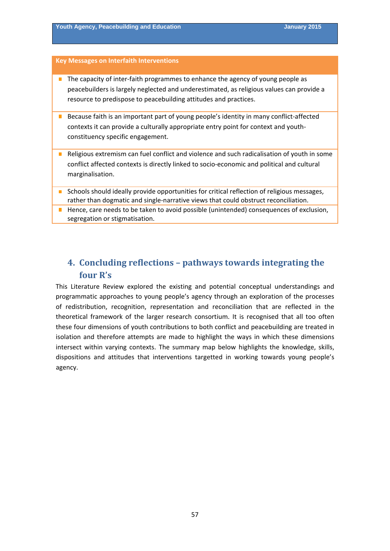#### **Key Messages on Interfaith Interventions**

- The capacity of inter-faith programmes to enhance the agency of young people as peacebuilders is largely neglected and underestimated, as religious values can provide a resource to predispose to peacebuilding attitudes and practices.
- Because faith is an important part of young people's identity in many conflict-affected contexts it can provide a culturally appropriate entry point for context and youth‐ constituency specific engagement.
- Religious extremism can fuel conflict and violence and such radicalisation of youth in some conflict affected contexts is directly linked to socio‐economic and political and cultural marginalisation.
- Schools should ideally provide opportunities for critical reflection of religious messages,  $\mathcal{L}_{\mathcal{A}}$ rather than dogmatic and single‐narrative views that could obstruct reconciliation.
- **Hence, care needs to be taken to avoid possible (unintended) consequences of exclusion,** segregation or stigmatisation.

# **4. Concluding reflections – pathways towards integrating the four R's**

This Literature Review explored the existing and potential conceptual understandings and programmatic approaches to young people's agency through an exploration of the processes of redistribution, recognition, representation and reconciliation that are reflected in the theoretical framework of the larger research consortium. It is recognised that all too often these four dimensions of youth contributions to both conflict and peacebuilding are treated in isolation and therefore attempts are made to highlight the ways in which these dimensions intersect within varying contexts. The summary map below highlights the knowledge, skills, dispositions and attitudes that interventions targetted in working towards young people's agency.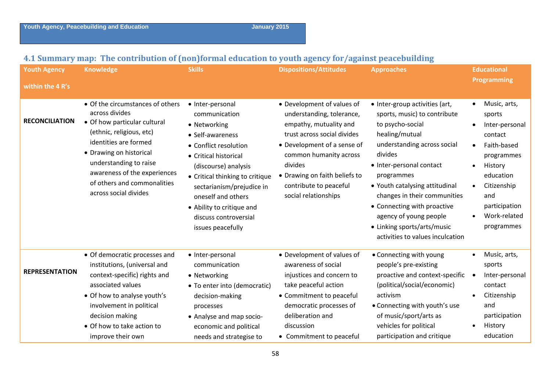## **4.1 Summary map: The contribution of (non)formal education to youth agency for/against peacebuilding**

| <b>Youth Agency</b><br>within the 4 R's | <b>Knowledge</b>                                                                                                                                                                                                                                                                     | <b>Skills</b>                                                                                                                                                                                                                                                                                                    | <b>Dispositions/Attitudes</b>                                                                                                                                                                                                                                           | <b>Approaches</b>                                                                                                                                                                                                                                                                                                                                                                      | <b>Educational</b><br><b>Programming</b>                                                                                                                                                                                          |
|-----------------------------------------|--------------------------------------------------------------------------------------------------------------------------------------------------------------------------------------------------------------------------------------------------------------------------------------|------------------------------------------------------------------------------------------------------------------------------------------------------------------------------------------------------------------------------------------------------------------------------------------------------------------|-------------------------------------------------------------------------------------------------------------------------------------------------------------------------------------------------------------------------------------------------------------------------|----------------------------------------------------------------------------------------------------------------------------------------------------------------------------------------------------------------------------------------------------------------------------------------------------------------------------------------------------------------------------------------|-----------------------------------------------------------------------------------------------------------------------------------------------------------------------------------------------------------------------------------|
| <b>RECONCILIATION</b>                   | • Of the circumstances of others<br>across divides<br>• Of how particular cultural<br>(ethnic, religious, etc)<br>identities are formed<br>• Drawing on historical<br>understanding to raise<br>awareness of the experiences<br>of others and commonalities<br>across social divides | • Inter-personal<br>communication<br>• Networking<br>• Self-awareness<br>• Conflict resolution<br>• Critical historical<br>(discourse) analysis<br>• Critical thinking to critique<br>sectarianism/prejudice in<br>oneself and others<br>• Ability to critique and<br>discuss controversial<br>issues peacefully | • Development of values of<br>understanding, tolerance,<br>empathy, mutuality and<br>trust across social divides<br>• Development of a sense of<br>common humanity across<br>divides<br>• Drawing on faith beliefs to<br>contribute to peaceful<br>social relationships | • Inter-group activities (art,<br>sports, music) to contribute<br>to psycho-social<br>healing/mutual<br>understanding across social<br>divides<br>• Inter-personal contact<br>programmes<br>• Youth catalysing attitudinal<br>changes in their communities<br>• Connecting with proactive<br>agency of young people<br>• Linking sports/arts/music<br>activities to values inculcation | Music, arts,<br>$\bullet$<br>sports<br>Inter-personal<br>contact<br>Faith-based<br>$\bullet$<br>programmes<br>History<br>$\bullet$<br>education<br>Citizenship<br>$\bullet$<br>and<br>participation<br>Work-related<br>programmes |
| <b>REPRESENTATION</b>                   | • Of democratic processes and<br>institutions, (universal and<br>context-specific) rights and<br>associated values<br>• Of how to analyse youth's<br>involvement in political<br>decision making<br>• Of how to take action to                                                       | • Inter-personal<br>communication<br>• Networking<br>• To enter into (democratic)<br>decision-making<br>processes<br>• Analyse and map socio-<br>economic and political                                                                                                                                          | • Development of values of<br>awareness of social<br>injustices and concern to<br>take peaceful action<br>• Commitment to peaceful<br>democratic processes of<br>deliberation and<br>discussion                                                                         | • Connecting with young<br>people's pre-existing<br>proactive and context-specific<br>(political/social/economic)<br>activism<br>• Connecting with youth's use<br>of music/sport/arts as<br>vehicles for political                                                                                                                                                                     | Music, arts,<br>sports<br>Inter-personal<br>contact<br>Citizenship<br>and<br>participation<br>History                                                                                                                             |
|                                         | improve their own                                                                                                                                                                                                                                                                    | needs and strategise to                                                                                                                                                                                                                                                                                          | • Commitment to peaceful                                                                                                                                                                                                                                                | participation and critique                                                                                                                                                                                                                                                                                                                                                             | education                                                                                                                                                                                                                         |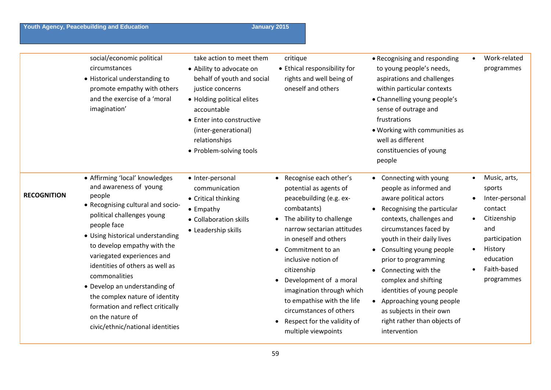**Youth Agency, Peacebuilding and Education January 2015** January 2015

|                    | social/economic political<br>circumstances<br>• Historical understanding to<br>promote empathy with others<br>and the exercise of a 'moral<br>imagination'                                                                                                                                                                                                                                                                                                               | take action to meet them<br>• Ability to advocate on<br>behalf of youth and social<br>justice concerns<br>• Holding political elites<br>accountable<br>• Enter into constructive<br>(inter-generational)<br>relationships<br>• Problem-solving tools | critique<br>• Ethical responsibility for<br>rights and well being of<br>oneself and others                                                                                                                                                                                                                                                                                                                                                                        | • Recognising and responding<br>to young people's needs,<br>aspirations and challenges<br>within particular contexts<br>• Channelling young people's<br>sense of outrage and<br>frustrations<br>. Working with communities as<br>well as different<br>constituencies of young<br>people                                                                                                                                                                         | Work-related<br>programmes                                                                                                                                                |
|--------------------|--------------------------------------------------------------------------------------------------------------------------------------------------------------------------------------------------------------------------------------------------------------------------------------------------------------------------------------------------------------------------------------------------------------------------------------------------------------------------|------------------------------------------------------------------------------------------------------------------------------------------------------------------------------------------------------------------------------------------------------|-------------------------------------------------------------------------------------------------------------------------------------------------------------------------------------------------------------------------------------------------------------------------------------------------------------------------------------------------------------------------------------------------------------------------------------------------------------------|-----------------------------------------------------------------------------------------------------------------------------------------------------------------------------------------------------------------------------------------------------------------------------------------------------------------------------------------------------------------------------------------------------------------------------------------------------------------|---------------------------------------------------------------------------------------------------------------------------------------------------------------------------|
| <b>RECOGNITION</b> | • Affirming 'local' knowledges<br>and awareness of young<br>people<br>• Recognising cultural and socio-<br>political challenges young<br>people face<br>• Using historical understanding<br>to develop empathy with the<br>variegated experiences and<br>identities of others as well as<br>commonalities<br>• Develop an understanding of<br>the complex nature of identity<br>formation and reflect critically<br>on the nature of<br>civic/ethnic/national identities | • Inter-personal<br>communication<br>• Critical thinking<br>$\bullet$ Empathy<br>• Collaboration skills<br>• Leadership skills                                                                                                                       | Recognise each other's<br>$\bullet$<br>potential as agents of<br>peacebuilding (e.g. ex-<br>combatants)<br>The ability to challenge<br>$\bullet$<br>narrow sectarian attitudes<br>in oneself and others<br>Commitment to an<br>$\bullet$<br>inclusive notion of<br>citizenship<br>Development of a moral<br>$\bullet$<br>imagination through which<br>to empathise with the life<br>circumstances of others<br>Respect for the validity of<br>multiple viewpoints | • Connecting with young<br>people as informed and<br>aware political actors<br>Recognising the particular<br>$\bullet$<br>contexts, challenges and<br>circumstances faced by<br>youth in their daily lives<br>Consulting young people<br>$\bullet$<br>prior to programming<br>Connecting with the<br>complex and shifting<br>identities of young people<br>Approaching young people<br>as subjects in their own<br>right rather than objects of<br>intervention | Music, arts,<br>sports<br>Inter-personal<br>contact<br>Citizenship<br>$\bullet$<br>and<br>participation<br>History<br>$\bullet$<br>education<br>Faith-based<br>programmes |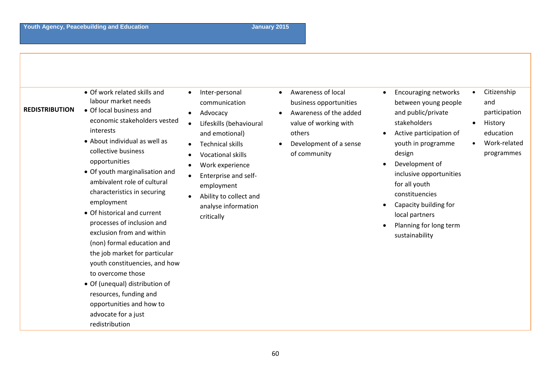| <b>REDISTRIBUTION</b> | • Of work related skills and<br>$\bullet$<br>labour market needs<br>• Of local business and<br>economic stakeholders vested<br>interests<br>• About individual as well as<br>collective business<br>opportunities<br>• Of youth marginalisation and<br>ambivalent role of cultural<br>characteristics in securing<br>employment<br>• Of historical and current<br>processes of inclusion and<br>exclusion from and within<br>(non) formal education and<br>the job market for particular<br>youth constituencies, and how<br>to overcome those<br>• Of (unequal) distribution of<br>resources, funding and<br>opportunities and how to<br>advocate for a just<br>redistribution | Inter-personal<br>communication<br>Advocacy<br>Lifeskills (behavioural<br>and emotional)<br><b>Technical skills</b><br><b>Vocational skills</b><br>Work experience<br>Enterprise and self-<br>employment<br>Ability to collect and<br>analyse information<br>critically | Awareness of local<br>$\bullet$<br>business opportunities<br>Awareness of the added<br>value of working with<br>others<br>Development of a sense<br>of community | $\bullet$ | <b>Encouraging networks</b><br>between young people<br>and public/private<br>stakeholders<br>Active participation of<br>youth in programme<br>design<br>Development of<br>inclusive opportunities<br>for all youth<br>constituencies<br>Capacity building for<br>local partners<br>Planning for long term<br>sustainability | $\bullet$ | Citizenship<br>and<br>participation<br>History<br>education<br>Work-related<br>programmes |
|-----------------------|---------------------------------------------------------------------------------------------------------------------------------------------------------------------------------------------------------------------------------------------------------------------------------------------------------------------------------------------------------------------------------------------------------------------------------------------------------------------------------------------------------------------------------------------------------------------------------------------------------------------------------------------------------------------------------|-------------------------------------------------------------------------------------------------------------------------------------------------------------------------------------------------------------------------------------------------------------------------|------------------------------------------------------------------------------------------------------------------------------------------------------------------|-----------|-----------------------------------------------------------------------------------------------------------------------------------------------------------------------------------------------------------------------------------------------------------------------------------------------------------------------------|-----------|-------------------------------------------------------------------------------------------|
|-----------------------|---------------------------------------------------------------------------------------------------------------------------------------------------------------------------------------------------------------------------------------------------------------------------------------------------------------------------------------------------------------------------------------------------------------------------------------------------------------------------------------------------------------------------------------------------------------------------------------------------------------------------------------------------------------------------------|-------------------------------------------------------------------------------------------------------------------------------------------------------------------------------------------------------------------------------------------------------------------------|------------------------------------------------------------------------------------------------------------------------------------------------------------------|-----------|-----------------------------------------------------------------------------------------------------------------------------------------------------------------------------------------------------------------------------------------------------------------------------------------------------------------------------|-----------|-------------------------------------------------------------------------------------------|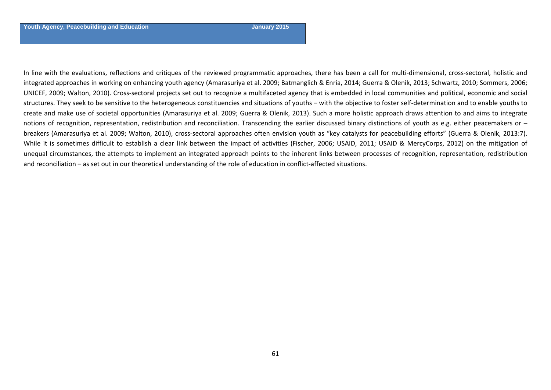In line with the evaluations, reflections and critiques of the reviewed programmatic approaches, there has been <sup>a</sup> call for multi‐dimensional, cross‐sectoral, holistic and integrated approaches in working on enhancing youth agency (Amarasuriya et al. 2009; Batmanglich & Enria, 2014; Guerra & Olenik, 2013; Schwartz, 2010; Sommers, 2006; UNICEF, 2009; Walton, 2010). Cross‐sectoral projects set out to recognize <sup>a</sup> multifaceted agency that is embedded in local communities and political, economic and social structures. They seek to be sensitive to the heterogeneous constituencies and situations of youths – with the objective to foster self‐determination and to enable youths to create and make use of societal opportunities (Amarasuriya et al. 2009; Guerra & Olenik, 2013). Such <sup>a</sup> more holistic approach draws attention to and aims to integrate notions of recognition, representation, redistribution and reconciliation. Transcending the earlier discussed binary distinctions of youth as e.g. either peacemakers or – breakers (Amarasuriya et al. 2009; Walton, 2010), cross‐sectoral approaches often envision youth as "key catalysts for peacebuilding efforts" (Guerra & Olenik, 2013:7). While it is sometimes difficult to establish <sup>a</sup> clear link between the impact of activities (Fischer, 2006; USAID, 2011; USAID & MercyCorps, 2012) on the mitigation of unequal circumstances, the attempts to implement an integrated approach points to the inherent links between processes of recognition, representation, redistribution and reconciliation – as set out in our theoretical understanding of the role of education in conflict‐affected situations.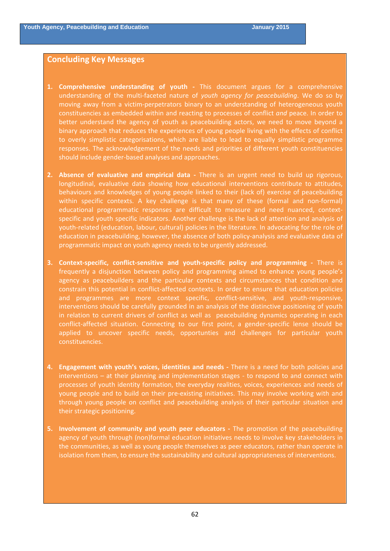### **Concluding Key Messages**

- **1. Comprehensive understanding of youth ‐**  This document argues for a comprehensive understanding of the multi‐faceted nature of *youth agency for peacebuilding*. We do so by moving away from a victim‐perpetrators binary to an understanding of heterogeneous youth constituencies as embedded within and reacting to processes of conflict *and* peace. In order to better understand the agency of youth as peacebuilding actors, we need to move beyond a binary approach that reduces the experiences of young people living with the effects of conflict to overly simplistic categorisations, which are liable to lead to equally simplistic programme responses. The acknowledgement of the needs and priorities of different youth constituencies should include gender‐based analyses and approaches.
- **2. Absence of evaluative and empirical data ‐**  There is an urgent need to build up rigorous, longitudinal, evaluative data showing how educational interventions contribute to attitudes, behaviours and knowledges of young people linked to their (lack of) exercise of peacebuilding within specific contexts. A key challenge is that many of these (formal and non-formal) educational programmatic responses are difficult to measure and need nuanced, contextspecific and youth specific indicators. Another challenge is the lack of attention and analysis of youth‐related (education, labour, cultural) policies in the literature. In advocating for the role of education in peacebuilding, however, the absence of both policy-analysis and evaluative data of programmatic impact on youth agency needs to be urgently addressed.
- **3. Context‐specific, conflict‐sensitive and youth‐specific policy and programming ‐**  There is frequently a disjunction between policy and programming aimed to enhance young people's agency as peacebuilders and the particular contexts and circumstances that condition and constrain this potential in conflict-affected contexts. In order to ensure that education policies and programmes are more context specific, conflict-sensitive, and youth-responsive, interventions should be carefully grounded in an analysis of the distinctive positioning of youth in relation to current drivers of conflict as well as peacebuilding dynamics operating in each conflict-affected situation. Connecting to our first point, a gender-specific lense should be applied to uncover specific needs, opportunties and challenges for particular youth constituencies.
- **4. Engagement with youth's voices, identities and needs ‐** There is a need for both policies and interventions – at their planning and implementation stages ‐ to respond to and connect with processes of youth identity formation, the everyday realities, voices, experiences and needs of young people and to build on their pre‐existing initiatives. This may involve working with and through young people on conflict and peacebuilding analysis of their particular situation and their strategic positioning.
- **5. Involvement of community and youth peer educators ‐**  The promotion of the peacebuilding agency of youth through (non)formal education initiatives needs to involve key stakeholders in the communities, as well as young people themselves as peer educators, rather than operate in isolation from them, to ensure the sustainability and cultural appropriateness of interventions.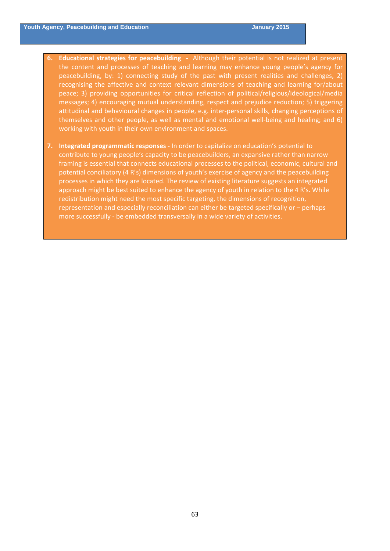- **6. Educational strategies for peacebuilding ‐** Although their potential is not realized at present the content and processes of teaching and learning may enhance young people's agency for peacebuilding, by: 1) connecting study of the past with present realities and challenges, 2) recognising the affective and context relevant dimensions of teaching and learning for/about peace; 3) providing opportunities for critical reflection of political/religious/ideological/media messages; 4) encouraging mutual understanding, respect and prejudice reduction; 5) triggering attitudinal and behavioural changes in people, e.g. inter‐personal skills, changing perceptions of themselves and other people, as well as mental and emotional well‐being and healing; and 6) working with youth in their own environment and spaces.
- **7. Integrated programmatic responses ‐** In order to capitalize on education's potential to contribute to young people's capacity to be peacebuilders, an expansive rather than narrow framing is essential that connects educational processes to the political, economic, cultural and potential conciliatory (4 R's) dimensions of youth's exercise of agency and the peacebuilding processes in which they are located. The review of existing literature suggests an integrated approach might be best suited to enhance the agency of youth in relation to the 4 R's. While redistribution might need the most specific targeting, the dimensions of recognition, representation and especially reconciliation can either be targeted specifically or – perhaps more successfully ‐ be embedded transversally in a wide variety of activities.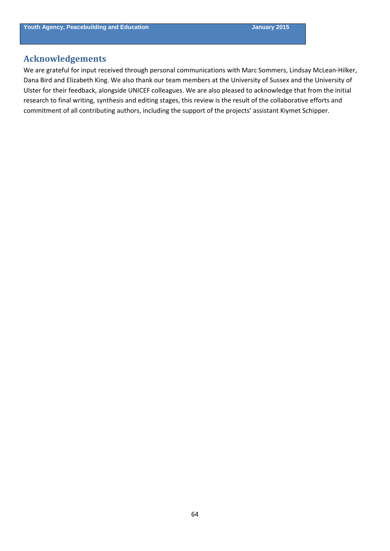# **Acknowledgements**

We are grateful for input received through personal communications with Marc Sommers, Lindsay McLean-Hilker, Dana Bird and Elizabeth King. We also thank our team members at the University of Sussex and the University of Ulster for their feedback, alongside UNICEF colleagues. We are also pleased to acknowledge that from the initial research to final writing, synthesis and editing stages, this review is the result of the collaborative efforts and commitment of all contributing authors, including the support of the projects' assistant Kiymet Schipper.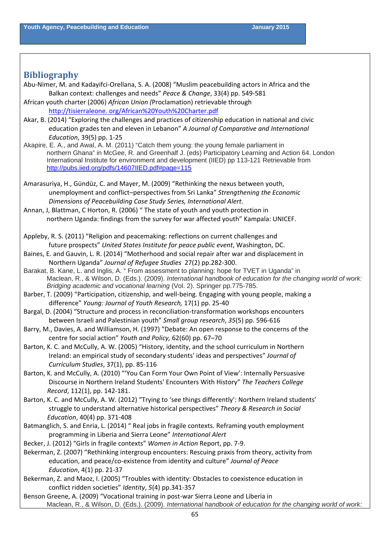# **Bibliography**

- Abu‐Nimer, M. and Kadayifci‐Orellana, S. A. (2008) "Muslim peacebuilding actors in Africa and the Balkan context: challenges and needs" *Peace & Change*, 33(4) pp. 549‐581
- African youth charter (2006) *African Union (*Proclamation) retrievable through http://tisierraleone. [org/African%20Youth%20Charter.pdf](http://tisierraleone.org/African%20Youth%20Charter.pdf)
- Akar, B. (2014) "Exploring the challenges and practices of citizenship education in national and civic education grades ten and eleven in Lebanon" *A Journal of Comparative and International Education*, 39(5) pp. 1‐25
- Akapire, E. A., and Awal, A. M. (2011) "Catch them young: the young female parliament in northern Ghana" in McGee, R. and Greenhalf J. (eds) Participatory Learning and Action 64. London International Institute for environment and development (IIED) pp 113-121 Retrievable from <http://pubs.iied.org/pdfs/14607IIED.pdf#page=115>
- Amarasuriya, H., Gündüz, C. and Mayer, M. (2009) "Rethinking the nexus between youth, unemployment and conflict–perspectives from Sri Lanka" *Strengthening the Economic Dimensions of Peacebuilding Case Study Series, International Alert*.
- Annan, J, Blattman, C Horton, R. (2006) " The state of youth and youth protection in northern Uganda: findings from the survey for war affected youth" Kampala: UNICEF.

Appleby, R. S. (2011) "Religion and peacemaking: reflections on current challenges and future prospects" *United States Institute for peace public event*, Washington, DC.

- Baines, E. and Gauvin, L. R. (2014) "Motherhood and social repair after war and displacement in Northern Uganda" *Journal of Refugee Studies* 27(2) pp.282‐300.
- Barakat, B. Kane, L. and Inglis, A. " From assessment to planning: hope for TVET in Uganda" in Maclean, R., & Wilson, D. (Eds.). (2009). *International handbook of education for the changing world of work: Bridging academic and vocational learning* (Vol. 2). Springer pp.775-785.
- Barber, T. (2009) "Participation, citizenship, and well-being. Engaging with young people, making a difference" *Young: Journal of Youth Research,* 17(1) pp. 25‐40

Bargal, D. (2004) "Structure and process in reconciliation‐transformation workshops encounters between Israeli and Palestinian youth" *Small group research*, *35*(5) pp. 596‐616

- Barry, M., Davies, A. and Williamson, H. (1997) "Debate: An open response to the concerns of the centre for social action" *Youth and Policy,* 62(60) pp. 67–70
- Barton, K. C. and McCully, A. W. (2005) "History, identity, and the school curriculum in Northern Ireland: an empirical study of secondary students' ideas and perspectives" *Journal of Curriculum Studies*, 37(1), pp. 85‐116
- Barton, K. and McCully, A. (2010) "'You Can Form Your Own Point of View': Internally Persuasive Discourse in Northern Ireland Students' Encounters With History" *The Teachers College Record*, 112(1), pp. 142‐181.
- Barton, K. C. and McCully, A. W. (2012) "Trying to 'see things differently': Northern Ireland students' struggle to understand alternative historical perspectives" *Theory & Research in Social Education*, 40(4) pp. 371‐408
- Batmanglich, S. and Enria, L. (2014) " Real jobs in fragile contexts. Reframing youth employment programming in Liberia and Sierra Leone" *International Alert*

Becker, J. (2012) "Girls in fragile contexts" *Women in Action* Report, pp. 7‐9.

- Bekerman, Z. (2007) "Rethinking intergroup encounters: Rescuing praxis from theory, activity from education, and peace/co‐existence from identity and culture" *Journal of Peace Education*, 4(1) pp. 21‐37
- Bekerman, Z. and Maoz, I. (2005) "Troubles with identity: Obstacles to coexistence education in conflict ridden societies" *Identity*, *5*(4) pp.341‐357
- Benson Greene, A. (2009) "Vocational training in post‐war Sierra Leone and Liberia in Maclean, R., & Wilson, D. (Eds.). (2009). *International handbook of education for the changing world of work:*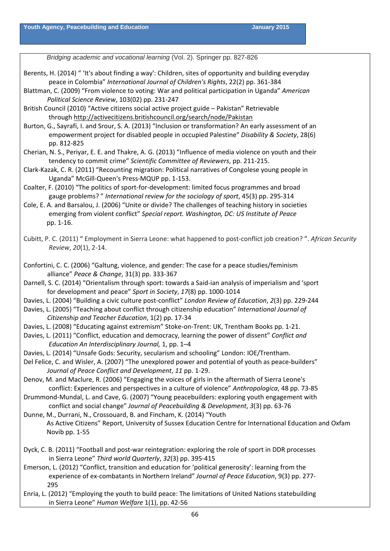*Bridging academic and vocational learning* (Vol. 2). Springer pp. 827-826

- Berents, H. (2014) " 'It's about finding a way': Children, sites of opportunity and building everyday peace in Colombia" *International Journal of Children's Rights*, 22(2) pp. 361‐384
- Blattman, C. (2009) "From violence to voting: War and political participation in Uganda" *American Political Science Review*, 103(02) pp. 231‐247
- British Council (2010) "Active citizens social active project guide Pakistan" Retrievable through <http://activecitizens.britishcouncil.org/search/node/Pakistan>
- Burton, G., Sayrafi, I. and Srour, S. A. (2013) "Inclusion or transformation? An early assessment of an empowerment project for disabled people in occupied Palestine" *Disability & Society*, 28(6) pp. 812‐825
- Cherian, N. S., Periyar, E. E. and Thakre, A. G. (2013) "Influence of media violence on youth and their tendency to commit crime" *Scientific Committee of Reviewers*, pp. 211‐215.
- Clark‐Kazak, C. R. (2011) "Recounting migration: Political narratives of Congolese young people in Uganda" McGill‐Queen's Press‐MQUP pp. 1‐153.
- Coalter, F. (2010) "The politics of sport‐for‐development: limited focus programmes and broad gauge problems? " *International review for the sociology of sport*, 45(3) pp. 295‐314
- Cole, E. A. and Barsalou, J. (2006) "Unite or divide? The challenges of teaching history in societies emerging from violent conflict" *Special report. Washington, DC: US Institute of Peace* pp. 1‐16.
- Cubitt, P. C. (2011) " Employment in Sierra Leone: what happened to post‐conflict job creation? ". *African Security Review*, *20*(1), 2‐14.
- Confortini, C. C. (2006) "Galtung, violence, and gender: The case for a peace studies/feminism alliance" *Peace & Change*, 31(3) pp. 333‐367
- Darnell, S. C. (2014) "Orientalism through sport: towards a Said‐ian analysis of imperialism and 'sport for development and peace" *Sport in Society*, *17*(8) pp. 1000‐1014
- Davies, L. (2004) "Building a civic culture post‐conflict" *London Review of Education*, *2*(3) pp. 229‐244
- Davies, L. (2005) "Teaching about conflict through citizenship education" *International Journal of Citizenship and Teacher Education*, 1(2) pp. 17‐34
- Davies, L. (2008) "Educating against extremism" Stoke-on-Trent: UK, Trentham Books pp. 1-21.
- Davies, L. (2011) "Conflict, education and democracy, learning the power of dissent" *Conflict and Education An Interdisciplinary Journal,* 1, pp. 1–4
- Davies, L. (2014) "Unsafe Gods: Security, secularism and schooling" London: IOE/Trentham.
- Del Felice, C. and Wisler, A. (2007) "The unexplored power and potential of youth as peace-builders" *Journal of Peace Conflict and Development*, *11* pp. 1‐29.
- Denov, M. and Maclure, R. (2006) "Engaging the voices of girls in the aftermath of Sierra Leone's conflict: Experiences and perspectives in a culture of violence" *Anthropologica*, 48 pp. 73‐85
- Drummond‐Mundal, L. and Cave, G. (2007) "Young peacebuilders: exploring youth engagement with conflict and social change" *Journal of Peacebuilding & Development*, *3*(3) pp. 63‐76

Dunne, M., Durrani, N., Crossouard, B. and Fincham, K. (2014) "Youth As Active Citizens" Report, University of Sussex Education Centre for International Education and Oxfam Novib pp. 1‐55

- Dyck, C. B. (2011) "Football and post‐war reintegration: exploring the role of sport in DDR processes in Sierra Leone" *Third world Quarterly*, *32*(3) pp. 395‐415
- Emerson, L. (2012) "Conflict, transition and education for 'political generosity': learning from the experience of ex‐combatants in Northern Ireland" *Journal of Peace Education*, 9(3) pp. 277‐ 295
- Enria, L. (2012) "Employing the youth to build peace: The limitations of United Nations statebuilding in Sierra Leone" *Human Welfare* 1(1), pp. 42‐56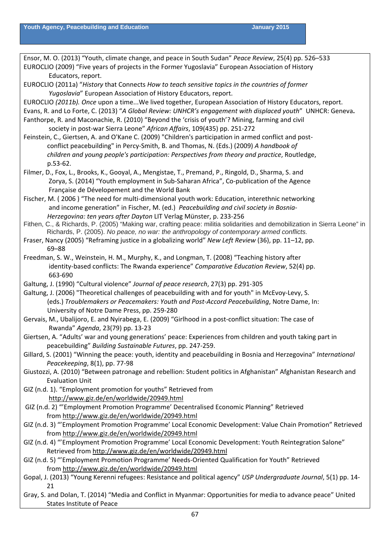Ensor, M. O. (2013) "Youth, climate change, and peace in South Sudan" *Peace Review*, 25(4) pp. 526–533 EUROCLIO (2009) "Five years of projects in the Former Yugoslavia" European Association of History Educators, report. EUROCLIO (2011a) "*History* that Connects *How to teach sensitive topics in the countries of former Yugoslavia*" European Association of History Educators, report. EUROCLIO *(2011b). Once* upon a time...We lived together, European Association of History Educators, report. Evans, R. and Lo Forte, C. (2013) "*A Global Review: UNHCR's engagement with displaced youth*" UNHCR: Geneva**.** Fanthorpe, R. and Maconachie, R. (2010) "Beyond the 'crisis of youth'? Mining, farming and civil society in post‐war Sierra Leone" *African Affairs*, 109(435) pp. 251‐272 Feinstein, C., Giertsen, A. and O'Kane C. (2009) "Children's participation in armed conflict and post- conflict peacebuilding" in Percy‐Smith, B. and Thomas, N. (Eds.) (2009) *A handbook of children and young people's participation: Perspectives from theory and practice*, Routledge, p.53‐62. Filmer, D., Fox, L., Brooks, K., Gooyal, A., Mengistae, T., Premand, P., Ringold, D., Sharma, S. and Zorya, S. (2014) "Youth employment in Sub‐Saharan Africa", Co‐publication of the Agence Française de Dévelopement and the World Bank Fischer, M. (2006) "The need for multi-dimensional youth work: Education, interethnic networking and income generation" in Fischer, M. (ed.) *Peacebuilding and civil society in Bosnia‐ Herzegovina: ten years after Dayton* LIT Verlag Münster, p. 233‐256 Fithen, C., & Richards, P. (2005) "Making war, crafting peace: militia solidarities and demobilization in Sierra Leone" in Richards, P. (2005). *No peace, no war: the anthropology of contemporary armed conflicts.* Fraser, Nancy (2005) "Reframing justice in a globalizing world" *New Left Review* (36), pp. 11–12, pp. 69–88 Freedman, S. W., Weinstein, H. M., Murphy, K., and Longman, T. (2008) "Teaching history after identity‐based conflicts: The Rwanda experience" *Comparative Education Review*, 52(4) pp. 663‐690 Galtung, J. (1990) "Cultural violence" *Journal of peace research*, 27(3) pp. 291‐305 Galtung, J. (2006) "Theoretical challenges of peacebuilding with and for youth" in McEvoy‐Levy, S. (eds.) *Troublemakers or Peacemakers: Youth and Post‐Accord Peacebuilding*, Notre Dame, In: University of Notre Dame Press, pp. 259‐280 Gervais, M., Ubalijoro, E. and Nyirabega, E. (2009) "Girlhood in a post‐conflict situation: The case of Rwanda" *Agenda*, 23(79) pp. 13‐23 Giertsen, A. "Adults' war and young generations' peace: Experiences from children and youth taking part in peacebuilding" *Building Sustainable Futures*, pp. 247‐259. Gillard, S. (2001) "Winning the peace: youth, identity and peacebuilding in Bosnia and Herzegovina" *International Peacekeeping*, 8(1), pp. 77‐98 Giustozzi, A. (2010) "Between patronage and rebellion: Student politics in Afghanistan" Afghanistan Research and Evaluation Unit GIZ (n.d. 1). "Employment promotion for youths" Retrieved from <http://www.giz.de/en/worldwide/20949.html> GIZ (n.d. 2) "'Employment Promotion Programme' Decentralised Economic Planning" Retrieved from <http://www.giz.de/en/worldwide/20949.html> GIZ (n.d. 3) "'Employment Promotion Programme' Local Economic Development: Value Chain Promotion" Retrieved from <http://www.giz.de/en/worldwide/20949.html> GIZ (n.d. 4) "'Employment Promotion Programme' Local Economic Development: Youth Reintegration Salone" Retrieved from <http://www.giz.de/en/worldwide/20949.html> GIZ (n.d. 5) "'Employment Promotion Programme' Needs‐Oriented Qualification for Youth" Retrieved

from <http://www.giz.de/en/worldwide/20949.html>

- Gopal, J. (2013) "Young Kerenni refugees: Resistance and political agency" *USP Undergraduate Journal*, 5(1) pp. 14‐ 21
- Gray, S. and Dolan, T. (2014) "Media and Conflict in Myanmar: Opportunities for media to advance peace" United States Institute of Peace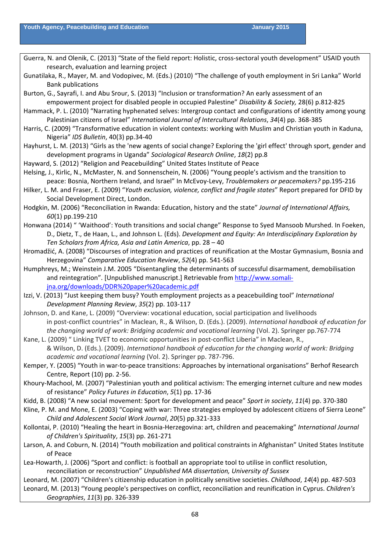- Guerra, N. and Olenik, C. (2013) "State of the field report: Holistic, cross-sectoral youth development" USAID youth research, evaluation and learning project
- Gunatilaka, R., Mayer, M. and Vodopivec, M. (Eds.) (2010) "The challenge of youth employment in Sri Lanka" World Bank publications
- Burton, G., Sayrafi, I. and Abu Srour, S. (2013) "Inclusion or transformation? An early assessment of an empowerment project for disabled people in occupied Palestine" *Disability & Society,* 28(6) p.812‐825
- Hammack, P. L. (2010) "Narrating hyphenated selves: Intergroup contact and configurations of identity among young Palestinian citizens of Israel" *International Journal of Intercultural Relations*, *34*(4) pp. 368‐385
- Harris, C. (2009) "Transformative education in violent contexts: working with Muslim and Christian youth in Kaduna, Nigeria" *IDS Bulletin*, 40(3) pp.34‐40
- Hayhurst, L. M. (2013) "Girls as the 'new agents of social change? Exploring the 'girl effect' through sport, gender and development programs in Uganda" *Sociological Research Online*, *18*(2) pp.8
- Hayward, S. (2012) "Religion and Peacebuilding" United States Institute of Peace
- Helsing, J., Kirlic, N., McMaster, N. and Sonnenschein, N. (2006) "Young people's activism and the transition to peace: Bosnia, Northern Ireland, and Israel" In McEvoy‐Levy, *Troublemakers or peacemakers?* pp.195‐216
- Hilker, L. M. and Fraser, E. (2009) "*Youth exclusion, violence, conflict and fragile states*" Report prepared for DFID by Social Development Direct, London.
- Hodgkin, M. (2006) "Reconciliation in Rwanda: Education, history and the state" *Journal of International Affairs, 60*(1) pp.199‐210
- Honwana (2014) " 'Waithood': Youth transitions and social change" Response to Syed Mansoob Murshed. In Foeken, D., Dietz, T., de Haan, L., and Johnson L. (Eds). *Development and Equity: An Interdisciplinary Exploration by Ten Scholars from Africa, Asia and Latin America*, pp. 28 – 40
- Hromadžić, A. (2008) "Discourses of integration and practices of reunification at the Mostar Gymnasium, Bosnia and Herzegovina" *Comparative Education Review*, *52*(4) pp. 541‐563
- Humphreys, M.; Weinstein J.M. 2005 "Disentangling the determinants of successful disarmament, demobilisation and reintegration". [Unpublished manuscript.] Retrievable from [http://www.somali](http://www.somali-jna.org/downloads/DDR%20paper%20academic.pdf)[jna.org/downloads/DDR%20paper%20academic.pdf](http://www.somali-jna.org/downloads/DDR%20paper%20academic.pdf)
- Izzi, V. (2013) "Just keeping them busy? Youth employment projects as a peacebuilding tool" *International Development Planning Review*, *35*(2) pp. 103‐117
- Johnson, D. and Kane, L. (2009) "Overview: vocational education, social participation and livelihoods in post‐conflict countries" in Maclean, R., & Wilson, D. (Eds.). (2009). *International handbook of education for the changing world of work: Bridging academic and vocational learning* (Vol. 2). Springer pp.767‐774
- Kane, L. (2009) " Linking TVET to economic opportunities in post-conflict Liberia" in Maclean, R., & Wilson, D. (Eds.). (2009). *International handbook of education for the changing world of work: Bridging academic and vocational learning* (Vol. 2). Springer pp. 787‐796.
- Kemper, Y. (2005) "Youth in war‐to‐peace transitions: Approaches by international organisations" Berhof Research Centre, Report (10) pp. 2‐56.
- Khoury‐Machool, M. (2007) "Palestinian youth and political activism: The emerging internet culture and new modes of resistance" *Policy Futures in Education*, *5*(1) pp. 17‐36
- Kidd, B. (2008) "A new social movement: Sport for development and peace" *Sport in society*, *11*(4) pp. 370‐380
- Kline, P. M. and Mone, E. (2003) "Coping with war: Three strategies employed by adolescent citizens of Sierra Leone" *Child and Adolescent Social Work Journal*, *20*(5) pp.321‐333
- Kollontai, P. (2010) "Healing the heart in Bosnia‐Herzegovina: art, children and peacemaking" *International Journal of Children's Spirituality*, *15*(3) pp. 261‐271
- Larson, A. and Coburn, N. (2014) "Youth mobilization and political constraints in Afghanistan" United States Institute of Peace
- Lea‐Howarth, J. (2006) "Sport and conflict: is football an appropriate tool to utilise in conflict resolution, reconciliation or reconstruction" *Unpublished MA dissertation, University of Sussex*
- Leonard, M. (2007) "Children's citizenship education in politically sensitive societies. *Childhood*, *14*(4) pp. 487‐503 Leonard, M. (2013) "Young people's perspectives on conflict, reconciliation and reunification in Cyprus. *Children's Geographies*, *11*(3) pp. 326‐339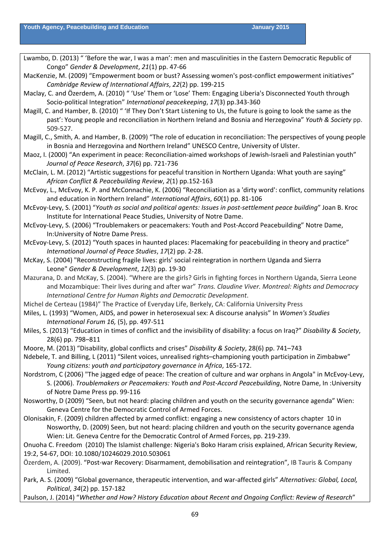- Lwambo, D. (2013) " 'Before the war, I was a man': men and masculinities in the Eastern Democratic Republic of Congo" *Gender & Development*, *21*(1) pp. 47‐66
- MacKenzie, M. (2009) "Empowerment boom or bust? Assessing women's post-conflict empowerment initiatives" *Cambridge Review of International Affairs*, *22*(2) pp. 199‐215
- Maclay, C. and Özerdem, A. (2010) " 'Use' Them or 'Lose' Them: Engaging Liberia's Disconnected Youth through Socio‐political Integration" *International peacekeeping*, *17*(3) pp.343‐360
- Magill, C. and Hamber, B. (2010) " 'If They Don't Start Listening to Us, the future is going to look the same as the past': Young people and reconciliation in Northern Ireland and Bosnia and Herzegovina" *Youth & Society* pp. 509‐527.
- Magill, C., Smith, A. and Hamber, B. (2009) "The role of education in reconciliation: The perspectives of young people in Bosnia and Herzegovina and Northern Ireland" UNESCO Centre, University of Ulster.
- Maoz, I. (2000) "An experiment in peace: Reconciliation-aimed workshops of Jewish-Israeli and Palestinian youth" *Journal of Peace Research*, *37*(6) pp. 721‐736
- McClain, L. M. (2012) "Artistic suggestions for peaceful transition in Northern Uganda: What youth are saying" *African Conflict & Peacebuilding Review*, *2*(1) pp.152‐163
- McEvoy, L., McEvoy, K. P. and McConnachie, K. (2006) "Reconciliation as a 'dirty word': conflict, community relations and education in Northern Ireland" *International Affairs*, *60*(1) pp. 81‐106
- McEvoy‐Levy, S. (2001) "*Youth as social and political agents: Issues in post‐settlement peace building*" Joan B. Kroc Institute for International Peace Studies, University of Notre Dame.
- McEvoy‐Levy, S. (2006) "Troublemakers or peacemakers: Youth and Post‐Accord Peacebuilding" Notre Dame, In:University of Notre Dame Press.
- McEvoy‐Levy, S. (2012) "Youth spaces in haunted places: Placemaking for peacebuilding in theory and practice" *International Journal of Peace Studies*, *17*(2) pp. 2‐28.
- McKay, S. (2004) "Reconstructing fragile lives: girls' social reintegration in northern Uganda and Sierra Leone" *Gender & Development*, *12*(3) pp. 19‐30
- Mazurana, D. and McKay, S. (2004). "Where are the girls? Girls in fighting forces in Northern Uganda, Sierra Leone and Mozambique: Their lives during and after war" *Trans. Claudine Viver. Montreal: Rights and Democracy International Centre for Human Rights and Democratic Development*.
- Michel de Certeau (1984)" The Practice of Everyday Life, Berkely, CA: California University Press
- Miles, L. (1993) "Women, AIDS, and power in heterosexual sex: A discourse analysis" In *Women's Studies International Forum 16,* (5), pp. 497‐511
- Miles, S. (2013) "Education in times of conflict and the invisibility of disability: a focus on Iraq?" *Disability & Society*, 28(6) pp. 798–811
- Moore, M. (2013) "Disability, global conflicts and crises" *Disability & Society*, 28(6) pp. 741–743
- Ndebele, T. and Billing, L (2011) "Silent voices, unrealised rights–championing youth participation in Zimbabwe" *Young citizens: youth and participatory governance in Africa*, 165‐172.
- Nordstrom, C (2006) "The jagged edge of peace: The creation of culture and war orphans in Angola" in McEvoy‐Levy, S. (2006). *Troublemakers or Peacemakers: Youth and Post‐Accord Peacebuilding*, Notre Dame, In :University of Notre Dame Press pp. 99‐116
- Nosworthy, D (2009) "Seen, but not heard: placing children and youth on the security governance agenda" Wien: Geneva Centre for the Democratic Control of Armed Forces.
- Olonisakin, F. (2009) children affected by armed conflict: engaging a new consistency of actors chapter 10 in Nosworthy, D. (2009) Seen, but not heard: placing children and youth on the security governance agenda Wien: Lit. Geneva Centre for the Democratic Control of Armed Forces, pp. 219‐239.
- Onuoha C. Freedom (2010) The Islamist challenge: Nigeria's Boko Haram crisis explained, African Security Review, 19:2, 54‐67, DOI: 10.1080/10246029.2010.503061
- Özerdem, A. (2009). "Post‐war Recovery: Disarmament, demobilisation and reintegration", IB Tauris & Company Limited.
- Park, A. S. (2009) "Global governance, therapeutic intervention, and war‐affected girls" *Alternatives: Global, Local, Political*, *34*(2) pp. 157‐182
- Paulson, J. (2014) "*Whether and How? History Education about Recent and Ongoing Conflict: Review of Research*"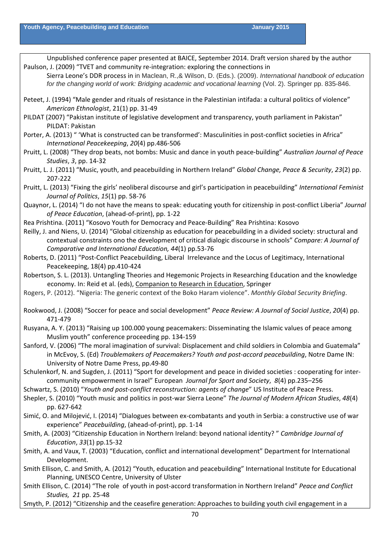Unpublished conference paper presented at BAICE, September 2014. Draft version shared by the author Paulson, J. (2009) "TVET and community re-integration: exploring the connections in Sierra Leone's DDR process in in Maclean, R.,& Wilson, D. (Eds.). (2009). *International handbook of education for the changing world of work: Bridging academic and vocational learning* (Vol. 2). Springer pp. 835-846. Peteet, J. (1994) "Male gender and rituals of resistance in the Palestinian intifada: a cultural politics of violence" *American Ethnologist*, 21(1) pp. 31‐49 PILDAT (2007) "Pakistan institute of legislative development and transparency, youth parliament in Pakistan" PILDAT: Pakistan Porter, A. (2013) " 'What is constructed can be transformed': Masculinities in post-conflict societies in Africa" *International Peacekeeping*, *20*(4) pp.486‐506 Pruitt, L. (2008) "They drop beats, not bombs: Music and dance in youth peace‐building" *Australian Journal of Peace Studies*, *3*, pp. 14‐32 Pruitt, L. J. (2011) "Music, youth, and peacebuilding in Northern Ireland" *Global Change, Peace & Security*, *23*(2) pp. 207‐222 Pruitt, L. (2013) "Fixing the girls' neoliberal discourse and girl's participation in peacebuilding" *International Feminist Journal of Politics*, *15*(1) pp. 58‐76 Quaynor, L. (2014) "I do not have the means to speak: educating youth for citizenship in post‐conflict Liberia" *Journal of Peace Education*, (ahead‐of‐print), pp. 1‐22 Rea Prishtina. (2011) "Kosovo Youth for Democracy and Peace‐Building" Rea Prishtina: Kosovo Reilly, J. and Niens, U. (2014) "Global citizenship as education for peacebuilding in a divided society: structural and contextual constraints ono the development of critical dialogic discourse in schools" *Compare: A Journal of Comparative and International Education, 44*(1) pp.53‐76 Roberts, D. (2011) "Post‐Conflict Peacebuilding, Liberal Irrelevance and the Locus of Legitimacy, International Peacekeeping, 18(4) pp.410‐424 Robertson, S. L. (2013). Untangling Theories and Hegemonic Projects in Researching Education and the knowledge economy. In: Reid et al. (eds), Companion to Research in Education, Springer Rogers, P. (2012). "Nigeria: The generic context of the Boko Haram violence". *Monthly Global Security Briefing*. Rookwood, J. (2008) "Soccer for peace and social development" *Peace Review: A Journal of Social Justice*, *20*(4) pp. 471‐479 Rusyana, A. Y. (2013) "Raising up 100.000 young peacemakers: Disseminating the Islamic values of peace among Muslim youth" conference proceeding pp. 134‐159 Sanford, V. (2006) "The moral imagination of survival: Displacement and child soldiers in Colombia and Guatemala" in McEvoy, S. (Ed) *Troublemakers of Peacemakers? Youth and post‐accord peacebuilding*, Notre Dame IN: University of Notre Dame Press, pp.49‐80 Schulenkorf, N. and Sugden, J. (2011) "Sport for development and peace in divided societies : cooperating for inter‐ community empowerment in Israel" European *Journal for Sport and Society*, *8*(4) pp.235–256 Schwartz, S. (2010) "*Youth and post‐conflict reconstruction: agents of change*" US Institute of Peace Press. Shepler, S. (2010) "Youth music and politics in post‐war Sierra Leone" *The Journal of Modern African Studies*, *48*(4) pp. 627‐642 Simić, O. and Milojević, I. (2014) "Dialogues between ex‐combatants and youth in Serbia: a constructive use of war experience" *Peacebuilding*, (ahead‐of‐print), pp. 1‐14 Smith, A. (2003) "Citizenship Education in Northern Ireland: beyond national identity? " *Cambridge Journal of Education*, *33*(1) pp.15‐32 Smith, A. and Vaux, T. (2003) "Education, conflict and international development" Department for International Development. Smith Ellison, C. and Smith, A. (2012) "Youth, education and peacebuilding" International Institute for Educational Planning, UNESCO Centre, University of Ulster Smith Ellison, C. (2014) "The role of youth in post‐accord transformation in Northern Ireland" *Peace and Conflict Studies, 21* pp. 25‐48 Smyth, P. (2012) "Citizenship and the ceasefire generation: Approaches to building youth civil engagement in a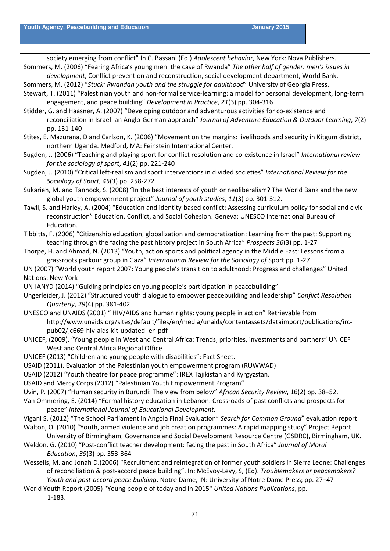society emerging from conflict" In C. Bassani (Ed.) *Adolescent behavior*, New York: Nova Publishers. Sommers, M. (2006) "Fearing Africa's young men: the case of Rwanda" *The other half of gender: men's issues in development*, Conflict prevention and reconstruction, social development department, World Bank. Sommers, M. (2012) "*Stuck: Rwandan youth and the struggle for adulthood*" University of Georgia Press. Stewart, T. (2011) "Palestinian youth and non‐formal service‐learning: a model for personal development, long‐term engagement, and peace building" *Development in Practice*, *21*(3) pp. 304‐316 Stidder, G. and Haasner, A. (2007) "Developing outdoor and adventurous activities for co‐existence and reconciliation in Israel: an Anglo‐German approach" *Journal of Adventure Education & Outdoor Learning*, *7*(2) pp. 131‐140 Stites, E. Mazurana, D and Carlson, K. (2006) "Movement on the margins: livelihoods and security in Kitgum district, northern Uganda. Medford, MA: Feinstein International Center. Sugden, J. (2006) "Teaching and playing sport for conflict resolution and co‐existence in Israel" *International review for the sociology of sport*, *41*(2) pp. 221‐240 Sugden, J. (2010) "Critical left‐realism and sport interventions in divided societies" *International Review for the Sociology of Sport*, *45*(3) pp. 258‐272 Sukarieh, M. and Tannock, S. (2008) "In the best interests of youth or neoliberalism? The World Bank and the new global youth empowerment project" *Journal of youth studies*, *11*(3) pp. 301‐312. Tawil, S. and Harley, A. (2004) "Education and identity‐based conflict: Assessing curriculum policy for social and civic reconstruction" Education, Conflict, and Social Cohesion. Geneva: UNESCO International Bureau of Education. Tibbitts, F. (2006) "Citizenship education, globalization and democratization: Learning from the past: Supporting teaching through the facing the past history project in South Africa" *Prospects 36*(3) pp. 1‐27 Thorpe, H. and Ahmad, N. (2013) "Youth, action sports and political agency in the Middle East: Lessons from a grassroots parkour group in Gaza" *International Review for the Sociology of* Sport pp. 1‐27. UN (2007) "World youth report 2007: Young people's transition to adulthood: Progress and challenges" United Nations: New York UN‐IANYD (2014) "Guiding principles on young people's participation in peacebuilding" Ungerleider, J. (2012) "Structured youth dialogue to empower peacebuilding and leadership" *Conflict Resolution Quarterly*, *29*(4) pp. 381‐402 UNESCO and UNAIDS (2001) " HIV/AIDS and human rights: young people in action" Retrievable from http://www.unaids.org/sites/default/files/en/media/unaids/contentassets/dataimport/publications/irc‐ pub02/jc669‐hiv‐aids‐kit‐updated\_en.pdf UNICEF, (2009). "Young people in West and Central Africa: Trends, priorities, investments and partners" UNICEF West and Central Africa Regional Office UNICEF (2013) "Children and young people with disabilities": Fact Sheet. USAID (2011). Evaluation of the Palestinian youth empowerment program (RUWWAD) USAID (2012) "Youth theatre for peace programme": IREX Tajikistan and Kyrgyzstan. USAID and Mercy Corps (2012) "Palestinian Youth Empowerment Program" Uvin, P. (2007) "Human security in Burundi: The view from below" *African Security Review*, 16(2) pp. 38–52. Van Ommering, E. (2014) "Formal history education in Lebanon: Crossroads of past conflicts and prospects for peace" *International Journal of Educational Development.* Vigani S. (2012) "The School Parliament in Angola Final Evaluation" *Search for Common Ground*" evaluation report. Walton, O. (2010) "Youth, armed violence and job creation programmes: A rapid mapping study" Project Report University of Birmingham, Governance and Social Development Resource Centre (GSDRC), Birmingham, UK. Weldon, G. (2010) "Post‐conflict teacher development: facing the past in South Africa" *Journal of Moral Education*, *39*(3) pp. 353‐364 Wessells, M. and Jonah D.(2006) "Recruitment and reintegration of former youth soldiers in Sierra Leone: Challenges of reconciliation & post‐accord peace building". In: McEvoy‐Levy, S, (Ed). *Troublemakers or peacemakers? Youth and post‐accord peace building*. Notre Dame, IN: University of Notre Dame Press; pp. 27–47

World Youth Report (2005) "Young people of today and in 2015" *United Nations Publications*, pp.

1‐183.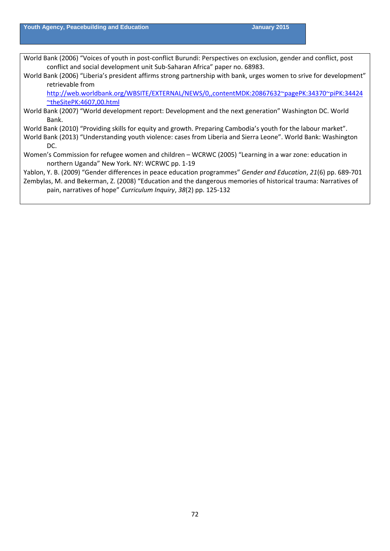World Bank (2006) "Voices of youth in post-conflict Burundi: Perspectives on exclusion, gender and conflict, post conflict and social development unit Sub‐Saharan Africa" paper no. 68983.

World Bank (2006) "Liberia's president affirms strong partnership with bank, urges women to srive for development" retrievable from

[http://web.worldbank.org/WBSITE/EXTERNAL/NEWS/0,,contentMDK:20867632~pagePK:34370~piPK:34424](http://web.worldbank.org/WBSITE/EXTERNAL/NEWS/0,,contentMDK:20867632%7EpagePK:34370%7EpiPK:34424%7EtheSitePK:4607,00.html) [~theSitePK:4607,00.html](http://web.worldbank.org/WBSITE/EXTERNAL/NEWS/0,,contentMDK:20867632%7EpagePK:34370%7EpiPK:34424%7EtheSitePK:4607,00.html)

World Bank (2007) "World development report: Development and the next generation" Washington DC. World Bank.

World Bank (2010) "Providing skills for equity and growth. Preparing Cambodia's youth for the labour market".

- World Bank (2013) "Understanding youth violence: cases from Liberia and Sierra Leone". World Bank: Washington DC.
- Women's Commission for refugee women and children WCRWC (2005) "Learning in a war zone: education in northern Uganda" New York. NY: WCRWC pp. 1‐19

Yablon, Y. B. (2009) "Gender differences in peace education programmes" *Gender and Education*, *21*(6) pp. 689‐701

Zembylas, M. and Bekerman, Z. (2008) "Education and the dangerous memories of historical trauma: Narratives of pain, narratives of hope" *Curriculum Inquiry*, *38*(2) pp. 125‐132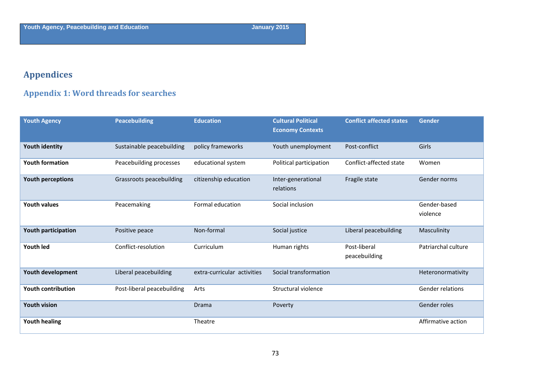## **Appendices**

## **Appendix 1: Word threads for searches**

| <b>Youth Agency</b>       | <b>Peacebuilding</b>       | <b>Education</b>            | <b>Cultural Political</b><br><b>Economy Contexts</b> | <b>Conflict affected states</b> | <b>Gender</b>            |
|---------------------------|----------------------------|-----------------------------|------------------------------------------------------|---------------------------------|--------------------------|
| <b>Youth identity</b>     | Sustainable peacebuilding  | policy frameworks           | Youth unemployment                                   | Post-conflict                   | Girls                    |
| <b>Youth formation</b>    | Peacebuilding processes    | educational system          | Political participation                              | Conflict-affected state         | Women                    |
| Youth perceptions         | Grassroots peacebuilding   | citizenship education       | Inter-generational<br>relations                      | Fragile state                   | Gender norms             |
| <b>Youth values</b>       | Peacemaking                | Formal education            | Social inclusion                                     |                                 | Gender-based<br>violence |
| Youth participation       | Positive peace             | Non-formal                  | Social justice                                       | Liberal peacebuilding           | Masculinity              |
| <b>Youth led</b>          | Conflict-resolution        | Curriculum                  | Human rights                                         | Post-liberal<br>peacebuilding   | Patriarchal culture      |
| Youth development         | Liberal peacebuilding      | extra-curricular activities | Social transformation                                |                                 | Heteronormativity        |
| <b>Youth contribution</b> | Post-liberal peacebuilding | Arts                        | Structural violence                                  |                                 | Gender relations         |
| <b>Youth vision</b>       |                            | Drama                       | Poverty                                              |                                 | Gender roles             |
| <b>Youth healing</b>      |                            | Theatre                     |                                                      |                                 | Affirmative action       |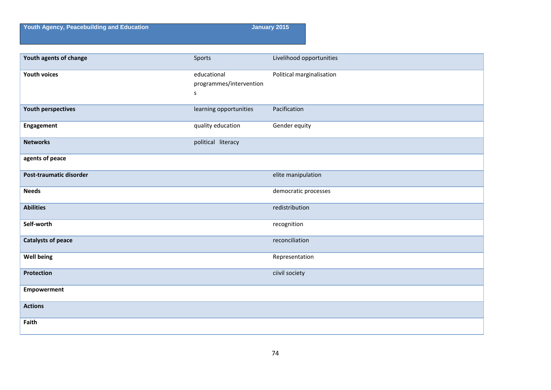**Youth Agency, Peacebuilding and Education January 2015** 

| Youth agents of change    | Sports                                      | Livelihood opportunities  |
|---------------------------|---------------------------------------------|---------------------------|
| <b>Youth voices</b>       | educational<br>programmes/intervention<br>S | Political marginalisation |
| <b>Youth perspectives</b> | learning opportunities                      | Pacification              |
| Engagement                | quality education                           | Gender equity             |
| <b>Networks</b>           | political literacy                          |                           |
| agents of peace           |                                             |                           |
| Post-traumatic disorder   |                                             | elite manipulation        |
| <b>Needs</b>              |                                             | democratic processes      |
| <b>Abilities</b>          |                                             | redistribution            |
| Self-worth                |                                             | recognition               |
| <b>Catalysts of peace</b> |                                             | reconciliation            |
| <b>Well being</b>         |                                             | Representation            |
| Protection                |                                             | ciivil society            |
| <b>Empowerment</b>        |                                             |                           |
| <b>Actions</b>            |                                             |                           |
| Faith                     |                                             |                           |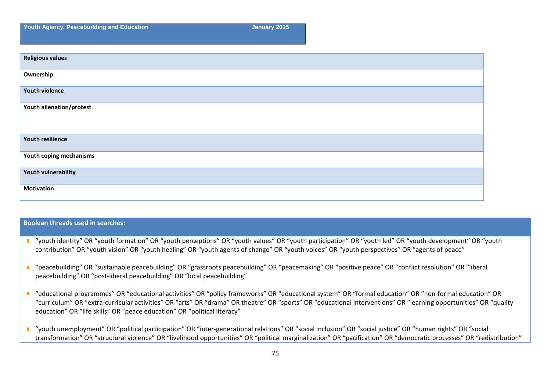**Youth Agency, Peacebuilding and Education January 2015** January 2015

### **Boolean threads used in searches:**

- "youth identity" OR "youth formation" OR "youth perceptions" OR "youth values" OR "youth participation" OR "youth led" OR "youth development" OR "youth  $\mathbf{r}$ contribution" OR "youth vision" OR "youth healing" OR "youth agents of change" OR "youth voices" OR "youth perspectives" OR "agents of peace"
- "peacebuilding" OR "sustainable peacebuilding" OR "grassroots peacebuilding" OR "peacemaking" OR "positive peace" OR "conflict resolution" OR "liberal  $\mathbf{u}$ peacebuilding" OR "post‐liberal peacebuilding" OR "local peacebuilding"
- "educational programmes" OR "educational activities" OR "policy frameworks" OR "educational system" OR "formal education" OR "non‐formal education" OR "curriculum" OR "extra‐curricular activities" OR "arts" OR "drama" OR theatre" OR "sports" OR "educational interventions" OR "learning opportunities" OR "quality education" OR "life skills" OR "peace education" OR "political literacy"
- "youth unemployment" OR "political participation" OR "inter‐generational relations" OR "social inclusion" OR "social justice" OR "human rights" OR "social  $\mathbb{R}^2$ transformation" OR "structural violence" OR "livelihood opportunities" OR "political marginalization" OR "pacification" OR "democratic processes" OR "redistribution"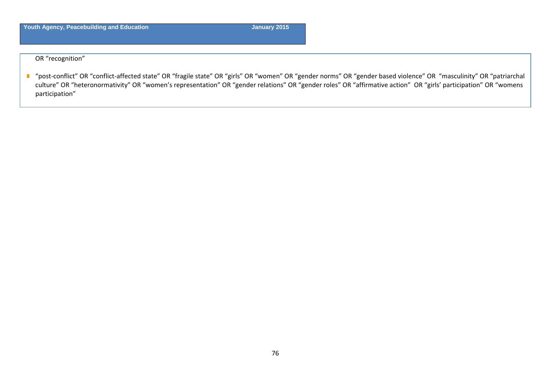OR "recognition"

■ "post-conflict" OR "conflict-affected state" OR "fragile state" OR "girls" OR "women" OR "gender norms" OR "gender based violence" OR "masculinity" OR "patriarchal culture" OR "heteronormativity" OR "women's representation" OR "gender relations" OR "gender roles" OR "affirmative action" OR "girls' participation" OR "womens participation"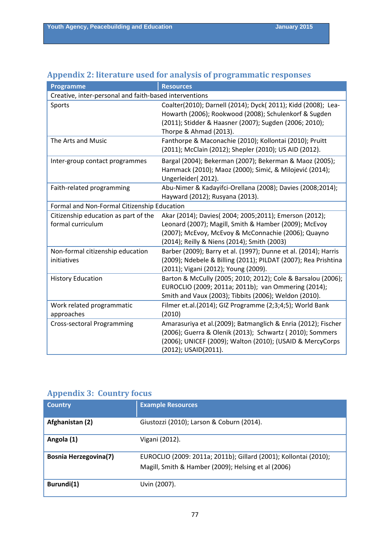| <b>Programme</b>                                          | <b>Resources</b>                                                                                                                                                                                                       |  |  |  |
|-----------------------------------------------------------|------------------------------------------------------------------------------------------------------------------------------------------------------------------------------------------------------------------------|--|--|--|
| Creative, inter-personal and faith-based interventions    |                                                                                                                                                                                                                        |  |  |  |
| Sports                                                    | Coalter(2010); Darnell (2014); Dyck( 2011); Kidd (2008); Lea-<br>Howarth (2006); Rookwood (2008); Schulenkorf & Sugden<br>(2011); Stidder & Haasner (2007); Sugden (2006; 2010);<br>Thorpe & Ahmad (2013).             |  |  |  |
| The Arts and Music                                        | Fanthorpe & Maconachie (2010); Kollontai (2010); Pruitt<br>(2011); McClain (2012); Shepler (2010); US AID (2012).                                                                                                      |  |  |  |
| Inter-group contact programmes                            | Bargal (2004); Bekerman (2007); Bekerman & Maoz (2005);<br>Hammack (2010); Maoz (2000); Simić, & Milojević (2014);<br>Ungerleider(2012).                                                                               |  |  |  |
| Faith-related programming                                 | Abu-Nimer & Kadayifci-Orellana (2008); Davies (2008;2014);<br>Hayward (2012); Rusyana (2013).                                                                                                                          |  |  |  |
| Formal and Non-Formal Citizenship Education               |                                                                                                                                                                                                                        |  |  |  |
| Citizenship education as part of the<br>formal curriculum | Akar (2014); Davies( 2004; 2005; 2011); Emerson (2012);<br>Leonard (2007); Magill, Smith & Hamber (2009); McEvoy<br>(2007); McEvoy, McEvoy & McConnachie (2006); Quayno<br>(2014); Reilly & Niens (2014); Smith (2003) |  |  |  |
| Non-formal citizenship education<br>initiatives           | Barber (2009); Barry et al. (1997); Dunne et al. (2014); Harris<br>(2009); Ndebele & Billing (2011); PILDAT (2007); Rea Prishtina<br>(2011); Vigani (2012); Young (2009).                                              |  |  |  |
| <b>History Education</b>                                  | Barton & McCully (2005; 2010; 2012); Cole & Barsalou (2006);<br>EUROCLIO (2009; 2011a; 2011b); van Ommering (2014);<br>Smith and Vaux (2003); Tibbits (2006); Weldon (2010).                                           |  |  |  |
| Work related programmatic<br>approaches                   | Filmer et.al.(2014); GIZ Programme (2;3;4;5); World Bank<br>(2010)                                                                                                                                                     |  |  |  |
| Cross-sectoral Programming                                | Amarasuriya et al.(2009); Batmanglich & Enria (2012); Fischer<br>(2006); Guerra & Olenik (2013); Schwartz (2010); Sommers<br>(2006); UNICEF (2009); Walton (2010); (USAID & MercyCorps<br>(2012); USAID(2011).         |  |  |  |

### **Appendix 2: literature used for analysis of programmatic responses**

### **Appendix 3: Country focus**

| <b>Country</b>               | <b>Example Resources</b>                                                                                                |
|------------------------------|-------------------------------------------------------------------------------------------------------------------------|
| Afghanistan (2)              | Giustozzi (2010); Larson & Coburn (2014).                                                                               |
| Angola (1)                   | Vigani (2012).                                                                                                          |
| <b>Bosnia Herzegovina(7)</b> | EUROCLIO (2009: 2011a; 2011b); Gillard (2001); Kollontai (2010);<br>Magill, Smith & Hamber (2009); Helsing et al (2006) |
| Burundi(1)                   | Uvin (2007).                                                                                                            |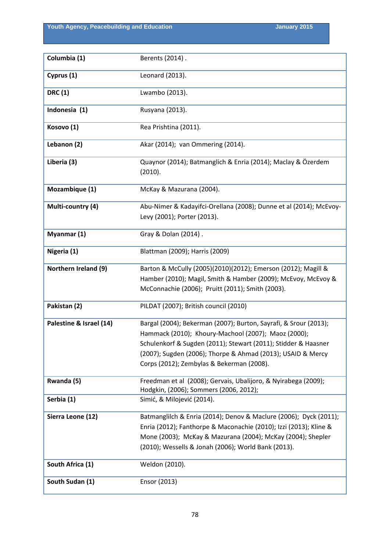**Youth Agency, Peacebuilding and Education January 2015** January 2015

| Columbia (1)            | Berents (2014).                                                                                                                                                                                                                                                                                       |
|-------------------------|-------------------------------------------------------------------------------------------------------------------------------------------------------------------------------------------------------------------------------------------------------------------------------------------------------|
| Cyprus (1)              | Leonard (2013).                                                                                                                                                                                                                                                                                       |
| <b>DRC</b> (1)          | Lwambo (2013).                                                                                                                                                                                                                                                                                        |
| Indonesia (1)           | Rusyana (2013).                                                                                                                                                                                                                                                                                       |
| Kosovo (1)              | Rea Prishtina (2011).                                                                                                                                                                                                                                                                                 |
| Lebanon (2)             | Akar (2014); van Ommering (2014).                                                                                                                                                                                                                                                                     |
| Liberia (3)             | Quaynor (2014); Batmanglich & Enria (2014); Maclay & Özerdem<br>(2010).                                                                                                                                                                                                                               |
| Mozambique (1)          | McKay & Mazurana (2004).                                                                                                                                                                                                                                                                              |
| Multi-country (4)       | Abu-Nimer & Kadayifci-Orellana (2008); Dunne et al (2014); McEvoy-<br>Levy (2001); Porter (2013).                                                                                                                                                                                                     |
| Myanmar (1)             | Gray & Dolan (2014).                                                                                                                                                                                                                                                                                  |
| Nigeria (1)             | Blattman (2009); Harris (2009)                                                                                                                                                                                                                                                                        |
| Northern Ireland (9)    | Barton & McCully (2005)(2010)(2012); Emerson (2012); Magill &<br>Hamber (2010); Magil, Smith & Hamber (2009); McEvoy, McEvoy &<br>McConnachie (2006); Pruitt (2011); Smith (2003).                                                                                                                    |
| Pakistan (2)            | PILDAT (2007); British council (2010)                                                                                                                                                                                                                                                                 |
| Palestine & Israel (14) | Bargal (2004); Bekerman (2007); Burton, Sayrafi, & Srour (2013);<br>Hammack (2010); Khoury-Machool (2007); Maoz (2000);<br>Schulenkorf & Sugden (2011); Stewart (2011); Stidder & Haasner<br>(2007); Sugden (2006); Thorpe & Ahmad (2013); USAID & Mercy<br>Corps (2012); Zembylas & Bekerman (2008). |
| Rwanda (5)              | Freedman et al (2008); Gervais, Ubalijoro, & Nyirabega (2009);<br>Hodgkin, (2006); Sommers (2006, 2012);                                                                                                                                                                                              |
| Serbia (1)              | Simić, & Milojević (2014).                                                                                                                                                                                                                                                                            |
| Sierra Leone (12)       | Batmanglilch & Enria (2014); Denov & Maclure (2006); Dyck (2011);<br>Enria (2012); Fanthorpe & Maconachie (2010); Izzi (2013); Kline &<br>Mone (2003); McKay & Mazurana (2004); McKay (2004); Shepler<br>(2010); Wessells & Jonah (2006); World Bank (2013).                                          |
| South Africa (1)        | Weldon (2010).                                                                                                                                                                                                                                                                                        |
| South Sudan (1)         | Ensor (2013)                                                                                                                                                                                                                                                                                          |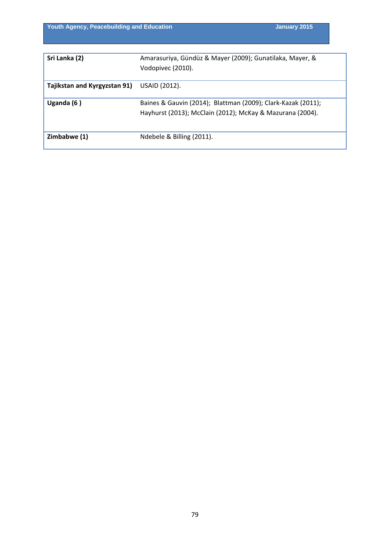| Sri Lanka (2)                | Amarasuriya, Gündüz & Mayer (2009); Gunatilaka, Mayer, &     |
|------------------------------|--------------------------------------------------------------|
|                              | Vodopivec (2010).                                            |
| Tajikstan and Kyrgyzstan 91) | USAID (2012).                                                |
| Uganda $(6)$                 | Baines & Gauvin (2014); Blattman (2009); Clark-Kazak (2011); |
|                              | Hayhurst (2013); McClain (2012); McKay & Mazurana (2004).    |
|                              |                                                              |
| Zimbabwe (1)                 | Ndebele & Billing (2011).                                    |
|                              |                                                              |

**Youth Agency, Peacebuilding and Education January 2015** January 2015